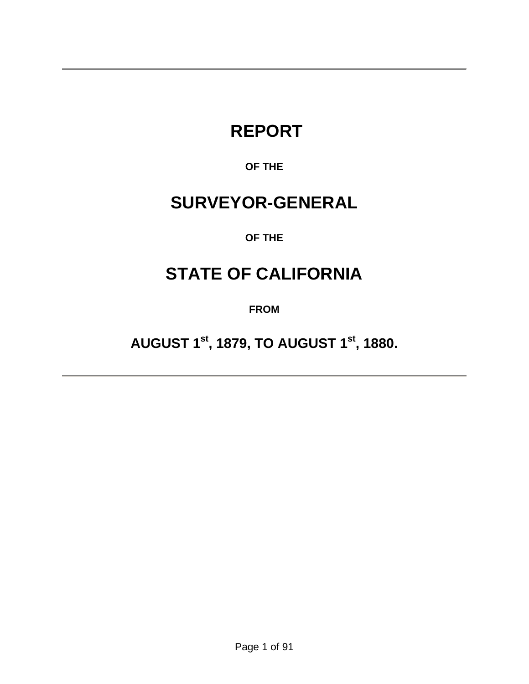# **REPORT**

### **OF THE**

## **SURVEYOR-GENERAL**

### **OF THE**

## **STATE OF CALIFORNIA**

**FROM** 

**AUGUST 1st, 1879, TO AUGUST 1st, 1880.**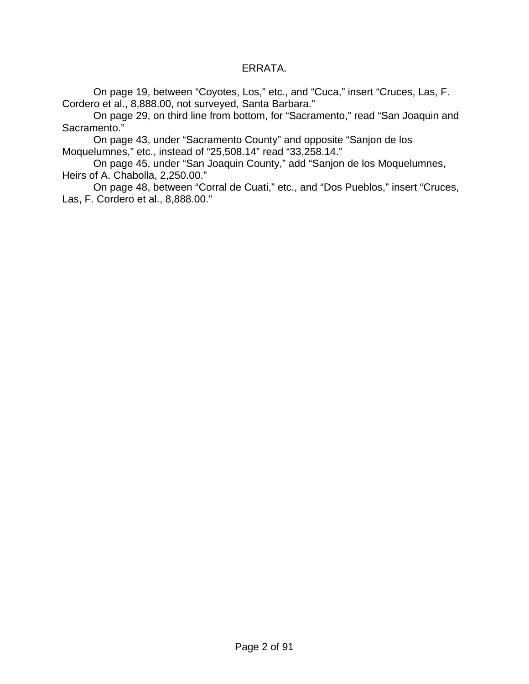#### ERRATA.

 On page 19, between "Coyotes, Los," etc., and "Cuca," insert "Cruces, Las, F. Cordero et al., 8,888.00, not surveyed, Santa Barbara."

 On page 29, on third line from bottom, for "Sacramento," read "San Joaquin and Sacramento."

 On page 43, under "Sacramento County" and opposite "Sanjon de los Moquelumnes," etc., instead of "25,508.14" read "33,258.14."

 On page 45, under "San Joaquin County," add "Sanjon de los Moquelumnes, Heirs of A. Chabolla, 2,250.00."

 On page 48, between "Corral de Cuati," etc., and "Dos Pueblos," insert "Cruces, Las, F. Cordero et al., 8,888.00."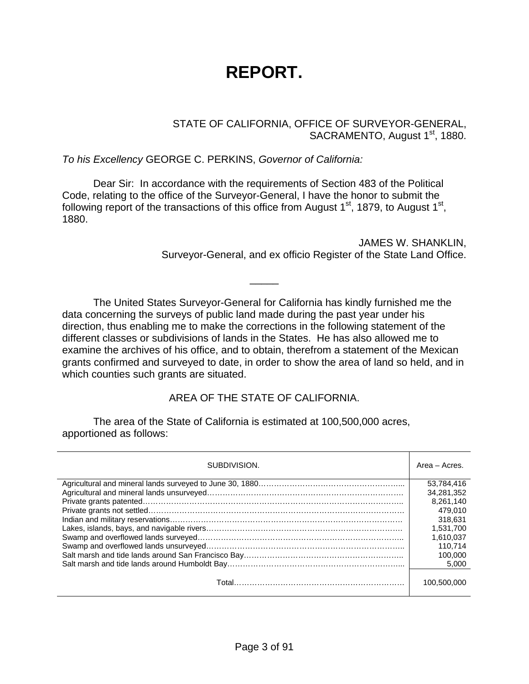# **REPORT.**

STATE OF CALIFORNIA, OFFICE OF SURVEYOR-GENERAL, SACRAMENTO, August 1<sup>st</sup>, 1880.

*To his Excellency* GEORGE C. PERKINS, *Governor of California:*

 Dear Sir: In accordance with the requirements of Section 483 of the Political Code, relating to the office of the Surveyor-General, I have the honor to submit the following report of the transactions of this office from August  $1<sup>st</sup>$ , 1879, to August  $1<sup>st</sup>$ , 1880.

> JAMES W. SHANKLIN, Surveyor-General, and ex officio Register of the State Land Office.

 The United States Surveyor-General for California has kindly furnished me the data concerning the surveys of public land made during the past year under his direction, thus enabling me to make the corrections in the following statement of the different classes or subdivisions of lands in the States. He has also allowed me to examine the archives of his office, and to obtain, therefrom a statement of the Mexican grants confirmed and surveyed to date, in order to show the area of land so held, and in which counties such grants are situated.

\_\_\_\_\_

#### AREA OF THE STATE OF CALIFORNIA.

 The area of the State of California is estimated at 100,500,000 acres, apportioned as follows:

| SUBDIVISION. | Area – Acres. |
|--------------|---------------|
|              | 53.784.416    |
|              | 34.281.352    |
|              | 8,261,140     |
|              | 479.010       |
|              | 318.631       |
|              | 1.531.700     |
|              | 1.610.037     |
|              | 110.714       |
|              | 100.000       |
|              | 5.000         |
|              | 100.500.000   |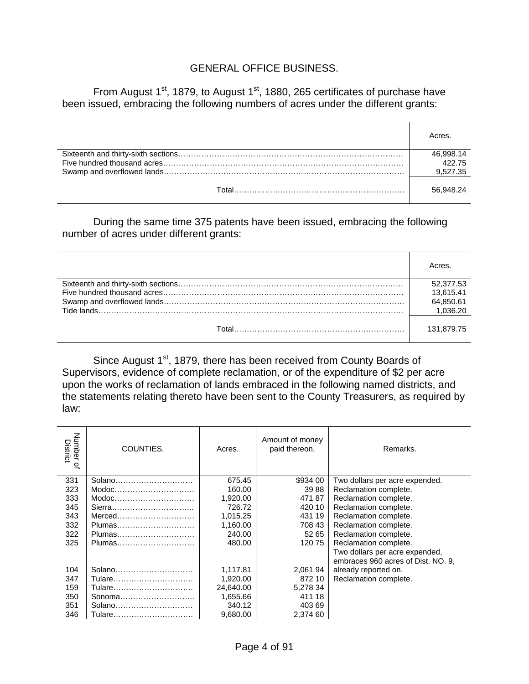#### GENERAL OFFICE BUSINESS.

From August  $1<sup>st</sup>$ , 1879, to August  $1<sup>st</sup>$ , 1880, 265 certificates of purchase have been issued, embracing the following numbers of acres under the different grants:

|       | Acres.    |
|-------|-----------|
|       | 46,998.14 |
|       | 42275     |
|       | 9,527.35  |
| Total | 56.948.24 |

 During the same time 375 patents have been issued, embracing the following number of acres under different grants:

|       | Acres      |
|-------|------------|
|       | 52.377.53  |
|       | 13.615.41  |
|       | 64,850.61  |
|       | 1.036.20   |
| Total | 131.879.75 |

Since August 1<sup>st</sup>, 1879, there has been received from County Boards of Supervisors, evidence of complete reclamation, or of the expenditure of \$2 per acre upon the works of reclamation of lands embraced in the following named districts, and the statements relating thereto have been sent to the County Treasurers, as required by law:

| Number<br>District<br>$\mathbf{Q}_n$ | COUNTIES.                                                       | Acres.    | Amount of money<br>paid thereon. | Remarks.                           |
|--------------------------------------|-----------------------------------------------------------------|-----------|----------------------------------|------------------------------------|
| 331                                  | Solano                                                          | 675.45    | \$934 00                         | Two dollars per acre expended.     |
| 323                                  | Modoc                                                           | 160.00    | 3988                             | Reclamation complete.              |
| 333                                  | $\mathsf{Modoc}\dots \dots \dots \dots \dots \dots \dots \dots$ | 1,920.00  | 47187                            | Reclamation complete.              |
| 345                                  |                                                                 | 726.72    | 420 10                           | Reclamation complete.              |
| 343                                  | Merced                                                          | 1,015.25  | 431 19                           | Reclamation complete.              |
| 332                                  | Plumas                                                          | 1,160.00  | 708 43                           | Reclamation complete.              |
| 322                                  | Plumas                                                          | 240.00    | 52 65                            | Reclamation complete.              |
| 325                                  | Plumas                                                          | 480.00    | 120 75                           | Reclamation complete.              |
|                                      |                                                                 |           |                                  | Two dollars per acre expended,     |
|                                      |                                                                 |           |                                  | embraces 960 acres of Dist. NO. 9. |
| 104                                  | Solano                                                          | 1,117.81  | 2,061 94                         | already reported on.               |
| 347                                  | Tulare                                                          | 1,920.00  | 872 10                           | Reclamation complete.              |
| 159                                  | Tulare                                                          | 24,640.00 | 5,278 34                         |                                    |
| 350                                  | Sonoma                                                          | 1,655.66  | 411 18                           |                                    |
| 351                                  | Solano                                                          | 340.12    | 403 69                           |                                    |
| 346                                  | Tulare                                                          | 9.680.00  | 2,374 60                         |                                    |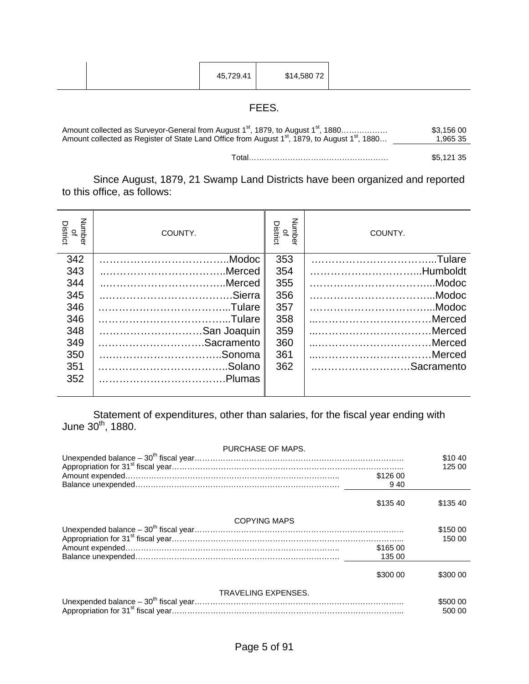| \$14,580 72<br>45,729.41 |
|--------------------------|
|--------------------------|

### FEES.

| Amount collected as Surveyor-General from August 1 <sup>st</sup> , 1879, to August 1 <sup>st</sup> , 1880              | \$3.156 00 |
|------------------------------------------------------------------------------------------------------------------------|------------|
| Amount collected as Register of State Land Office from August 1 <sup>st</sup> , 1879, to August 1 <sup>st</sup> , 1880 | 1.965 35   |
|                                                                                                                        |            |

Total……………………………………………… \$5,121 35

 Since August, 1879, 21 Swamp Land Districts have been organized and reported to this office, as follows:

| Number<br>District<br>$\overline{\sigma}$ | COUNTY.     | Number<br>District<br>$\overline{\sigma}$ | COUNTY.     |
|-------------------------------------------|-------------|-------------------------------------------|-------------|
| 342                                       |             | 353                                       |             |
| 343                                       |             | 354                                       | Humboldt    |
| 344                                       | Merced      | 355                                       | Modoc       |
| 345                                       |             | 356                                       | Modoc       |
| 346                                       |             | 357                                       |             |
| 346                                       |             | 358                                       | Merced      |
| 348                                       | San Joaquin | 359                                       | Merced      |
| 349                                       | Sacramento  | 360                                       | Merced      |
| 350                                       |             | 361                                       |             |
| 351                                       |             | 362                                       | Sacramento. |
| 352                                       |             |                                           |             |
|                                           |             |                                           |             |

 Statement of expenditures, other than salaries, for the fiscal year ending with June 30 $^{\text{th}}$ , 1880.

| PURCHASE OF MAPS.   |          |                    |
|---------------------|----------|--------------------|
|                     |          | \$1040             |
|                     |          | 125 00             |
|                     | \$126 00 |                    |
|                     | 940      |                    |
|                     | \$135 40 | \$13540            |
| <b>COPYING MAPS</b> |          |                    |
|                     |          | \$150 00           |
|                     |          | 150 00             |
|                     | \$165 00 |                    |
|                     | 135 00   |                    |
|                     | \$300 00 | \$300 00           |
| TRAVELING EXPENSES. |          |                    |
|                     |          | \$500 00<br>500 00 |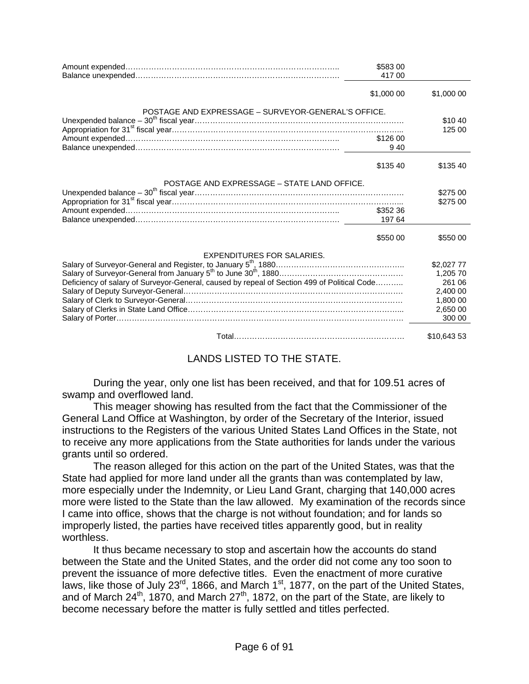| \$583 00<br>417 00                                                                          |             |
|---------------------------------------------------------------------------------------------|-------------|
| \$1,000 00                                                                                  | \$1,000 00  |
| POSTAGE AND EXPRESSAGE - SURVEYOR-GENERAL'S OFFICE.                                         |             |
|                                                                                             | \$10 40     |
| \$126 00                                                                                    | 125 00      |
| 940                                                                                         |             |
|                                                                                             |             |
| \$135 40                                                                                    | \$135 40    |
| POSTAGE AND EXPRESSAGE - STATE LAND OFFICE.                                                 |             |
|                                                                                             | \$275 00    |
|                                                                                             | \$275 00    |
| \$352 36                                                                                    |             |
| 197 64                                                                                      |             |
| \$550 00                                                                                    | \$550 00    |
| EXPENDITURES FOR SALARIES.                                                                  |             |
|                                                                                             | \$2,027 77  |
|                                                                                             | 1,205 70    |
| Deficiency of salary of Surveyor-General, caused by repeal of Section 499 of Political Code | 261 06      |
|                                                                                             | 2,400 00    |
|                                                                                             | 1.800 00    |
|                                                                                             | 2,650 00    |
|                                                                                             | 300 00      |
|                                                                                             | \$10,643 53 |

#### LANDS LISTED TO THE STATE.

 During the year, only one list has been received, and that for 109.51 acres of swamp and overflowed land.

 This meager showing has resulted from the fact that the Commissioner of the General Land Office at Washington, by order of the Secretary of the Interior, issued instructions to the Registers of the various United States Land Offices in the State, not to receive any more applications from the State authorities for lands under the various grants until so ordered.

 The reason alleged for this action on the part of the United States, was that the State had applied for more land under all the grants than was contemplated by law, more especially under the Indemnity, or Lieu Land Grant, charging that 140,000 acres more were listed to the State than the law allowed. My examination of the records since I came into office, shows that the charge is not without foundation; and for lands so improperly listed, the parties have received titles apparently good, but in reality worthless.

 It thus became necessary to stop and ascertain how the accounts do stand between the State and the United States, and the order did not come any too soon to prevent the issuance of more defective titles. Even the enactment of more curative laws, like those of July 23 $^{rd}$ , 1866, and March 1<sup>st</sup>, 1877, on the part of the United States, and of March 24<sup>th</sup>, 1870, and March 27<sup>th</sup>, 1872, on the part of the State, are likely to become necessary before the matter is fully settled and titles perfected.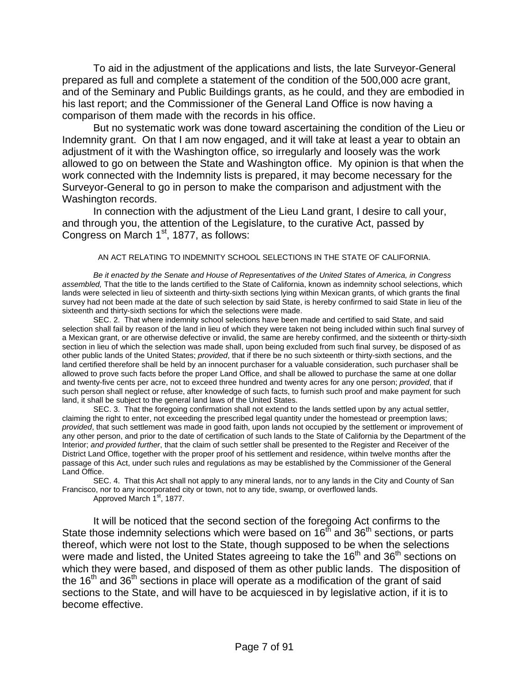To aid in the adjustment of the applications and lists, the late Surveyor-General prepared as full and complete a statement of the condition of the 500,000 acre grant, and of the Seminary and Public Buildings grants, as he could, and they are embodied in his last report; and the Commissioner of the General Land Office is now having a comparison of them made with the records in his office.

 But no systematic work was done toward ascertaining the condition of the Lieu or Indemnity grant. On that I am now engaged, and it will take at least a year to obtain an adjustment of it with the Washington office, so irregularly and loosely was the work allowed to go on between the State and Washington office. My opinion is that when the work connected with the Indemnity lists is prepared, it may become necessary for the Surveyor-General to go in person to make the comparison and adjustment with the Washington records.

 In connection with the adjustment of the Lieu Land grant, I desire to call your, and through you, the attention of the Legislature, to the curative Act, passed by Congress on March 1<sup>st</sup>, 1877, as follows:

#### AN ACT RELATING TO INDEMNITY SCHOOL SELECTIONS IN THE STATE OF CALIFORNIA.

*Be it enacted by the Senate and House of Representatives of the United States of America, in Congress assembled,* That the title to the lands certified to the State of California, known as indemnity school selections, which lands were selected in lieu of sixteenth and thirty-sixth sections lying within Mexican grants, of which grants the final survey had not been made at the date of such selection by said State, is hereby confirmed to said State in lieu of the sixteenth and thirty-sixth sections for which the selections were made.

 SEC. 2. That where indemnity school selections have been made and certified to said State, and said selection shall fail by reason of the land in lieu of which they were taken not being included within such final survey of a Mexican grant, or are otherwise defective or invalid, the same are hereby confirmed, and the sixteenth or thirty-sixth section in lieu of which the selection was made shall, upon being excluded from such final survey, be disposed of as other public lands of the United States; *provided*, that if there be no such sixteenth or thirty-sixth sections, and the land certified therefore shall be held by an innocent purchaser for a valuable consideration, such purchaser shall be allowed to prove such facts before the proper Land Office, and shall be allowed to purchase the same at one dollar and twenty-five cents per acre, not to exceed three hundred and twenty acres for any one person; *provided*, that if such person shall neglect or refuse, after knowledge of such facts, to furnish such proof and make payment for such land, it shall be subject to the general land laws of the United States.

 SEC. 3. That the foregoing confirmation shall not extend to the lands settled upon by any actual settler, claiming the right to enter, not exceeding the prescribed legal quantity under the homestead or preemption laws; *provided*, that such settlement was made in good faith, upon lands not occupied by the settlement or improvement of any other person, and prior to the date of certification of such lands to the State of California by the Department of the Interior; *and provided further*, that the claim of such settler shall be presented to the Register and Receiver of the District Land Office, together with the proper proof of his settlement and residence, within twelve months after the passage of this Act, under such rules and regulations as may be established by the Commissioner of the General Land Office.

 SEC. 4. That this Act shall not apply to any mineral lands, nor to any lands in the City and County of San Francisco, nor to any incorporated city or town, not to any tide, swamp, or overflowed lands.

Approved March 1<sup>st</sup>, 1877.

 It will be noticed that the second section of the foregoing Act confirms to the State those indemnity selections which were based on 16<sup>th</sup> and 36<sup>th</sup> sections, or parts thereof, which were not lost to the State, though supposed to be when the selections were made and listed, the United States agreeing to take the 16<sup>th</sup> and 36<sup>th</sup> sections on which they were based, and disposed of them as other public lands. The disposition of the  $16<sup>th</sup>$  and  $36<sup>th</sup>$  sections in place will operate as a modification of the grant of said sections to the State, and will have to be acquiesced in by legislative action, if it is to become effective.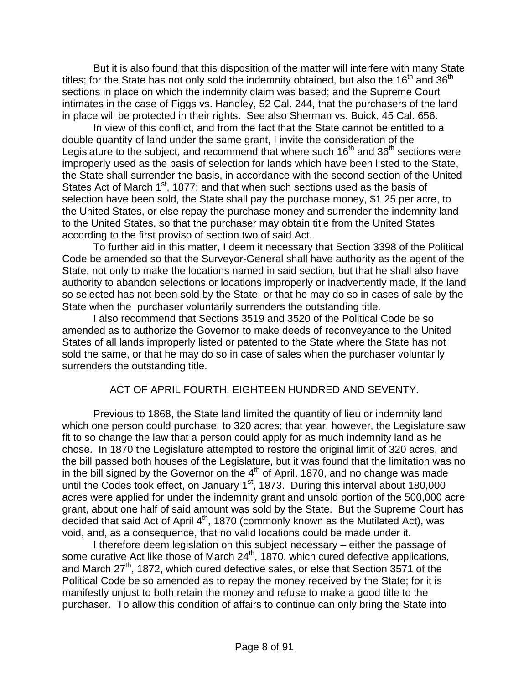But it is also found that this disposition of the matter will interfere with many State titles; for the State has not only sold the indemnity obtained, but also the  $16<sup>th</sup>$  and  $36<sup>th</sup>$ sections in place on which the indemnity claim was based; and the Supreme Court intimates in the case of Figgs vs. Handley, 52 Cal. 244, that the purchasers of the land in place will be protected in their rights. See also Sherman vs. Buick, 45 Cal. 656.

 In view of this conflict, and from the fact that the State cannot be entitled to a double quantity of land under the same grant, I invite the consideration of the Legislature to the subject, and recommend that where such  $16<sup>th</sup>$  and  $36<sup>th</sup>$  sections were improperly used as the basis of selection for lands which have been listed to the State, the State shall surrender the basis, in accordance with the second section of the United States Act of March 1<sup>st</sup>, 1877; and that when such sections used as the basis of selection have been sold, the State shall pay the purchase money, \$1 25 per acre, to the United States, or else repay the purchase money and surrender the indemnity land to the United States, so that the purchaser may obtain title from the United States according to the first proviso of section two of said Act.

 To further aid in this matter, I deem it necessary that Section 3398 of the Political Code be amended so that the Surveyor-General shall have authority as the agent of the State, not only to make the locations named in said section, but that he shall also have authority to abandon selections or locations improperly or inadvertently made, if the land so selected has not been sold by the State, or that he may do so in cases of sale by the State when the purchaser voluntarily surrenders the outstanding title.

 I also recommend that Sections 3519 and 3520 of the Political Code be so amended as to authorize the Governor to make deeds of reconveyance to the United States of all lands improperly listed or patented to the State where the State has not sold the same, or that he may do so in case of sales when the purchaser voluntarily surrenders the outstanding title.

#### ACT OF APRIL FOURTH, EIGHTEEN HUNDRED AND SEVENTY.

 Previous to 1868, the State land limited the quantity of lieu or indemnity land which one person could purchase, to 320 acres; that year, however, the Legislature saw fit to so change the law that a person could apply for as much indemnity land as he chose. In 1870 the Legislature attempted to restore the original limit of 320 acres, and the bill passed both houses of the Legislature, but it was found that the limitation was no in the bill signed by the Governor on the  $4<sup>th</sup>$  of April, 1870, and no change was made until the Codes took effect, on January 1<sup>st</sup>, 1873. During this interval about 180,000 acres were applied for under the indemnity grant and unsold portion of the 500,000 acre grant, about one half of said amount was sold by the State. But the Supreme Court has decided that said Act of April  $4<sup>th</sup>$ , 1870 (commonly known as the Mutilated Act), was void, and, as a consequence, that no valid locations could be made under it.

 I therefore deem legislation on this subject necessary – either the passage of some curative Act like those of March 24<sup>th</sup>, 1870, which cured defective applications, and March 27th, 1872, which cured defective sales, or else that Section 3571 of the Political Code be so amended as to repay the money received by the State; for it is manifestly unjust to both retain the money and refuse to make a good title to the purchaser. To allow this condition of affairs to continue can only bring the State into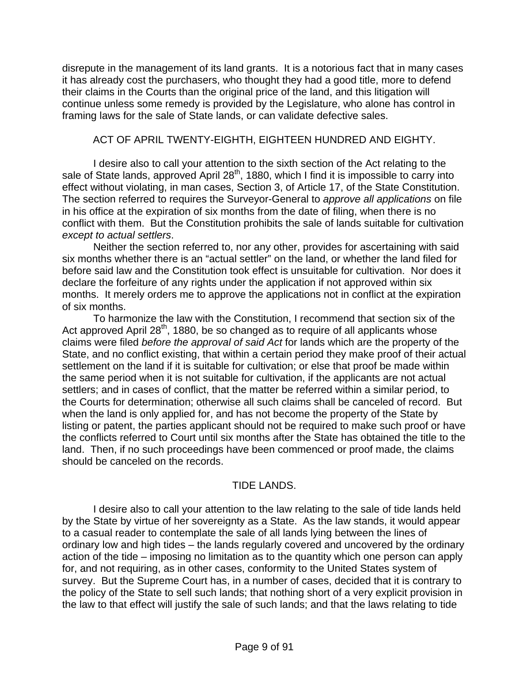disrepute in the management of its land grants. It is a notorious fact that in many cases it has already cost the purchasers, who thought they had a good title, more to defend their claims in the Courts than the original price of the land, and this litigation will continue unless some remedy is provided by the Legislature, who alone has control in framing laws for the sale of State lands, or can validate defective sales.

#### ACT OF APRIL TWENTY-EIGHTH, EIGHTEEN HUNDRED AND EIGHTY.

 I desire also to call your attention to the sixth section of the Act relating to the sale of State lands, approved April  $28<sup>th</sup>$ , 1880, which I find it is impossible to carry into effect without violating, in man cases, Section 3, of Article 17, of the State Constitution. The section referred to requires the Surveyor-General to *approve all applications* on file in his office at the expiration of six months from the date of filing, when there is no conflict with them. But the Constitution prohibits the sale of lands suitable for cultivation *except to actual settlers*.

 Neither the section referred to, nor any other, provides for ascertaining with said six months whether there is an "actual settler" on the land, or whether the land filed for before said law and the Constitution took effect is unsuitable for cultivation. Nor does it declare the forfeiture of any rights under the application if not approved within six months. It merely orders me to approve the applications not in conflict at the expiration of six months.

 To harmonize the law with the Constitution, I recommend that section six of the Act approved April  $28<sup>th</sup>$ , 1880, be so changed as to require of all applicants whose claims were filed *before the approval of said Act* for lands which are the property of the State, and no conflict existing, that within a certain period they make proof of their actual settlement on the land if it is suitable for cultivation; or else that proof be made within the same period when it is not suitable for cultivation, if the applicants are not actual settlers; and in cases of conflict, that the matter be referred within a similar period, to the Courts for determination; otherwise all such claims shall be canceled of record. But when the land is only applied for, and has not become the property of the State by listing or patent, the parties applicant should not be required to make such proof or have the conflicts referred to Court until six months after the State has obtained the title to the land. Then, if no such proceedings have been commenced or proof made, the claims should be canceled on the records.

#### TIDE LANDS.

 I desire also to call your attention to the law relating to the sale of tide lands held by the State by virtue of her sovereignty as a State. As the law stands, it would appear to a casual reader to contemplate the sale of all lands lying between the lines of ordinary low and high tides – the lands regularly covered and uncovered by the ordinary action of the tide – imposing no limitation as to the quantity which one person can apply for, and not requiring, as in other cases, conformity to the United States system of survey. But the Supreme Court has, in a number of cases, decided that it is contrary to the policy of the State to sell such lands; that nothing short of a very explicit provision in the law to that effect will justify the sale of such lands; and that the laws relating to tide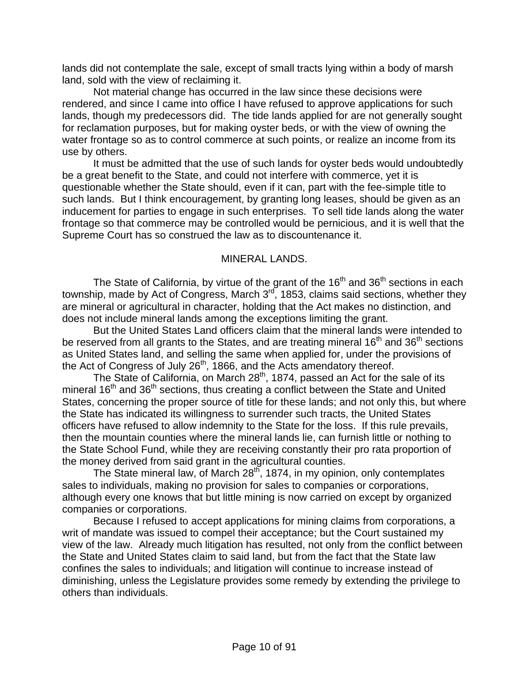lands did not contemplate the sale, except of small tracts lying within a body of marsh land, sold with the view of reclaiming it.

 Not material change has occurred in the law since these decisions were rendered, and since I came into office I have refused to approve applications for such lands, though my predecessors did. The tide lands applied for are not generally sought for reclamation purposes, but for making oyster beds, or with the view of owning the water frontage so as to control commerce at such points, or realize an income from its use by others.

 It must be admitted that the use of such lands for oyster beds would undoubtedly be a great benefit to the State, and could not interfere with commerce, yet it is questionable whether the State should, even if it can, part with the fee-simple title to such lands. But I think encouragement, by granting long leases, should be given as an inducement for parties to engage in such enterprises. To sell tide lands along the water frontage so that commerce may be controlled would be pernicious, and it is well that the Supreme Court has so construed the law as to discountenance it.

#### MINERAL LANDS.

The State of California, by virtue of the grant of the  $16<sup>th</sup>$  and  $36<sup>th</sup>$  sections in each township, made by Act of Congress, March  $3^{10}$ , 1853, claims said sections, whether they are mineral or agricultural in character, holding that the Act makes no distinction, and does not include mineral lands among the exceptions limiting the grant.

 But the United States Land officers claim that the mineral lands were intended to be reserved from all grants to the States, and are treating mineral  $16<sup>th</sup>$  and  $36<sup>th</sup>$  sections as United States land, and selling the same when applied for, under the provisions of the Act of Congress of July 26<sup>th</sup>, 1866, and the Acts amendatory thereof.

The State of California, on March 28<sup>th</sup>, 1874, passed an Act for the sale of its mineral 16<sup>th</sup> and 36<sup>th</sup> sections, thus creating a conflict between the State and United States, concerning the proper source of title for these lands; and not only this, but where the State has indicated its willingness to surrender such tracts, the United States officers have refused to allow indemnity to the State for the loss. If this rule prevails, then the mountain counties where the mineral lands lie, can furnish little or nothing to the State School Fund, while they are receiving constantly their pro rata proportion of the money derived from said grant in the agricultural counties.

The State mineral law, of March 28<sup>th</sup>, 1874, in my opinion, only contemplates sales to individuals, making no provision for sales to companies or corporations, although every one knows that but little mining is now carried on except by organized companies or corporations.

 Because I refused to accept applications for mining claims from corporations, a writ of mandate was issued to compel their acceptance; but the Court sustained my view of the law. Already much litigation has resulted, not only from the conflict between the State and United States claim to said land, but from the fact that the State law confines the sales to individuals; and litigation will continue to increase instead of diminishing, unless the Legislature provides some remedy by extending the privilege to others than individuals.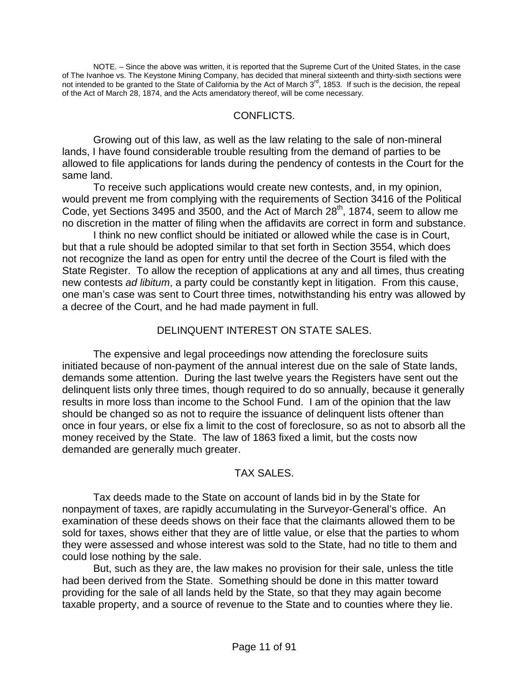NOTE. – Since the above was written, it is reported that the Supreme Curt of the United States, in the case of The Ivanhoe vs. The Keystone Mining Company, has decided that mineral sixteenth and thirty-sixth sections were not intended to be granted to the State of California by the Act of March 3<sup>rd</sup>, 1853. If such is the decision, the repeal of the Act of March 28, 1874, and the Acts amendatory thereof, will be come necessary.

#### CONFLICTS.

 Growing out of this law, as well as the law relating to the sale of non-mineral lands, I have found considerable trouble resulting from the demand of parties to be allowed to file applications for lands during the pendency of contests in the Court for the same land.

 To receive such applications would create new contests, and, in my opinion, would prevent me from complying with the requirements of Section 3416 of the Political Code, yet Sections 3495 and 3500, and the Act of March 28<sup>th</sup>, 1874, seem to allow me no discretion in the matter of filing when the affidavits are correct in form and substance.

 I think no new conflict should be initiated or allowed while the case is in Court, but that a rule should be adopted similar to that set forth in Section 3554, which does not recognize the land as open for entry until the decree of the Court is filed with the State Register. To allow the reception of applications at any and all times, thus creating new contests *ad libitum*, a party could be constantly kept in litigation. From this cause, one man's case was sent to Court three times, notwithstanding his entry was allowed by a decree of the Court, and he had made payment in full.

#### DELINQUENT INTEREST ON STATE SALES.

 The expensive and legal proceedings now attending the foreclosure suits initiated because of non-payment of the annual interest due on the sale of State lands, demands some attention. During the last twelve years the Registers have sent out the delinquent lists only three times, though required to do so annually, because it generally results in more loss than income to the School Fund. I am of the opinion that the law should be changed so as not to require the issuance of delinquent lists oftener than once in four years, or else fix a limit to the cost of foreclosure, so as not to absorb all the money received by the State. The law of 1863 fixed a limit, but the costs now demanded are generally much greater.

#### TAX SALES.

 Tax deeds made to the State on account of lands bid in by the State for nonpayment of taxes, are rapidly accumulating in the Surveyor-General's office. An examination of these deeds shows on their face that the claimants allowed them to be sold for taxes, shows either that they are of little value, or else that the parties to whom they were assessed and whose interest was sold to the State, had no title to them and could lose nothing by the sale.

 But, such as they are, the law makes no provision for their sale, unless the title had been derived from the State. Something should be done in this matter toward providing for the sale of all lands held by the State, so that they may again become taxable property, and a source of revenue to the State and to counties where they lie.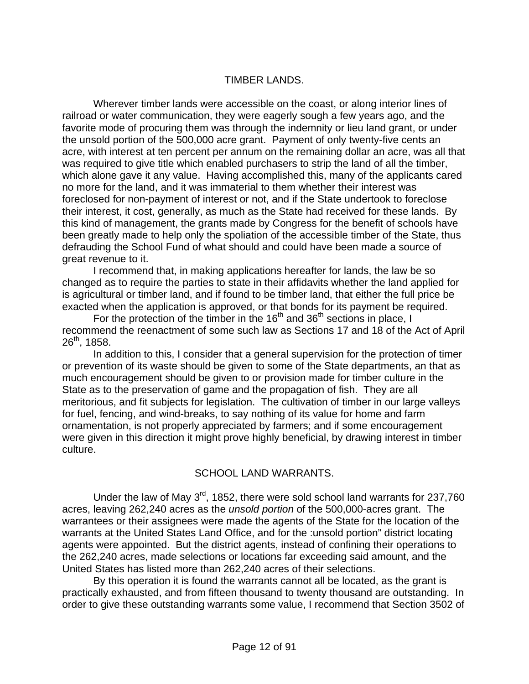#### TIMBER LANDS.

 Wherever timber lands were accessible on the coast, or along interior lines of railroad or water communication, they were eagerly sough a few years ago, and the favorite mode of procuring them was through the indemnity or lieu land grant, or under the unsold portion of the 500,000 acre grant. Payment of only twenty-five cents an acre, with interest at ten percent per annum on the remaining dollar an acre, was all that was required to give title which enabled purchasers to strip the land of all the timber, which alone gave it any value. Having accomplished this, many of the applicants cared no more for the land, and it was immaterial to them whether their interest was foreclosed for non-payment of interest or not, and if the State undertook to foreclose their interest, it cost, generally, as much as the State had received for these lands. By this kind of management, the grants made by Congress for the benefit of schools have been greatly made to help only the spoliation of the accessible timber of the State, thus defrauding the School Fund of what should and could have been made a source of great revenue to it.

 I recommend that, in making applications hereafter for lands, the law be so changed as to require the parties to state in their affidavits whether the land applied for is agricultural or timber land, and if found to be timber land, that either the full price be exacted when the application is approved, or that bonds for its payment be required.

For the protection of the timber in the  $16<sup>th</sup>$  and  $36<sup>th</sup>$  sections in place, I recommend the reenactment of some such law as Sections 17 and 18 of the Act of April  $26^{th}$ , 1858.

 In addition to this, I consider that a general supervision for the protection of timer or prevention of its waste should be given to some of the State departments, an that as much encouragement should be given to or provision made for timber culture in the State as to the preservation of game and the propagation of fish. They are all meritorious, and fit subjects for legislation. The cultivation of timber in our large valleys for fuel, fencing, and wind-breaks, to say nothing of its value for home and farm ornamentation, is not properly appreciated by farmers; and if some encouragement were given in this direction it might prove highly beneficial, by drawing interest in timber culture.

#### SCHOOL LAND WARRANTS.

Under the law of May 3<sup>rd</sup>, 1852, there were sold school land warrants for 237,760 acres, leaving 262,240 acres as the *unsold portion* of the 500,000-acres grant. The warrantees or their assignees were made the agents of the State for the location of the warrants at the United States Land Office, and for the :unsold portion" district locating agents were appointed. But the district agents, instead of confining their operations to the 262,240 acres, made selections or locations far exceeding said amount, and the United States has listed more than 262,240 acres of their selections.

 By this operation it is found the warrants cannot all be located, as the grant is practically exhausted, and from fifteen thousand to twenty thousand are outstanding. In order to give these outstanding warrants some value, I recommend that Section 3502 of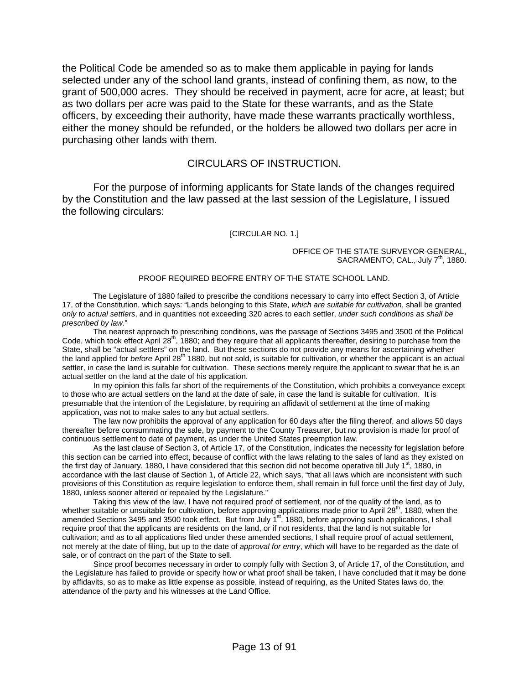the Political Code be amended so as to make them applicable in paying for lands selected under any of the school land grants, instead of confining them, as now, to the grant of 500,000 acres. They should be received in payment, acre for acre, at least; but as two dollars per acre was paid to the State for these warrants, and as the State officers, by exceeding their authority, have made these warrants practically worthless, either the money should be refunded, or the holders be allowed two dollars per acre in purchasing other lands with them.

#### CIRCULARS OF INSTRUCTION.

 For the purpose of informing applicants for State lands of the changes required by the Constitution and the law passed at the last session of the Legislature, I issued the following circulars:

#### [CIRCULAR NO. 1.]

OFFICE OF THE STATE SURVEYOR-GENERAL, SACRAMENTO, CAL., July 7<sup>th</sup>, 1880.

#### PROOF REQUIRED BEOFRE ENTRY OF THE STATE SCHOOL LAND.

 The Legislature of 1880 failed to prescribe the conditions necessary to carry into effect Section 3, of Article 17, of the Constitution, which says: "Lands belonging to this State, *which are suitable for cultivation*, shall be granted *only to actual settlers*, and in quantities not exceeding 320 acres to each settler, *under such conditions as shall be prescribed by law*."

 The nearest approach to prescribing conditions, was the passage of Sections 3495 and 3500 of the Political Code, which took effect April 28<sup>th</sup>, 1880; and they require that all applicants thereafter, desiring to purchase from the State, shall be "actual settlers" on the land. But these sections do not provide any means for ascertaining whether the land applied for *before* April 28<sup>th</sup> 1880, but not sold, is suitable for cultivation, or whether the applicant is an actual settler, in case the land is suitable for cultivation. These sections merely require the applicant to swear that he is an actual settler on the land at the date of his application.

 In my opinion this falls far short of the requirements of the Constitution, which prohibits a conveyance except to those who are actual settlers on the land at the date of sale, in case the land is suitable for cultivation. It is presumable that the intention of the Legislature, by requiring an affidavit of settlement at the time of making application, was not to make sales to any but actual settlers.

 The law now prohibits the approval of any application for 60 days after the filing thereof, and allows 50 days thereafter before consummating the sale, by payment to the County Treasurer, but no provision is made for proof of continuous settlement to date of payment, as under the United States preemption law.

 As the last clause of Section 3, of Article 17, of the Constitution, indicates the necessity for legislation before this section can be carried into effect, because of conflict with the laws relating to the sales of land as they existed on the first day of January, 1880, I have considered that this section did not become operative till July 1<sup>st</sup>, 1880, in accordance with the last clause of Section 1, of Article 22, which says, "that all laws which are inconsistent with such provisions of this Constitution as require legislation to enforce them, shall remain in full force until the first day of July, 1880, unless sooner altered or repealed by the Legislature."

 Taking this view of the law, I have not required proof of settlement, nor of the quality of the land, as to whether suitable or unsuitable for cultivation, before approving applications made prior to April  $28<sup>th</sup>$ , 1880, when the amended Sections 3495 and 3500 took effect. But from July 1<sup>st</sup>, 1880, before approving such applications, I shall require proof that the applicants are residents on the land, or if not residents, that the land is not suitable for cultivation; and as to all applications filed under these amended sections, I shall require proof of actual settlement, not merely at the date of filing, but up to the date of *approval for entry*, which will have to be regarded as the date of sale, or of contract on the part of the State to sell.

 Since proof becomes necessary in order to comply fully with Section 3, of Article 17, of the Constitution, and the Legislature has failed to provide or specify how or what proof shall be taken, I have concluded that it may be done by affidavits, so as to make as little expense as possible, instead of requiring, as the United States laws do, the attendance of the party and his witnesses at the Land Office.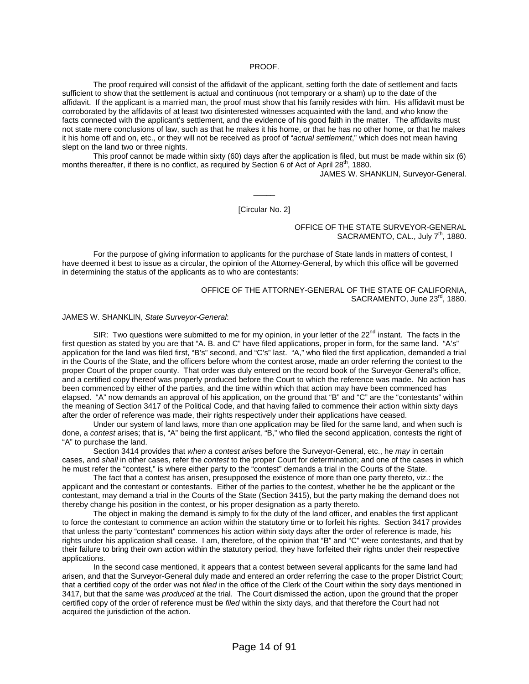#### PROOF.

 The proof required will consist of the affidavit of the applicant, setting forth the date of settlement and facts sufficient to show that the settlement is actual and continuous (not temporary or a sham) up to the date of the affidavit. If the applicant is a married man, the proof must show that his family resides with him. His affidavit must be corroborated by the affidavits of at least two disinterested witnesses acquainted with the land, and who know the facts connected with the applicant's settlement, and the evidence of his good faith in the matter. The affidavits must not state mere conclusions of law, such as that he makes it his home, or that he has no other home, or that he makes it his home off and on, etc., or they will not be received as proof of "*actual settlement*," which does not mean having slept on the land two or three nights.

 This proof cannot be made within sixty (60) days after the application is filed, but must be made within six (6) months thereafter, if there is no conflict, as required by Section 6 of Act of April 28<sup>th</sup>, 1880.

JAMES W. SHANKLIN, Surveyor-General.

[Circular No. 2]

 $\overline{\phantom{a}}$ 

OFFICE OF THE STATE SURVEYOR-GENERAL SACRAMENTO, CAL., July 7<sup>th</sup>, 1880.

 For the purpose of giving information to applicants for the purchase of State lands in matters of contest, I have deemed it best to issue as a circular, the opinion of the Attorney-General, by which this office will be governed in determining the status of the applicants as to who are contestants:

> OFFICE OF THE ATTORNEY-GENERAL OF THE STATE OF CALIFORNIA, SACRAMENTO, June 23<sup>rd</sup>, 1880.

#### JAMES W. SHANKLIN, *State Surveyor-General*:

SIR: Two questions were submitted to me for my opinion, in your letter of the  $22^{nd}$  instant. The facts in the first question as stated by you are that "A. B. and C" have filed applications, proper in form, for the same land. "A's" application for the land was filed first, "B's" second, and "C's" last. "A," who filed the first application, demanded a trial in the Courts of the State, and the officers before whom the contest arose, made an order referring the contest to the proper Court of the proper county. That order was duly entered on the record book of the Surveyor-General's office, and a certified copy thereof was properly produced before the Court to which the reference was made. No action has been commenced by either of the parties, and the time within which that action may have been commenced has elapsed. "A" now demands an approval of his application, on the ground that "B" and "C" are the "contestants" within the meaning of Section 3417 of the Political Code, and that having failed to commence their action within sixty days after the order of reference was made, their rights respectively under their applications have ceased.

 Under our system of land laws, more than one application may be filed for the same land, and when such is done, a *contest* arises; that is, "A" being the first applicant, "B," who filed the second application, contests the right of "A" to purchase the land.

 Section 3414 provides that *when a contest arises* before the Surveyor-General, etc., he *may* in certain cases, and *shall* in other cases, refer the *contest* to the proper Court for determination; and one of the cases in which he must refer the "contest," is where either party to the "contest" demands a trial in the Courts of the State.

 The fact that a contest has arisen, presupposed the existence of more than one party thereto, viz.: the applicant and the contestant or contestants. Either of the parties to the contest, whether he be the applicant or the contestant, may demand a trial in the Courts of the State (Section 3415), but the party making the demand does not thereby change his position in the contest, or his proper designation as a party thereto.

 The object in making the demand is simply to fix the duty of the land officer, and enables the first applicant to force the contestant to commence an action within the statutory time or to forfeit his rights. Section 3417 provides that unless the party "contestant" commences his action within sixty days after the order of reference is made, his rights under his application shall cease. I am, therefore, of the opinion that "B" and "C" were contestants, and that by their failure to bring their own action within the statutory period, they have forfeited their rights under their respective applications.

 In the second case mentioned, it appears that a contest between several applicants for the same land had arisen, and that the Surveyor-General duly made and entered an order referring the case to the proper District Court; that a certified copy of the order was not *filed* in the office of the Clerk of the Court within the sixty days mentioned in 3417, but that the same was *produced* at the trial. The Court dismissed the action, upon the ground that the proper certified copy of the order of reference must be *filed* within the sixty days, and that therefore the Court had not acquired the jurisdiction of the action.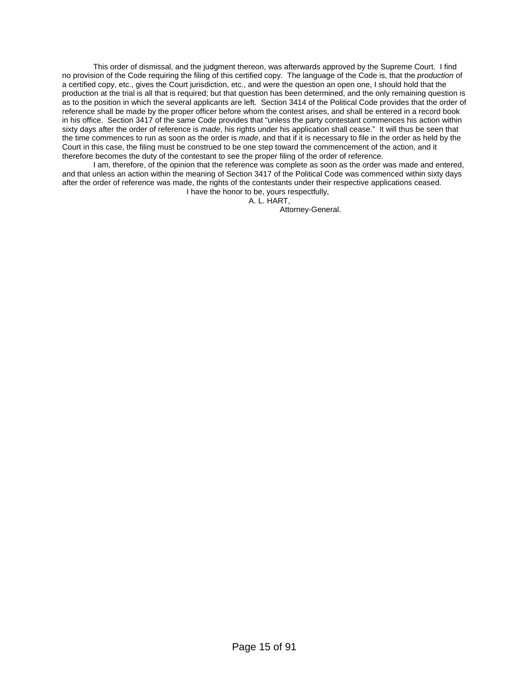This order of dismissal, and the judgment thereon, was afterwards approved by the Supreme Court. I find no provision of the Code requiring the filing of this certified copy. The language of the Code is, that the *production* of a certified copy, etc., gives the Court jurisdiction, etc., and were the question an open one, I should hold that the production at the trial is all that is required; but that question has been determined, and the only remaining question is as to the position in which the several applicants are left. Section 3414 of the Political Code provides that the order of reference shall be made by the proper officer before whom the contest arises, and shall be entered in a record book in his office. Section 3417 of the same Code provides that "unless the party contestant commences his action within sixty days after the order of reference is *made*, his rights under his application shall cease." It will thus be seen that the time commences to run as soon as the order is *made*, and that if it is necessary to file in the order as held by the Court in this case, the filing must be construed to be one step toward the commencement of the action, and it therefore becomes the duty of the contestant to see the proper filing of the order of reference.

 I am, therefore, of the opinion that the reference was complete as soon as the order was made and entered, and that unless an action within the meaning of Section 3417 of the Political Code was commenced within sixty days after the order of reference was made, the rights of the contestants under their respective applications ceased.

 I have the honor to be, yours respectfully, A. L. HART,

Attorney-General.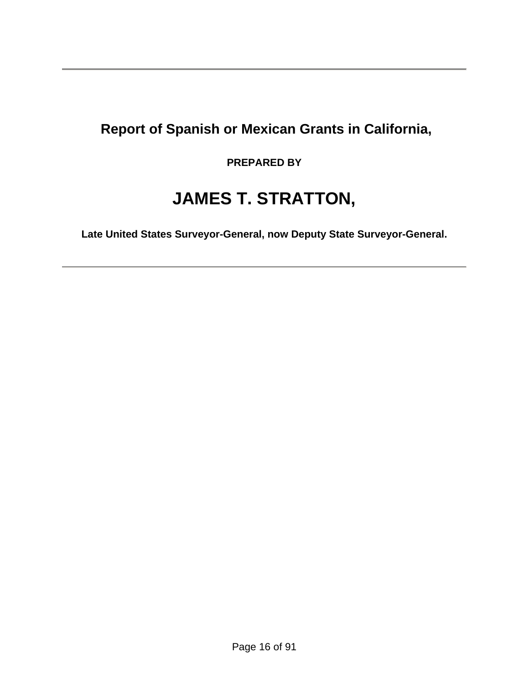## **Report of Spanish or Mexican Grants in California,**

### **PREPARED BY**

# **JAMES T. STRATTON,**

**Late United States Surveyor-General, now Deputy State Surveyor-General.**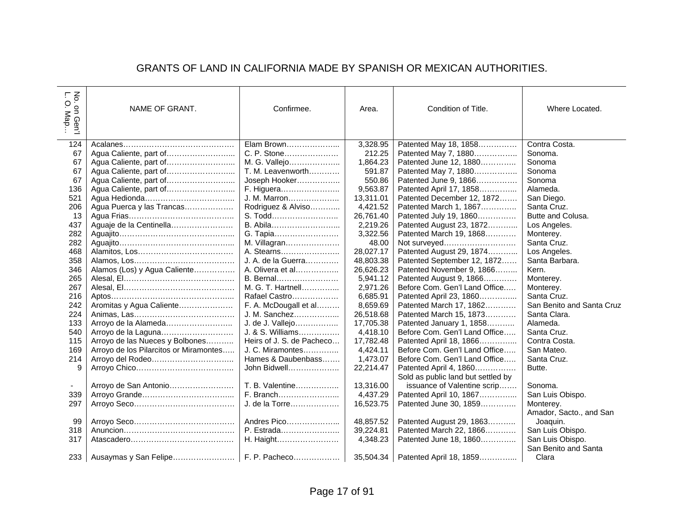#### GRANTS OF LAND IN CALIFORNIA MADE BY SPANISH OR MEXICAN AUTHORITIES.

| $\frac{1}{2}$<br>$O.$ Map<br>on Gen'l | NAME OF GRANT.                         | Confirmee.                | Area.     | Condition of Title.                | Where Located.            |
|---------------------------------------|----------------------------------------|---------------------------|-----------|------------------------------------|---------------------------|
| 124                                   |                                        | Elam Brown                | 3,328.95  | Patented May 18, 1858              | Contra Costa.             |
| 67                                    |                                        | C. P. Stone               | 212.25    | Patented May 7, 1880               | Sonoma.                   |
| 67                                    |                                        | M. G. Vallejo             | 1,864.23  | Patented June 12, 1880             | Sonoma                    |
| 67                                    |                                        | T. M. Leavenworth         | 591.87    | Patented May 7, 1880               | Sonoma                    |
| 67                                    | Agua Caliente, part of                 | Joseph Hooker             | 550.86    | Patented June 9, 1866              | Sonoma                    |
| 136                                   |                                        | F. Higuera                | 9,563.87  | Patented April 17, 1858            | Alameda.                  |
| 521                                   |                                        | J. M. Marron              | 13,311.01 | Patented December 12, 1872         | San Diego.                |
| 206                                   | Agua Puerca y las Trancas              | Rodriguez & Alviso        | 4,421.52  | Patented March 1, 1867             | Santa Cruz.               |
| 13                                    |                                        | S. Todd                   | 26,761.40 | Patented July 19, 1860             | Butte and Colusa.         |
| 437                                   | Aguaje de la Centinella                | B. Abila                  | 2,219.26  | Patented August 23, 1872           | Los Angeles.              |
| 282                                   |                                        | G. Tapia                  | 3,322.56  | Patented March 19, 1868            | Monterey.                 |
| 282                                   |                                        | M. Villagran              | 48.00     | Not surveyed                       | Santa Cruz.               |
| 468                                   |                                        | A. Stearns                | 28,027.17 | Patented August 29, 1874           | Los Angeles.              |
| 358                                   |                                        | J. A. de la Guerra        | 48,803.38 | Patented September 12, 1872        | Santa Barbara.            |
| 346                                   | Alamos (Los) y Agua Caliente           | A. Olivera et al          | 26,626.23 | Patented November 9, 1866          | Kern.                     |
| 265                                   |                                        | B. Bernal                 | 5,941.12  | Patented August 9, 1866            | Monterey.                 |
| 267                                   |                                        | M. G. T. Hartnell         | 2,971.26  | Before Com. Gen'l Land Office      | Monterey.                 |
| 216                                   |                                        | Rafael Castro             | 6,685.91  | Patented April 23, 1860            | Santa Cruz.               |
| 242                                   | Aromitas y Agua Caliente               | F. A. McDougall et al     | 8,659.69  | Patented March 17, 1862            | San Benito and Santa Cruz |
| 224                                   |                                        | J. M. Sanchez             | 26,518.68 | Patented March 15, 1873            | Santa Clara.              |
| 133                                   | Arroyo de la Alameda                   | J. de J. Vallejo          | 17,705.38 | Patented January 1, 1858           | Alameda.                  |
| 540                                   | Arroyo de la Laguna                    | J. & S. Williams          | 4,418.10  | Before Com. Gen'l Land Office      | Santa Cruz.               |
| 115                                   | Arroyo de las Nueces y Bolbones        | Heirs of J. S. de Pacheco | 17,782.48 | Patented April 18, 1866            | Contra Costa.             |
| 169                                   | Arroyo de los Pilarcitos or Miramontes | J. C. Miramontes          | 4,424.11  | Before Com. Gen'l Land Office      | San Mateo.                |
| 214                                   | Arroyo del Rodeo                       | Hames & Daubenbass        | 1,473.07  | Before Com. Gen'l Land Office      | Santa Cruz.               |
| 9                                     |                                        | John Bidwell              | 22,214.47 | Patented April 4, 1860             | Butte.                    |
|                                       |                                        |                           |           | Sold as public land but settled by |                           |
| $\sim$                                | Arroyo de San Antonio                  | T. B. Valentine           | 13,316.00 | issuance of Valentine scrip        | Sonoma.                   |
| 339                                   |                                        | F. Branch                 | 4,437.29  | Patented April 10, 1867            | San Luis Obispo.          |
| 297                                   |                                        | J. de la Torre            | 16,523.75 | Patented June 30, 1859             | Monterey.                 |
|                                       |                                        |                           |           |                                    | Amador, Sacto., and San   |
| 99                                    |                                        | Andres Pico               | 48,857.52 | Patented August 29, 1863           | Joaquin.                  |
| 318                                   |                                        | P. Estrada                | 39,224.81 | Patented March 22, 1866            | San Luis Obispo.          |
| 317                                   |                                        | H. Haight                 | 4,348.23  | Patented June 18, 1860             | San Luis Obispo.          |
|                                       |                                        |                           |           |                                    | San Benito and Santa      |
| 233                                   | Ausaymas y San Felipe                  | F. P. Pacheco             | 35,504.34 | Patented April 18, 1859            | Clara                     |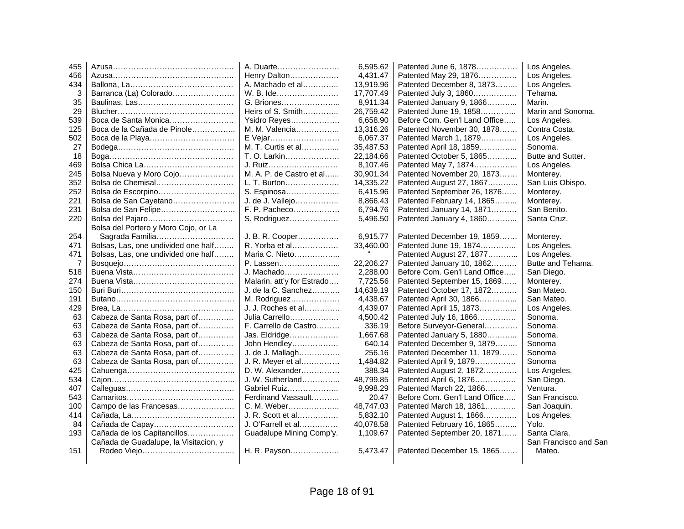| 455 |                                       | A. Duarte                  | 6,595.62  | Patented June 6, 1878         | Los Angeles.          |
|-----|---------------------------------------|----------------------------|-----------|-------------------------------|-----------------------|
| 456 |                                       | Henry Dalton               | 4,431.47  | Patented May 29, 1876         | Los Angeles.          |
| 434 |                                       | A. Machado et al           | 13,919.96 | Patented December 8, 1873     | Los Angeles.          |
| 3   | Barranca (La) Colorado                | W. B. Ide                  | 17,707.49 | Patented July 3, 1860         | Tehama.               |
| 35  |                                       | G. Briones                 | 8,911.34  | Patented January 9, 1866      | Marin.                |
| 29  |                                       | Heirs of S. Smith          | 26,759.42 | Patented June 19, 1858        | Marin and Sonoma.     |
| 539 | Boca de Santa Monica                  | Ysidro Reyes               | 6,658.90  | Before Com. Gen'l Land Office | Los Angeles.          |
| 125 | Boca de la Cañada de Pinole           | M. M. Valencia             | 13,316.26 | Patented November 30, 1878    | Contra Costa.         |
| 502 |                                       | E Vejar                    | 6,067.37  | Patented March 1, 1879        | Los Angeles.          |
| 27  |                                       | M. T. Curtis et al         | 35,487.53 | Patented April 18, 1859       | Sonoma.               |
| 18  |                                       | T. O. Larkin               | 22,184.66 | Patented October 5, 1865      | Butte and Sutter.     |
| 469 |                                       | J. Ruiz                    | 8,107.46  | Patented May 7, 1874          | Los Angeles.          |
| 245 | Bolsa Nueva y Moro Cojo               | M. A. P. de Castro et al   | 30,901.34 | Patented November 20, 1873    | Monterey.             |
| 352 | Bolsa de Chemisal                     | L. T. Burton               | 14,335.22 | Patented August 27, 1867      | San Luis Obispo.      |
| 252 |                                       | S. Espinosa                | 6,415.96  | Patented September 26, 1876   | Monterey.             |
| 221 | Bolsa de San Cayetano                 | J. de J. Vallejo           | 8,866.43  | Patented February 14, 1865    | Monterey.             |
| 231 | Bolsa de San Felipe                   | F. P. Pacheco              | 6.794.76  | Patented January 14, 1871     | San Benito.           |
| 220 |                                       | S. Rodriguez               | 5,496.50  | Patented January 4, 1860      | Santa Cruz.           |
|     | Bolsa del Portero y Moro Cojo, or La  |                            |           |                               |                       |
| 254 | Sagrada Familia                       | J. B. R. Cooper            | 6,915.77  | Patented December 19, 1859    | Monterey.             |
| 471 | Bolsas, Las, one undivided one half   | R. Yorba et al             | 33,460.00 | Patented June 19, 1874        | Los Angeles.          |
| 471 | Bolsas, Las, one undivided one half   | Maria C. Nieto             |           | Patented August 27, 1877      | Los Angeles.          |
| 7   |                                       | P. Lassen                  | 22,206.27 | Patented January 10, 1862     | Butte and Tehama.     |
| 518 |                                       | J. Machado                 | 2,288.00  | Before Com. Gen'l Land Office | San Diego.            |
| 274 |                                       | Malarin, att'y for Estrado | 7.725.56  | Patented September 15, 1869   | Monterey.             |
| 150 |                                       | J. de la C. Sanchez        | 14,639.19 | Patented October 17, 1872     | San Mateo.            |
| 191 |                                       | M. Rodriguez               | 4,438.67  | Patented April 30, 1866       | San Mateo.            |
| 429 |                                       | J. J. Roches et al         | 4,439.07  | Patented April 15, 1873       | Los Angeles.          |
| 63  | Cabeza de Santa Rosa, part of         | Julia Carrello             | 4,500.42  | Patented July 16, 1866        | Sonoma.               |
| 63  | Cabeza de Santa Rosa, part of         | F. Carrello de Castro      | 336.19    | Before Surveyor-General       | Sonoma.               |
| 63  | Cabeza de Santa Rosa, part of         | Jas. Eldridge              | 1,667.68  | Patented January 5, 1880      | Sonoma.               |
| 63  | Cabeza de Santa Rosa, part of         | John Hendley               | 640.14    | Patented December 9, 1879     | Sonoma                |
| 63  | Cabeza de Santa Rosa, part of         | J. de J. Mallagh           | 256.16    | Patented December 11, 1879    | Sonoma                |
| 63  | Cabeza de Santa Rosa, part of         | J. R. Meyer et al          | 1,484.82  | Patented April 9, 1879        | Sonoma                |
| 425 |                                       | D. W. Alexander            | 388.34    | Patented August 2, 1872       | Los Angeles.          |
| 534 |                                       | J. W. Sutherland           | 48,799.85 | Patented April 6, 1876        | San Diego.            |
| 407 |                                       | Gabriel Ruiz               | 9,998.29  | Patented March 22, 1866       | Ventura.              |
| 543 |                                       | Ferdinand Vassault         | 20.47     | Before Com. Gen'l Land Office | San Francisco.        |
| 100 | Campo de las Francesas                | C. M. Weber                | 48,747.03 | Patented March 18, 1861       | San Joaquin.          |
| 414 |                                       | J. R. Scott et al          | 5,832.10  | Patented August 1, 1866       | Los Angeles.          |
| 84  | Cañada de Capay                       | J. O'Farrell et al         | 40,078.58 | Patented February 16, 1865    | Yolo.                 |
| 193 | Cañada de los Capitancillos           | Guadalupe Mining Comp'y.   | 1,109.67  | Patented September 20, 1871   | Santa Clara.          |
|     | Cañada de Guadalupe, la Visitacion, y |                            |           |                               | San Francisco and San |
| 151 |                                       | H. R. Payson               | 5,473.47  | Patented December 15, 1865    | Mateo.                |
|     |                                       |                            |           |                               |                       |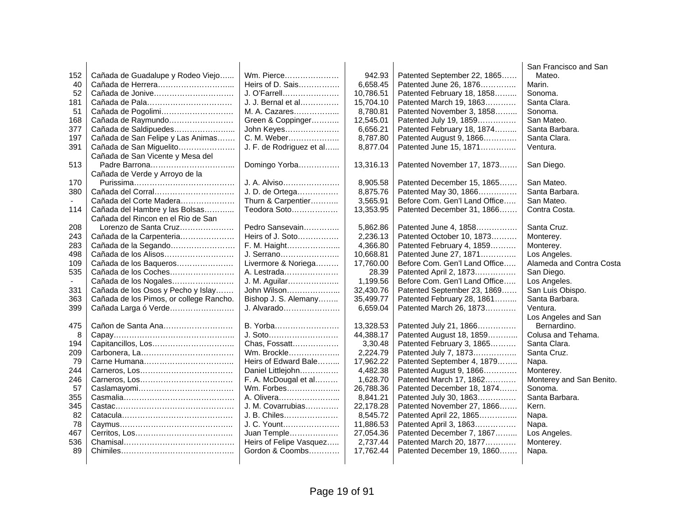|     |                                         |                          |           |                               | San Francisco and San    |
|-----|-----------------------------------------|--------------------------|-----------|-------------------------------|--------------------------|
| 152 | Cañada de Guadalupe y Rodeo Viejo       | Wm. Pierce               | 942.93    | Patented September 22, 1865   | Mateo.                   |
| 40  |                                         | Heirs of D. Sais         | 6,658.45  | Patented June 26, 1876        | Marin.                   |
| 52  | Cañada de Jonive                        | J. O'Farrell             | 10,786.51 | Patented February 18, 1858    | Sonoma.                  |
| 181 |                                         | J. J. Bernal et al       | 15,704.10 | Patented March 19, 1863       | Santa Clara.             |
| 51  | Cañada de Pogolimi                      | M. A. Cazares            | 8,780.81  | Patented November 3, 1858     | Sonoma.                  |
| 168 | Cañada de Raymundo                      | Green & Coppinger        | 12,545.01 | Patented July 19, 1859        | San Mateo.               |
| 377 | Cañada de Saldipuedes                   | John Keyes               | 6,656.21  | Patented February 18, 1874    | Santa Barbara.           |
| 197 | Cañada de San Felipe y Las Animas       | C. M. Weber              | 8,787.80  | Patented August 9, 1866       | Santa Clara.             |
| 391 | Cañada de San Miguelito                 | J. F. de Rodriguez et al | 8,877.04  | Patented June 15, 1871        | Ventura.                 |
|     | Cañada de San Vicente y Mesa del        |                          |           |                               |                          |
| 513 |                                         | Domingo Yorba            | 13,316.13 | Patented November 17, 1873    | San Diego.               |
|     | Cañada de Verde y Arroyo de la          |                          |           |                               |                          |
| 170 |                                         | J. A. Alviso             | 8,905.58  | Patented December 15, 1865    | San Mateo.               |
| 380 | Cañada del Corral                       | J. D. de Ortega          | 8,875.76  | Patented May 30, 1866         | Santa Barbara.           |
|     | Cañada del Corte Madera                 | Thurn & Carpentier       | 3,565.91  | Before Com. Gen'l Land Office | San Mateo.               |
| 114 | Cañada del Hambre y las Bolsas          | Teodora Soto             | 13,353.95 | Patented December 31, 1866    | Contra Costa.            |
|     | Cañada del Rincon en el Rio de San      |                          |           |                               |                          |
| 208 | Lorenzo de Santa Cruz                   | Pedro Sansevain          | 5,862.86  | Patented June 4, 1858         | Santa Cruz.              |
| 243 | Cañada de la Carpenteria                | Heirs of J. Soto         | 2,236.13  | Patented October 10, 1873     | Monterey.                |
| 283 | Cañada de la Segando                    | F. M. Haight             | 4,366.80  | Patented February 4, 1859     | Monterey.                |
| 498 | Cañada de los Alisos                    | J. Serrano               | 10.668.81 | Patented June 27, 1871        | Los Angeles.             |
| 109 | Cañada de los Baqueros                  | Livermore & Noriega      | 17,760.00 | Before Com. Gen'l Land Office | Alameda and Contra Costa |
| 535 | Cañada de los Coches                    | A. Lestrada              | 28.39     | Patented April 2, 1873        | San Diego.               |
|     | Cañada de los Nogales                   | J. M. Aguilar            | 1,199.56  | Before Com. Gen'l Land Office | Los Angeles.             |
| 331 | Cañada de los Osos y Pecho y Islay      | John Wilson              | 32,430.76 | Patented September 23, 1869   | San Luis Obispo.         |
| 363 | Cañada de los Pimos, or college Rancho. | Bishop J. S. Alemany     | 35,499.77 | Patented February 28, 1861    | Santa Barbara.           |
| 399 | Cañada Larga ó Verde                    | J. Alvarado              | 6,659.04  | Patented March 26, 1873       | Ventura.                 |
|     |                                         |                          |           |                               | Los Angeles and San      |
| 475 | Cañon de Santa Ana                      | B. Yorba                 | 13,328.53 | Patented July 21, 1866        | Bernardino.              |
| 8   |                                         | J. Soto                  | 44,388.17 | Patented August 18, 1859      | Colusa and Tehama.       |
| 194 |                                         | Chas, Fossatt            | 3,30.48   | Patented February 3, 1865     | Santa Clara.             |
| 209 |                                         | Wm. Brockle              | 2,224.79  | Patented July 7, 1873         | Santa Cruz.              |
| 79  |                                         | Heirs of Edward Bale     | 17,962.22 | Patented September 4, 1879    | Napa.                    |
| 244 |                                         | Daniel Littlejohn        | 4,482.38  | Patented August 9, 1866       | Monterey.                |
| 246 |                                         | F. A. McDougal et al     | 1,628.70  | Patented March 17, 1862       | Monterey and San Benito. |
| 57  |                                         | Wm. Forbes               | 26,788.36 | Patented December 18, 1874    | Sonoma.                  |
| 355 |                                         | A. Olivera               | 8,841.21  | Patented July 30, 1863        | Santa Barbara.           |
| 345 |                                         | J. M. Covarrubias        | 22,178.28 | Patented November 27, 1866    | Kern.                    |
| 82  |                                         | J. B. Chiles             | 8,545.72  | Patented April 22, 1865       | Napa.                    |
| 78  |                                         | J. C. Yount              | 11,886.53 | Patented April 3, 1863        | Napa.                    |
| 467 |                                         | Juan Temple              | 27,054.36 | Patented December 7, 1867     | Los Angeles.             |
| 536 |                                         | Heirs of Felipe Vasquez  | 2,737.44  | Patented March 20, 1877       | Monterey.                |
| 89  |                                         | Gordon & Coombs          | 17,762.44 | Patented December 19, 1860    | Napa.                    |
|     |                                         |                          |           |                               |                          |
|     |                                         |                          |           |                               |                          |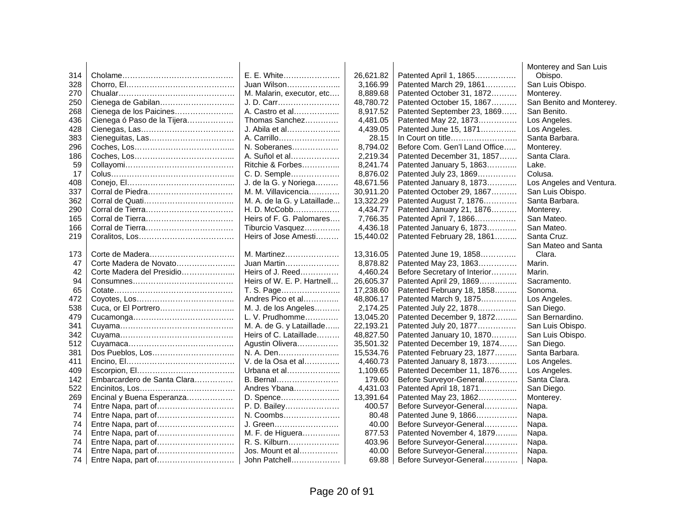|     |                             |                             |           |                               | Monterey and San Luis    |
|-----|-----------------------------|-----------------------------|-----------|-------------------------------|--------------------------|
| 314 |                             | E. E. White                 | 26,621.82 | Patented April 1, 1865        | Obispo.                  |
| 328 |                             | Juan Wilson                 | 3,166.99  | Patented March 29, 1861       | San Luis Obispo.         |
| 270 |                             | M. Malarin, executor, etc   | 8,889.68  | Patented October 31, 1872     | Monterey.                |
| 250 | Cienega de Gabilan          | J. D. Carr                  | 48,780.72 | Patented October 15, 1867     | San Benito and Monterey. |
| 268 | Cienega de los Paicines     | A. Castro et al             | 8,917.52  | Patented September 23, 1869   | San Benito.              |
| 436 | Cienega ó Paso de la Tijera | Thomas Sanchez              | 4,481.05  | Patented May 22, 1873         | Los Angeles.             |
| 428 |                             | J. Abila et al              | 4,439.05  | Patented June 15, 1871        | Los Angeles.             |
| 383 |                             | A. Carrillo                 | 28.15     | In Court on title             | Santa Barbara.           |
| 296 |                             | N. Soberanes                | 8,794.02  | Before Com. Gen'l Land Office | Monterey.                |
| 186 |                             | A. Suñol et al              | 2,219.34  | Patented December 31, 1857    | Santa Clara.             |
| 59  |                             | Ritchie & Forbes            | 8,241.74  | Patented January 5, 1863      | Lake.                    |
| 17  |                             | C. D. Semple                | 8,876.02  | Patented July 23, 1869        | Colusa.                  |
| 408 |                             | J. de la G. y Noriega       | 48,671.56 | Patented January 8, 1873      | Los Angeles and Ventura. |
| 337 |                             | M. M. Villavicencia         | 30,911.20 | Patented October 29, 1867     | San Luis Obispo.         |
| 362 |                             | M. A. de la G. y Lataillade | 13,322.29 | Patented August 7, 1876       | Santa Barbara.           |
| 290 |                             | H. D. McCobb                | 4,434.77  | Patented January 21, 1876     | Monterey.                |
| 165 |                             | Heirs of F. G. Palomares    | 7,766.35  | Patented April 7, 1866        | San Mateo.               |
| 166 |                             | Tiburcio Vasquez            | 4,436.18  | Patented January 6, 1873      | San Mateo.               |
| 219 |                             | Heirs of Jose Amesti        | 15,440.02 | Patented February 28, 1861    | Santa Cruz.              |
|     |                             |                             |           |                               | San Mateo and Santa      |
| 173 |                             | M. Martinez                 | 13,316.05 | Patented June 19, 1858        | Clara.                   |
| 47  | Corte Madera de Novato      | Juan Martin                 | 8,878.82  | Patented May 23, 1863         | Marin.                   |
| 42  | Corte Madera del Presidio   | Heirs of J. Reed            | 4,460.24  | Before Secretary of Interior  | Marin.                   |
| 94  |                             | Heirs of W. E. P. Hartnell  | 26,605.37 | Patented April 29, 1869       | Sacramento.              |
| 65  |                             | T. S. Page                  | 17,238.60 | Patented February 18, 1858    | Sonoma.                  |
| 472 |                             | Andres Pico et al           | 48,806.17 | Patented March 9, 1875        | Los Angeles.             |
| 538 |                             | M. J. de los Angeles        | 2,174.25  | Patented July 22, 1878        | San Diego.               |
| 479 |                             | L. V. Prudhomme             | 13,045.20 | Patented December 9, 1872     | San Bernardino.          |
| 341 |                             | M. A. de G. y Lataillade    | 22,193.21 | Patented July 20, 1877        | San Luis Obispo.         |
| 342 |                             | Heirs of C. Lataillade      | 48,827.50 | Patented January 10, 1870     | San Luis Obispo.         |
| 512 |                             | Agustin Olivera             | 35,501.32 | Patented December 19, 1874    | San Diego.               |
| 381 | Dos Pueblos, Los            | N. A. Den                   | 15,534.76 | Patented February 23, 1877    | Santa Barbara.           |
| 411 |                             | V. de la Osa et al          | 4,460.73  | Patented January 8, 1873      | Los Angeles.             |
| 409 |                             | Urbana et al                | 1,109.65  | Patented December 11, 1876    | Los Angeles.             |
| 142 | Embarcardero de Santa Clara | <b>B.</b> Bernal            | 179.60    | Before Surveyor-General       | Santa Clara.             |
| 522 |                             | Andres Ybana                | 4,431.03  | Patented April 18, 1871       | San Diego.               |
| 269 | Encinal y Buena Esperanza   | D. Spence                   | 13,391.64 | Patented May 23, 1862         | Monterey.                |
| 74  | Entre Napa, part of         | P. D. Bailey                | 400.57    | Before Surveyor-General       | Napa.                    |
| 74  | Entre Napa, part of         | N. Coombs                   | 80.48     | Patented June 9, 1866         | Napa.                    |
| 74  | Entre Napa, part of         | J. Green                    | 40.00     | Before Surveyor-General       | Napa.                    |
| 74  | Entre Napa, part of         | M. F. de Higuera            | 877.53    | Patented November 4, 1879     | Napa.                    |
| 74  | Entre Napa, part of         | R. S. Kilburn               | 403.96    | Before Surveyor-General       | Napa.                    |
| 74  | Entre Napa, part of         | Jos. Mount et al            | 40.00     | Before Surveyor-General       | Napa.                    |
| 74  |                             | John Patchell               | 69.88     | Before Surveyor-General       | Napa.                    |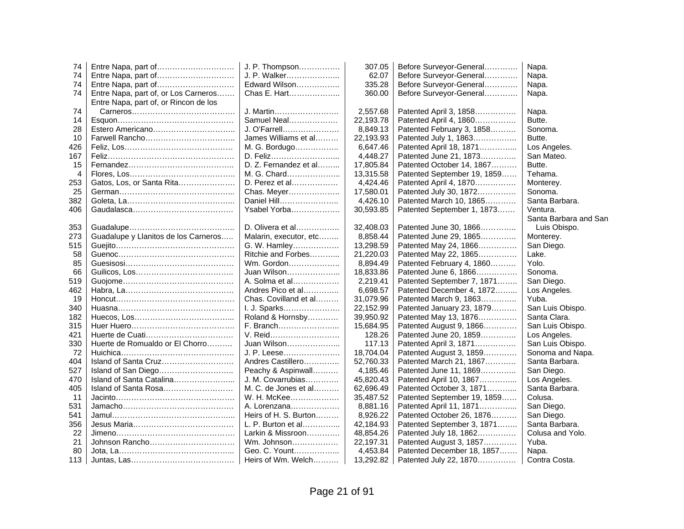| 74  |                                       | J. P. Thompson         | 307.05    | Before Surveyor-General     | Napa.                 |
|-----|---------------------------------------|------------------------|-----------|-----------------------------|-----------------------|
| 74  | Entre Napa, part of                   | J. P. Walker           | 62.07     | Before Surveyor-General     | Napa.                 |
| 74  | Entre Napa, part of                   | Edward Wilson          | 335.28    | Before Surveyor-General     | Napa.                 |
| 74  | Entre Napa, part of, or Los Carneros  | Chas E. Hart           | 360.00    | Before Surveyor-General     | Napa.                 |
|     | Entre Napa, part of, or Rincon de los |                        |           |                             |                       |
| 74  |                                       | J. Martin              | 2,557.68  | Patented April 3, 1858      | Napa.                 |
| 14  |                                       | Samuel Neal            | 22,193.78 | Patented April 4, 1860      | Butte.                |
| 28  |                                       | J. O'Farrell           | 8,849.13  | Patented February 3, 1858   | Sonoma.               |
| 10  |                                       | James Williams et al   | 22,193.93 | Patented July 1, 1863       | Butte.                |
| 426 |                                       | M. G. Bordugo          | 6,647.46  | Patented April 18, 1871     | Los Angeles.          |
| 167 |                                       | D. Feliz               | 4,448.27  | Patented June 21, 1873      | San Mateo.            |
| 15  |                                       | D. Z. Fernandez et al  | 17,805.84 | Patented October 14, 1867   | Butte.                |
| 4   |                                       | M. G. Chard            | 13,315.58 | Patented September 19, 1859 | Tehama.               |
| 253 | Gatos, Los, or Santa Rita             | D. Perez et al         | 4,424.46  | Patented April 4, 1870      | Monterey.             |
| 25  |                                       | Chas. Meyer            | 17,580.01 | Patented July 30, 1872      | Sonoma.               |
| 382 |                                       | Daniel Hill            | 4,426.10  | Patented March 10, 1865     | Santa Barbara.        |
| 406 |                                       | Ysabel Yorba           | 30,593.85 | Patented September 1, 1873  | Ventura.              |
|     |                                       |                        |           |                             | Santa Barbara and San |
| 353 |                                       | D. Olivera et al       | 32,408.03 | Patented June 30, 1866      | Luis Obispo.          |
| 273 | Guadalupe y Llanitos de los Carneros  | Malarin, executor, etc | 8,858.44  | Patented June 29, 1865      | Monterey.             |
| 515 |                                       | G. W. Hamley           | 13,298.59 | Patented May 24, 1866       | San Diego.            |
| 58  |                                       | Ritchie and Forbes     | 21,220.03 | Patented May 22, 1865       | Lake.                 |
| 85  |                                       | Wm. Gordon             | 8,894.49  | Patented February 4, 1860   | Yolo.                 |
| 66  |                                       | Juan Wilson            | 18,833.86 | Patented June 6, 1866       | Sonoma.               |
| 519 |                                       | A. Solma et al         | 2,219.41  | Patented September 7, 1871  | San Diego.            |
| 462 |                                       | Andres Pico et al      | 6,698.57  | Patented December 4, 1872   | Los Angeles.          |
| 19  |                                       | Chas. Covilland et al  | 31,079.96 | Patented March 9, 1863      | Yuba.                 |
| 340 |                                       | I. J. Sparks           | 22,152.99 | Patented January 23, 1879   | San Luis Obispo.      |
| 182 |                                       | Roland & Hornsby       | 39,950.92 | Patented May 13, 1876       | Santa Clara.          |
| 315 |                                       | F. Branch              | 15,684.95 | Patented August 9, 1866     | San Luis Obispo.      |
| 421 |                                       | V. Reid                | 128.26    | Patented June 20, 1859      | Los Angeles.          |
| 330 | Huerte de Romualdo or El Chorro       | Juan Wilson            | 117.13    | Patented April 3, 1871      | San Luis Obispo.      |
| 72  |                                       | J. P. Leese            | 18,704.04 | Patented August 3, 1859     | Sonoma and Napa.      |
| 404 | Island of Santa Cruz                  | Andres Castillero      | 52,760.33 | Patented March 21, 1867     | Santa Barbara.        |
| 527 |                                       | Peachy & Aspinwall     | 4,185.46  | Patented June 11, 1869      | San Diego.            |
| 470 | Island of Santa Catalina              | J. M. Covarrubias      | 45,820.43 | Patented April 10, 1867     | Los Angeles.          |
| 405 | Island of Santa Rosa                  | M. C. de Jones et al   | 62,696.49 | Patented October 3, 1871    | Santa Barbara.        |
| 11  |                                       | W. H. McKee            | 35,487.52 | Patented September 19, 1859 | Colusa.               |
| 531 |                                       | A. Lorenzana           | 8,881.16  | Patented April 11, 1871     | San Diego.            |
| 541 |                                       | Heirs of H. S. Burton  | 8,926.22  | Patented October 26, 1876   | San Diego.            |
| 356 |                                       | L. P. Burton et al     | 42,184.93 | Patented September 3, 1871  | Santa Barbara.        |
| 22  |                                       | Larkin & Missroon      | 48,854.26 | Patented July 18, 1862      | Colusa and Yolo.      |
| 21  | Johnson Rancho                        | $Wm.$ Johnson          | 22,197.31 | Patented August 3, 1857     | Yuba.                 |
| 80  |                                       | Geo. C. Yount          | 4,453.84  | Patented December 18, 1857  | Napa.                 |
| 113 |                                       | Heirs of Wm. Welch     | 13,292.82 | Patented July 22, 1870      | Contra Costa.         |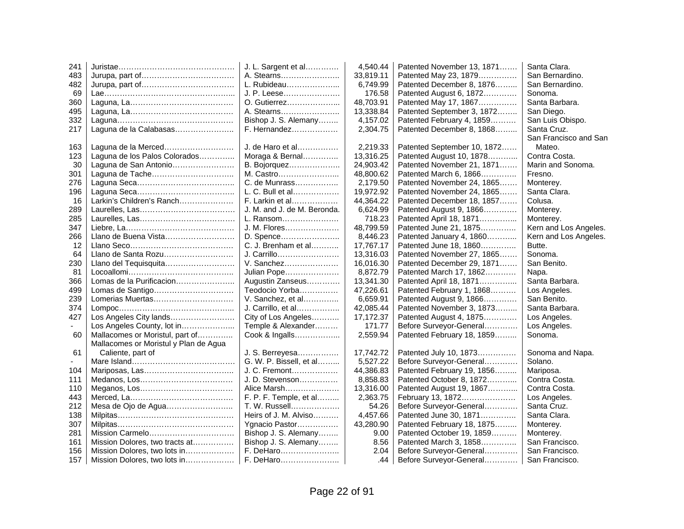| 241 |                                       | J. L. Sargent et al         | 4,540.44  | Patented November 13, 1871  | Santa Clara.          |
|-----|---------------------------------------|-----------------------------|-----------|-----------------------------|-----------------------|
| 483 |                                       | A. Stearns                  | 33.819.11 | Patented May 23, 1879       | San Bernardino.       |
| 482 |                                       | L. Rubideau                 | 6,749.99  | Patented December 8, 1876   | San Bernardino.       |
| 69  |                                       | J. P. Leese                 | 176.58    | Patented August 6, 1872     | Sonoma.               |
| 360 |                                       | O. Gutierrez                | 48,703.91 | Patented May 17, 1867       | Santa Barbara.        |
| 495 |                                       | A. Stearns                  | 13,338.84 | Patented September 3, 1872  | San Diego.            |
| 332 |                                       | Bishop J. S. Alemany        | 4,157.02  | Patented February 4, 1859   | San Luis Obispo.      |
| 217 | Laguna de la Calabasas                | F. Hernandez                | 2,304.75  | Patented December 8, 1868   | Santa Cruz.           |
|     |                                       |                             |           |                             | San Francisco and San |
| 163 | Laguna de la Merced                   | J. de Haro et al            | 2,219.33  | Patented September 10, 1872 | Mateo.                |
| 123 | Laguna de los Palos Colorados         | Moraga & Bernal             | 13,316.25 | Patented August 10, 1878    | Contra Costa.         |
| 30  | Laguna de San Antonio                 | B. Bojorquez                | 24,903.42 | Patented November 21, 1871  | Marin and Sonoma.     |
| 301 |                                       | M. Castro                   | 48,800.62 | Patented March 6, 1866      | Fresno.               |
| 276 |                                       | C. de Munrass               | 2,179.50  | Patented November 24, 1865  | Monterey.             |
| 196 |                                       | L. C. Bull et al            | 19,972.92 | Patented November 24, 1865  | Santa Clara.          |
| 16  | Larkin's Children's Ranch             | F. Larkin et al             | 44,364.22 | Patented December 18, 1857  | Colusa.               |
| 289 |                                       | J. M. and J. de M. Beronda. | 6,624.99  | Patented August 9, 1866     | Monterey.             |
| 285 |                                       | L. Ransom                   | 718.23    | Patented April 18, 1871     | Monterey.             |
| 347 |                                       | J. M. Flores                | 48,799.59 | Patented June 21, 1875      | Kern and Los Angeles. |
| 266 | Llano de Buena Vista                  | D. Spence                   | 8,446.23  | Patented January 4, 1860    | Kern and Los Angeles. |
| 12  |                                       | C. J. Brenham et al         | 17,767.17 | Patented June 18, 1860      | Butte.                |
| 64  | Llano de Santa Rozu                   | J. Carrillo                 | 13,316.03 | Patented November 27, 1865  | Sonoma.               |
| 230 | Llano del Tequisquita                 | V. Sanchez                  | 16,016.30 | Patented December 29, 1871  | San Benito.           |
| 81  |                                       | <b>Julian Pope</b>          | 8,872.79  | Patented March 17, 1862     | Napa.                 |
| 366 | Lomas de la Purificacion              | Augustin Zanseus            | 13,341.30 | Patented April 18, 1871     | Santa Barbara.        |
| 499 | Lomas de Santigo                      | Teodocio Yorba              | 47,226.61 | Patented February 1, 1868   | Los Angeles.          |
| 239 | Lomerias Muertas                      | V. Sanchez, et al           | 6,659.91  | Patented August 9, 1866     | San Benito.           |
| 374 |                                       | J. Carrillo, et al          | 42,085.44 | Patented November 3, 1873   | Santa Barbara.        |
| 427 | Los Angeles City lands                | City of Los Angeles         | 17,172.37 | Patented August 4, 1875     | Los Angeles.          |
|     | Los Angeles County, lot in            | Temple & Alexander          | 171.77    | Before Surveyor-General     | Los Angeles.          |
| 60  | Mallacomes or Moristul, part of       | Cook & Ingalls              | 2,559.94  | Patented February 18, 1859  | Sonoma.               |
|     | Mallacomes or Moristul y Plan de Agua |                             |           |                             |                       |
| 61  | Caliente, part of                     | J. S. Berreyesa             | 17,742.72 | Patented July 10, 1873      | Sonoma and Napa.      |
|     |                                       | G. W. P. Bissell, et al     | 5,527.22  | Before Surveyor-General     | Solano.               |
| 104 |                                       | J. C. Fremont               | 44,386.83 | Patented February 19, 1856  | Mariposa.             |
| 111 |                                       | J. D. Stevenson             | 8,858.83  | Patented October 8, 1872    | Contra Costa.         |
| 110 |                                       | Alice Marsh                 | 13,316.00 | Patented August 19, 1867    | Contra Costa.         |
| 443 |                                       | F. P. F. Temple, et al      | 2,363.75  | February 13, 1872           | Los Angeles.          |
| 212 | Mesa de Ojo de Agua                   | T. W. Russell               | 54.26     | Before Surveyor-General     | Santa Cruz.           |
| 138 |                                       | Heirs of J. M. Alviso       | 4,457.66  | Patented June 30, 1871      | Santa Clara.          |
| 307 |                                       | Ygnacio Pastor              | 43,280.90 | Patented February 18, 1875  | Monterey.             |
| 281 |                                       | Bishop J. S. Alemany        | 9.00      | Patented October 19, 1859   | Monterey.             |
| 161 | Mission Dolores, two tracts at        | Bishop J. S. Alemany        | 8.56      | Patented March 3, 1858      | San Francisco.        |
| 156 | Mission Dolores, two lots in          | F. DeHaro                   | 2.04      | Before Surveyor-General     | San Francisco.        |
| 157 | Mission Dolores, two lots in          | F. DeHaro                   | .44       | Before Surveyor-General     | San Francisco.        |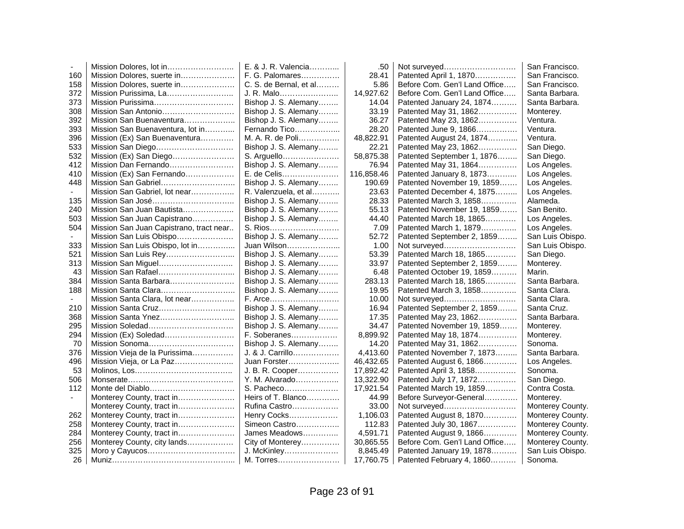|     |                                         | E. & J. R. Valencia    | .50        | Not surveyed                  | San Francisco.   |
|-----|-----------------------------------------|------------------------|------------|-------------------------------|------------------|
| 160 | Mission Dolores, suerte in              | F. G. Palomares        | 28.41      | Patented April 1, 1870        | San Francisco.   |
| 158 | Mission Dolores, suerte in              | C. S. de Bernal, et al | 5.86       | Before Com. Gen'l Land Office | San Francisco.   |
| 372 | Mission Purissima, La                   | J. R. Malo             | 14,927.62  | Before Com. Gen'l Land Office | Santa Barbara.   |
| 373 | Mission Purissima                       | Bishop J. S. Alemany   | 14.04      | Patented January 24, 1874     | Santa Barbara.   |
| 308 | Mission San Antonio                     | Bishop J. S. Alemany   | 33.19      | Patented May 31, 1862         | Monterey.        |
| 392 | Mission San Buenaventura                | Bishop J. S. Alemany   | 36.27      | Patented May 23, 1862         | Ventura.         |
| 393 | Mission San Buenaventura, lot in        | Fernando Tico          | 28.20      | Patented June 9, 1866         | Ventura.         |
| 396 | Mission (Ex) San Buenaventura           | M. A. R. de Poli       | 48,822.91  | Patented August 24, 1874      | Ventura.         |
| 533 | Mission San Diego                       | Bishop J. S. Alemany   | 22.21      | Patented May 23, 1862         | San Diego.       |
| 532 | Mission (Ex) San Diego                  | S. Arguello            | 58,875.38  | Patented September 1, 1876    | San Diego.       |
| 412 | Mission Dan Fernando                    | Bishop J. S. Alemany   | 76.94      | Patented May 31, 1864         | Los Angeles.     |
| 410 | Mission (Ex) San Fernando               | E. de Celis            | 116,858.46 | Patented January 8, 1873      | Los Angeles.     |
| 448 | Mission San Gabriel                     | Bishop J. S. Alemany   | 190.69     | Patented November 19, 1859    | Los Angeles.     |
|     | Mission San Gabriel, lot near           | R. Valenzuela, et al   | 23.63      | Patented December 4, 1875     | Los Angeles.     |
| 135 | Mission San José                        | Bishop J. S. Alemany   | 28.33      | Patented March 3, 1858        | Alameda.         |
| 240 | Mission San Juan Bautista               | Bishop J. S. Alemany   | 55.13      | Patented November 19, 1859    | San Benito.      |
| 503 | Mission San Juan Capistrano             | Bishop J. S. Alemany   | 44.40      | Patented March 18, 1865       | Los Angeles.     |
| 504 | Mission San Juan Capistrano, tract near | S. Rios                | 7.09       | Patented March 1, 1879        | Los Angeles.     |
|     | Mission San Luis Obispo                 | Bishop J. S. Alemany   | 52.72      | Patented September 2, 1859    | San Luis Obispo. |
| 333 | Mission San Luis Obispo, lot in         | Juan Wilson            | 1.00       | Not surveyed                  | San Luis Obispo. |
| 521 | Mission San Luis Rey                    | Bishop J. S. Alemany   | 53.39      | Patented March 18, 1865       | San Diego.       |
| 313 | Mission San Miguel                      | Bishop J. S. Alemany   | 33.97      | Patented September 2, 1859    | Monterey.        |
| 43  | Mission San Rafael                      | Bishop J. S. Alemany   | 6.48       | Patented October 19, 1859     | Marin.           |
| 384 | Mission Santa Barbara                   | Bishop J. S. Alemany   | 283.13     | Patented March 18, 1865       | Santa Barbara.   |
| 188 | Mission Santa Clara                     | Bishop J. S. Alemany   | 19.95      | Patented March 3, 1858        | Santa Clara.     |
|     | Mission Santa Clara, lot near           | F. Arce                | 10.00      | Not surveyed                  | Santa Clara.     |
| 210 | Mission Santa Cruz                      | Bishop J. S. Alemany   | 16.94      | Patented September 2, 1859    | Santa Cruz.      |
| 368 | Mission Santa Ynez                      | Bishop J. S. Alemany   | 17.35      | Patented May 23, 1862         | Santa Barbara.   |
| 295 |                                         | Bishop J. S. Alemany   | 34.47      | Patented November 19, 1859    | Monterey.        |
| 294 |                                         | F. Soberanes           | 8,899.92   | Patented May 18, 1874         | Monterey.        |
| 70  |                                         | Bishop J. S. Alemany   | 14.20      | Patented May 31, 1862         | Sonoma.          |
| 376 | Mission Vieja de la Purissima           | J. & J. Carrillo       | 4,413.60   | Patented November 7, 1873     | Santa Barbara.   |
| 496 | Mission Vieja, or La Paz                | Juan Forster           | 46,432.65  | Patented August 6, 1866       | Los Angeles.     |
| 53  |                                         | J. B. R. Cooper        | 17,892.42  | Patented April 3, 1858        | Sonoma.          |
| 506 |                                         | Y. M. Alvarado         | 13,322.90  | Patented July 17, 1872        | San Diego.       |
| 112 | Monte del Diablo                        | S. Pacheco             | 17,921.54  | Patented March 19, 1859       | Contra Costa.    |
|     | Monterey County, tract in               | Heirs of T. Blanco     | 44.99      | Before Surveyor-General       | Monterey.        |
|     | Monterey County, tract in               | Rufina Castro          | 33.00      | Not surveyed                  | Monterey County. |
| 262 | Monterey County, tract in               | Henry Cocks            | 1,106.03   | Patented August 8, 1870       | Monterey County. |
| 258 | Monterey County, tract in               | Simeon Castro          | 112.83     | Patented July 30, 1867        | Monterey County. |
| 284 | Monterey County, tract in               | James Meadows          | 4,591.71   | Patented August 9, 1866       | Monterey County. |
| 256 | Monterey County, city lands             | City of Monterey       | 30,865.55  | Before Com. Gen'l Land Office | Monterey County. |
| 325 |                                         | J. McKinley            | 8,845.49   | Patented January 19, 1878     | San Luis Obispo. |
| 26  |                                         | M. Torres              | 17,760.75  | Patented February 4, 1860     | Sonoma.          |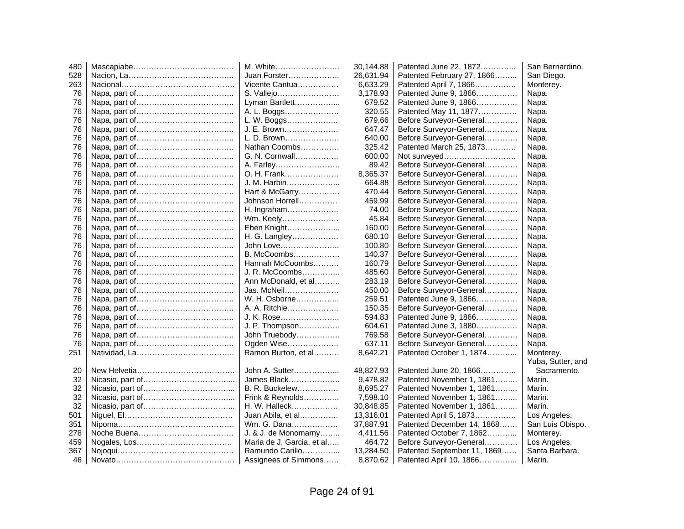| 480 | M. White                  | 30,144.88 | Patented June 22, 1872      | San Bernardino.   |
|-----|---------------------------|-----------|-----------------------------|-------------------|
| 528 | Juan Forster              | 26,631.94 | Patented February 27, 1866  | San Diego.        |
| 263 | Vicente Cantua            | 6,633.29  | Patented April 7, 1866      | Monterey.         |
| 76  | S. Vallejo                | 3,178.93  | Patented June 9, 1866       | Napa.             |
| 76  | Lyman Bartlett            | 679.52    | Patented June 9, 1866       | Napa.             |
| 76  | A. L. Boggs               | 320.55    | Patented May 11, 1877       | Napa.             |
| 76  | L. W. Boggs               | 679.66    | Before Surveyor-General     | Napa.             |
| 76  | J. E. Brown               | 647.47    | Before Surveyor-General     | Napa.             |
| 76  | L. D. Brown               | 640.00    | Before Surveyor-General     | Napa.             |
| 76  | Nathan Coombs             | 325.42    | Patented March 25, 1873     | Napa.             |
| 76  | G. N. Cornwall            | 600.00    | Not surveyed                | Napa.             |
| 76  | A. Farley                 | 89.42     | Before Surveyor-General     | Napa.             |
| 76  | O. H. Frank               | 8,365.37  | Before Surveyor-General     | Napa.             |
| 76  | J. M. Harbin              | 664.88    | Before Surveyor-General     | Napa.             |
| 76  | Hart & McGarry            | 470.44    | Before Surveyor-General     | Napa.             |
| 76  | Johnson Horrell           | 459.99    | Before Surveyor-General     | Napa.             |
| 76  | H. Ingraham               | 74.00     | Before Surveyor-General     | Napa.             |
| 76  | Wm. Keely                 | 45.84     | Before Surveyor-General     | Napa.             |
| 76  | Eben Knight               | 160.00    | Before Surveyor-General     | Napa.             |
| 76  | H. G. Langley             | 680.10    | Before Surveyor-General     | Napa.             |
| 76  | John Love                 | 100.80    | Before Surveyor-General     | Napa.             |
| 76  | B. McCoombs               | 140.37    | Before Surveyor-General     | Napa.             |
| 76  | Hannah McCoombs           | 160.79    | Before Surveyor-General     | Napa.             |
| 76  | J. R. McCoombs            | 485.60    | Before Surveyor-General     | Napa.             |
| 76  | Ann McDonald, et al       | 283.19    | Before Surveyor-General     | Napa.             |
| 76  | Jas. McNeil               | 450.00    | Before Surveyor-General     | Napa.             |
| 76  | W. H. Osborne             | 259.51    | Patented June 9, 1866       | Napa.             |
| 76  | A. A. Ritchie             | 150.35    | Before Surveyor-General     | Napa.             |
| 76  | J. K. Rose                | 594.83    | Patented June 9, 1866       | Napa.             |
| 76  | J. P. Thompson            | 604.61    | Patented June 3, 1880       | Napa.             |
| 76  | John Truebody             | 769.58    | Before Surveyor-General     | Napa.             |
| 76  | Ogden Wise                | 637.11    | Before Surveyor-General     | Napa.             |
| 251 | Ramon Burton, et al       | 8,642.21  | Patented October 1, 1874    | Monterey.         |
|     |                           |           |                             | Yuba, Sutter, and |
| 20  | John A. Sutter            | 48,827.93 | Patented June 20, 1866      | Sacramento.       |
| 32  | James Black               | 9,478.82  | Patented November 1, 1861   | Marin.            |
| 32  | B. R. Buckelew            | 8,695.27  | Patented November 1, 1861   | Marin.            |
| 32  | Frink & Reynolds          | 7,598.10  | Patented November 1, 1861   | Marin.            |
| 32  | H. W. Halleck             | 30,848.85 | Patented November 1, 1861   | Marin.            |
| 501 | Juan Abila, et al         | 13,316.01 | Patented April 5, 1873      | Los Angeles.      |
| 351 | Wm. G. Dana               | 37,887.91 | Patented December 14, 1868  | San Luis Obispo.  |
| 278 | J. & J. de Monomarny      | 4,411.56  | Patented October 7, 1862    | Monterey.         |
| 459 | Maria de J. Garcia, et al | 464.72    | Before Surveyor-General     | Los Angeles.      |
| 367 | Ramundo Carillo           | 13,284.50 | Patented September 11, 1869 | Santa Barbara.    |
| 46  | Assignees of Simmons      | 8,870.62  | Patented April 10, 1866     | Marin.            |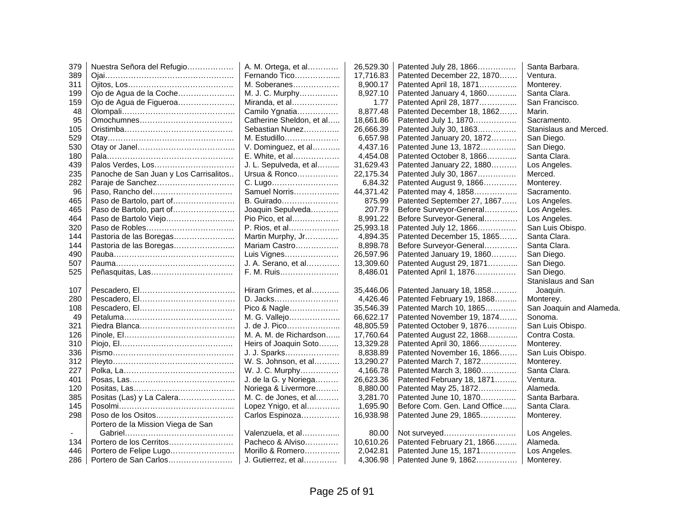| 379 | Nuestra Señora del Refugio             | A. M. Ortega, et al      | 26,529.30 | Patented July 28, 1866       | Santa Barbara.           |
|-----|----------------------------------------|--------------------------|-----------|------------------------------|--------------------------|
| 389 |                                        | Fernando Tico            | 17,716.83 | Patented December 22, 1870   | Ventura.                 |
| 311 |                                        | M. Soberanes             | 8,900.17  | Patented April 18, 1871      | Monterey.                |
| 199 | Ojo de Agua de la Coche                | M. J. C. Murphy          | 8,927.10  | Patented January 4, 1860     | Santa Clara.             |
| 159 | Ojo de Agua de Figueroa                | Miranda, et al           | 1.77      | Patented April 28, 1877      | San Francisco.           |
| 48  |                                        | Camilo Ygnatia           | 8,877.48  | Patented December 18, 1862   | Marin.                   |
| 95  |                                        | Catherine Sheldon, et al | 18,661.86 | Patented July 1, 1870        | Sacramento.              |
| 105 |                                        | Sebastian Nunez          | 26,666.39 | Patented July 30, 1863       | Stanislaus and Merced.   |
| 529 |                                        | M. Estudillo             | 6,657.98  | Patented January 20, 1872    | San Diego.               |
| 530 |                                        | V. Dominguez, et al      | 4,437.16  | Patented June 13, 1872       | San Diego.               |
| 180 |                                        | E. White, et al          | 4,454.08  | Patented October 8, 1866     | Santa Clara.             |
| 439 |                                        | J. L. Sepulveda, et al   | 31,629.43 | Patented January 22, 1880    | Los Angeles.             |
| 235 | Panoche de San Juan y Los Carrisalitos | Ursua & Ronco            | 22,175.34 | Patented July 30, 1867       | Merced.                  |
| 282 | Paraje de Sanchez                      | C. Lugo                  | 6,84.32   | Patented August 9, 1866      | Monterey.                |
| 96  | Paso, Rancho del                       | Samuel Norris            | 44,371.42 | Patented may 4, 1858         | Sacramento.              |
| 465 | Paso de Bartolo, part of               | B. Guirado               | 875.99    | Patented September 27, 1867  | Los Angeles.             |
| 465 |                                        | Joaquin Sepulveda        | 207.79    | Before Surveyor-General      | Los Angeles.             |
| 464 | Paso de Bartolo Viejo                  | Pio Pico, et al          | 8,991.22  | Before Surveyor-General      | Los Angeles.             |
| 320 |                                        | P. Rios, et al           | 25,993.18 | Patented July 12, 1866       | San Luis Obispo.         |
| 144 |                                        | Martin Murphy, Jr        | 4,894.35  | Patented December 15, 1865   | Santa Clara.             |
| 144 |                                        | Mariam Castro            | 8,898.78  | Before Surveyor-General      | Santa Clara.             |
| 490 |                                        | Luis Vignes              | 26,597.96 | Patented January 19, 1860    | San Diego.               |
| 507 |                                        | J. A. Serano, et al      | 13,309.60 | Patented August 29, 1871     | San Diego.               |
| 525 |                                        | F. M. Ruis               | 8,486.01  | Patented April 1, 1876       | San Diego.               |
|     |                                        |                          |           |                              | Stanislaus and San       |
| 107 |                                        | Hiram Grimes, et al      | 35,446.06 | Patented January 18, 1858    | Joaquin.                 |
| 280 |                                        | D. Jacks                 | 4,426.46  | Patented February 19, 1868   | Monterey.                |
| 108 |                                        | Pico & Nagle             | 35,546.39 | Patented March 10, 1865      | San Joaquin and Alameda. |
| 49  |                                        | M. G. Vallejo            | 66,622.17 | Patented November 19, 1874   | Sonoma.                  |
| 321 |                                        | J. de J. Pico            | 48,805.59 | Patented October 9, 1876     | San Luis Obispo.         |
| 126 |                                        | M. A. M. de Richardson   | 17,760.64 | Patented August 22, 1868     | Contra Costa.            |
| 310 |                                        | Heirs of Joaquin Soto    | 13,329.28 | Patented April 30, 1866      | Monterey.                |
| 336 |                                        | J. J. Sparks             | 8,838.89  | Patented November 16, 1866   | San Luis Obispo.         |
| 312 |                                        | W. S. Johnson, et al     | 13,290.27 | Patented March 7, 1872       | Monterey.                |
| 227 |                                        | W. J. C. Murphy          | 4.166.78  | Patented March 3, 1860       | Santa Clara.             |
| 401 |                                        | J. de la G. y Noriega    | 26,623.36 | Patented February 18, 1871   | Ventura.                 |
| 120 |                                        | Noriega & Livermore      | 8,880.00  | Patented May 25, 1872        | Alameda.                 |
| 385 | Positas (Las) y La Calera              | M. C. de Jones, et al    | 3,281.70  | Patented June 10, 1870       | Santa Barbara.           |
| 145 |                                        | Lopez Ynigo, et al       | 1,695.90  | Before Com. Gen. Land Office | Santa Clara.             |
| 298 | Poso de los Ositos                     | Carlos Espinoza          | 16,938.98 | Patented June 29, 1865       | Monterey.                |
|     | Portero de la Mission Viega de San     |                          |           |                              |                          |
|     |                                        | Valenzuela, et al        | 80.00     | Not surveyed                 | Los Angeles.             |
| 134 | Portero de los Cerritos                | Pacheco & Alviso         | 10,610.26 | Patented February 21, 1866   | Alameda.                 |
| 446 |                                        | Morillo & Romero         | 2,042.81  | Patented June 15, 1871       | Los Angeles.             |
| 286 | Portero de San Carlos                  | J. Gutierrez, et al      | 4,306.98  | Patented June 9, 1862        | Monterey.                |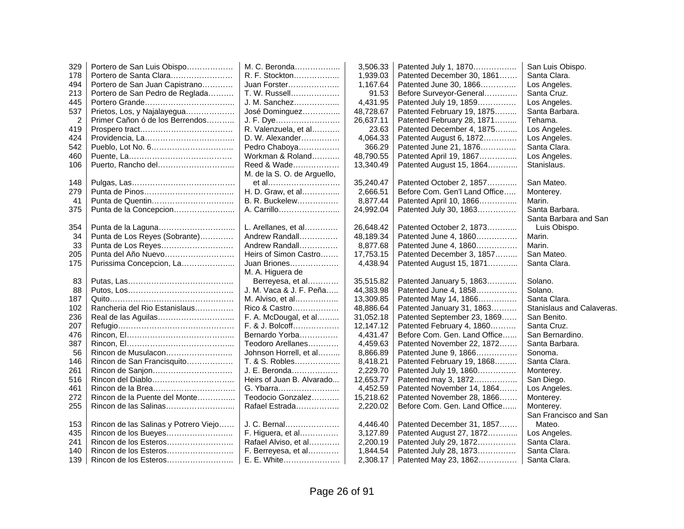| 329            | Portero de San Luis Obispo            | M. C. Beronda               | 3,506.33  | Patented July 1, 1870         | San Luis Obispo.          |
|----------------|---------------------------------------|-----------------------------|-----------|-------------------------------|---------------------------|
| 178            | Portero de Santa Clara                | R. F. Stockton              | 1,939.03  | Patented December 30, 1861    | Santa Clara.              |
| 494            | Portero de San Juan Capistrano        | Juan Forster                | 1,167.64  | Patented June 30, 1866        | Los Angeles.              |
| 213            | Portero de San Pedro de Reglada       | T. W. Russell               | 91.53     | Before Surveyor-General       | Santa Cruz.               |
| 445            |                                       | J. M. Sanchez               | 4,431.95  | Patented July 19, 1859        | Los Angeles.              |
| 537            | Prietos, Los, y Najalayegua           | José Dominguez              | 48,728.67 | Patented February 19, 1875    | Santa Barbara.            |
| $\overline{c}$ | Primer Cañon ó de los Berrendos       | J. F. Dye                   | 26,637.11 | Patented February 28, 1871    | Tehama.                   |
| 419            |                                       | R. Valenzuela, et al        | 23.63     | Patented December 4, 1875     | Los Angeles.              |
| 424            |                                       | D. W. Alexander             | 4,064.33  | Patented August 6, 1872       | Los Angeles.              |
| 542            |                                       | Pedro Chaboya               | 366.29    | Patented June 21, 1876        | Santa Clara.              |
| 460            |                                       | Workman & Roland            | 48,790.55 | Patented April 19, 1867       | Los Angeles.              |
| 106            | Puerto, Rancho del                    | Reed & Wade                 | 13,340.49 | Patented August 15, 1864      | Stanislaus.               |
|                |                                       | M. de la S. O. de Arguello, |           |                               |                           |
| 148            |                                       | et al                       | 35,240.47 | Patented October 2, 1857      | San Mateo.                |
| 279            |                                       | H. D. Graw, et al           | 2,666.51  | Before Com. Gen'l Land Office | Monterey.                 |
| 41             |                                       | B. R. Buckelew              | 8,877.44  | Patented April 10, 1866       | Marin.                    |
| 375            | Punta de la Concepcion                | A. Carrillo                 | 24,992.04 | Patented July 30, 1863        | Santa Barbara.            |
|                |                                       |                             |           |                               | Santa Barbara and San     |
| 354            |                                       | L. Arellanes, et al         | 26,648.42 | Patented October 2, 1873      | Luis Obispo.              |
| 34             | Punta de Los Reyes (Sobrante)         | Andrew Randall              | 48,189.34 | Patented June 4, 1860         | Marin.                    |
| 33             | Punta de Los Reyes                    | Andrew Randall              | 8,877.68  | Patented June 4, 1860         | Marin.                    |
| 205            | Punta del Año Nuevo                   | Heirs of Simon Castro       | 17,753.15 | Patented December 3, 1857     | San Mateo.                |
| 175            | Purissima Concepcion, La              | Juan Briones                | 4,438.94  | Patented August 15, 1871      | Santa Clara.              |
|                |                                       | M. A. Higuera de            |           |                               |                           |
| 83             |                                       | Berreyesa, et al            | 35,515.82 | Patented January 5, 1863      | Solano.                   |
| 88             |                                       | J. M. Vaca & J. F. Peña     | 44,383.98 | Patented June 4, 1858         | Solano.                   |
| 187            |                                       | M. Alviso, et al            | 13,309.85 | Patented May 14, 1866         | Santa Clara.              |
| 102            | Rancheria del Rio Estanislaus         | Rico & Castro               | 48,886.64 | Patented January 31, 1863     | Stanislaus and Calaveras. |
| 236            |                                       | F. A. McDougal, et al       | 31,052.18 | Patented September 23, 1869   | San Benito.               |
| 207            |                                       | F. & J. Bolcoff             | 12,147.12 | Patented February 4, 1860     | Santa Cruz.               |
| 476            |                                       | Bernardo Yorba              | 4,431.47  | Before Com. Gen. Land Office  | San Bernardino.           |
| 387            |                                       | Teodoro Arellanes           | 4,459.63  | Patented November 22, 1872    | Santa Barbara.            |
| 56             | Rincon de Musulacon                   | Johnson Horrell, et al      | 8,866.89  | Patented June 9, 1866         | Sonoma.                   |
| 146            | Rincon de San Francisquito            | T. & S. Robles              | 8,418.21  | Patented February 19, 1868    | Santa Clara.              |
| 261            |                                       | J. E. Beronda               | 2,229.70  | Patented July 19, 1860        | Monterey.                 |
| 516            | Rincon del Diablo                     | Heirs of Juan B. Alvarado   | 12,653.77 | Patented may 3, 1872          | San Diego.                |
| 461            |                                       | G. Ybarra                   | 4,452.59  | Patented November 14, 1864    | Los Angeles.              |
| 272            | Rincon de la Puente del Monte         | Teodocio Gonzalez           | 15,218.62 | Patented November 28, 1866    | Monterey.                 |
| 255            |                                       | Rafael Estrada              | 2,220.02  | Before Com. Gen. Land Office  | Monterey.                 |
|                |                                       |                             |           |                               | San Francisco and San     |
| 153            | Rincon de las Salinas y Potrero Viejo | J. C. Bernal                | 4,446.40  | Patented December 31, 1857    | Mateo.                    |
| 435            |                                       | F. Higuera, et al           | 3,127.89  | Patented August 27, 1872      | Los Angeles.              |
| 241            |                                       | Rafael Alviso, et al        | 2,200.19  | Patented July 29, 1872        | Santa Clara.              |
| 140            |                                       | F. Berreyesa, et al         | 1,844.54  | Patented July 28, 1873        | Santa Clara.              |
| 139            |                                       | $E. E.$ White               | 2,308.17  | Patented May 23, 1862         | Santa Clara.              |
|                |                                       |                             |           |                               |                           |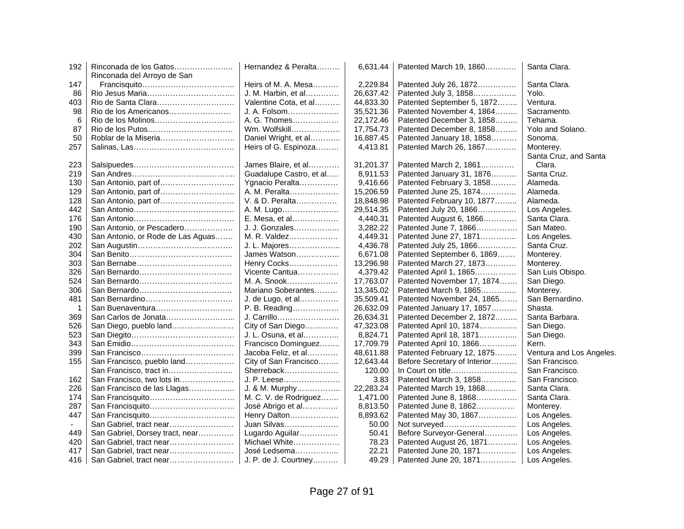| 192 | Rinconada de los Gatos            | Hernandez & Peralta     | 6,631.44  | Patented March 19, 1860      | Santa Clara.             |
|-----|-----------------------------------|-------------------------|-----------|------------------------------|--------------------------|
|     | Rinconada del Arroyo de San       |                         |           |                              |                          |
| 147 |                                   | Heirs of M. A. Mesa     | 2,229.84  | Patented July 26, 1872       | Santa Clara.             |
| 86  |                                   | J. M. Harbin, et al     | 26,637.42 | Patented July 3, 1858        | Yolo.                    |
| 403 | Rio de Santa Clara                | Valentine Cota, et al   | 44,833.30 | Patented September 5, 1872   | Ventura.                 |
| 98  | Rio de los Americanos             | J. A. Folsom            | 35,521.36 | Patented November 4, 1864    | Sacramento.              |
| 6   |                                   | A. G. Thomes            | 22,172.46 | Patented December 3, 1858    | Tehama.                  |
| 87  |                                   | Wm. Wolfskill           | 17,754.73 | Patented December 8, 1858    | Yolo and Solano.         |
| 50  | Roblar de la Miseria              | Daniel Wright, et al    | 16,887.45 | Patented January 18, 1858    | Sonoma.                  |
| 257 |                                   | Heirs of G. Espinoza    | 4,413.81  | Patented March 26, 1867      | Monterey.                |
|     |                                   |                         |           |                              | Santa Cruz, and Santa    |
| 223 |                                   | James Blaire, et al     | 31,201.37 | Patented March 2, 1861       | Clara.                   |
| 219 |                                   | Guadalupe Castro, et al | 8,911.53  | Patented January 31, 1876    | Santa Cruz.              |
| 130 | San Antonio, part of              | Ygnacio Peralta         | 9,416.66  | Patented February 3, 1858    | Alameda.                 |
| 129 |                                   | A. M. Peralta           | 15,206.59 | Patented June 25, 1874       | Alameda.                 |
| 128 |                                   | V. & D. Peralta         | 18,848.98 | Patented February 10, 1877   | Alameda.                 |
| 442 |                                   | A. M. Lugo              | 29,514.35 | Patented July 20, 1866       | Los Angeles.             |
| 176 |                                   | E. Mesa, et al          | 4,440.31  | Patented August 6, 1866      | Santa Clara.             |
| 190 | San Antonio, or Pescadero         | J. J. Gonzales          | 3,282.22  | Patented June 7, 1866        | San Mateo.               |
| 430 | San Antonio, or Rode de Las Aguas | M. R. Valdez            | 4,449.31  | Patented June 27, 1871       | Los Angeles.             |
| 202 |                                   | J. L. Majores           | 4,436.78  | Patented July 25, 1866       | Santa Cruz.              |
| 304 |                                   | James Watson            | 6,671.08  | Patented September 6, 1869   | Monterey.                |
| 303 |                                   | Henry Cocks             | 13,296.98 | Patented March 27, 1873      | Monterey.                |
| 326 |                                   | Vicente Cantua          | 4,379.42  | Patented April 1, 1865       | San Luis Obispo.         |
| 524 |                                   | M. A. Snook             | 17,763.07 | Patented November 17, 1874   | San Diego.               |
| 306 |                                   | Mariano Soberantes      | 13,345.02 | Patented March 9, 1865       | Monterey.                |
| 481 |                                   | J. de Lugo, et al       | 35,509.41 | Patented November 24, 1865   | San Bernardino.          |
| -1  | San Buenaventura                  | P. B. Reading           | 26,632.09 | Patented January 17, 1857    | Shasta.                  |
| 369 |                                   | J. Carrillo             | 26,634.31 | Patented December 2, 1872    | Santa Barbara.           |
| 526 | San Diego, pueblo land            | City of San Diego       | 47,323.08 | Patented April 10, 1874      | San Diego.               |
| 523 |                                   | J. L. Osuna, et al      | 8,824.71  | Patented April 18, 1871      | San Diego.               |
| 343 |                                   | Francisco Dominguez     | 17,709.79 | Patented April 10, 1866      | Kern.                    |
| 399 |                                   | Jacoba Feliz, et al     | 48,611.88 | Patented February 12, 1875   | Ventura and Los Angeles. |
| 155 | San Francisco, pueblo land        | City of San Francisco   | 12,643.44 | Before Secretary of Interior | San Francisco.           |
|     | San Francisco, tract in           | Sherreback              | 120.00    | In Court on title            | San Francisco.           |
| 162 | San Francisco, two lots in        | J. P. Leese             | 3.83      | Patented March 3, 1858       | San Francisco.           |
| 226 | San Francisco de las Llagas       | J. & M. Murphy          | 22,283.24 | Patented March 19, 1868      | Santa Clara.             |
| 174 |                                   | M. C. V. de Rodriguez   | 1,471.00  | Patented June 8, 1868        | Santa Clara.             |
| 287 | San Francisquito                  | José Abrigo et al       | 8,813.50  | Patented June 8, 1862        | Monterey.                |
| 447 | San Francisquito                  | Henry Dalton            | 8,893.62  | Patented May 30, 1867        | Los Angeles.             |
|     | San Gabriel, tract near           | Juan Silvas             | 50.00     | Not surveyed                 | Los Angeles.             |
| 449 | San Gabriel, Dorsey tract, near   | Lugardo Aguilar         | 50.41     | Before Surveyor-General      | Los Angeles.             |
| 420 | San Gabriel, tract near           | Michael White           | 78.23     | Patented August 26, 1871     | Los Angeles.             |
| 417 | San Gabriel, tract near           | José Ledsema            | 22.21     | Patented June 20, 1871       | Los Angeles.             |
| 416 | San Gabriel, tract near           | J. P. de J. Courtney    | 49.29     | Patented June 20, 1871       | Los Angeles.             |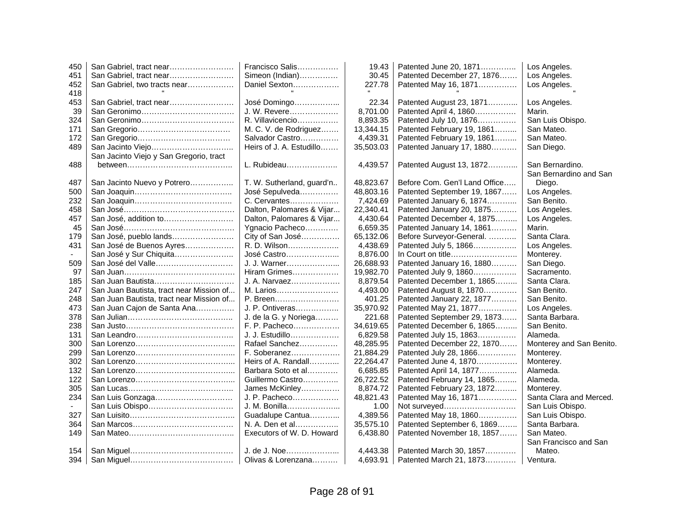| 450 | San Gabriel, tract near                                                                 | Francisco Salis           | 19.43     | Patented June 20, 1871        | Los Angeles.             |
|-----|-----------------------------------------------------------------------------------------|---------------------------|-----------|-------------------------------|--------------------------|
| 451 | San Gabriel, tract near                                                                 | Simeon (Indian)           | 30.45     | Patented December 27, 1876    | Los Angeles.             |
| 452 | San Gabriel, two tracts near                                                            | Daniel Sexton             | 227.78    | Patented May 16, 1871         | Los Angeles.             |
| 418 |                                                                                         |                           |           |                               |                          |
| 453 | San Gabriel, tract near                                                                 | José Domingo              | 22.34     | Patented August 23, 1871      | Los Angeles.             |
| 39  |                                                                                         | J. W. Revere              | 8.701.00  | Patented April 4, 1860        | Marin.                   |
| 324 |                                                                                         | R. Villavicencio          | 8,893.35  | Patented July 10, 1876        | San Luis Obispo.         |
| 171 |                                                                                         | M. C. V. de Rodriguez     | 13,344.15 | Patented February 19, 1861    | San Mateo.               |
| 172 |                                                                                         | Salvador Castro           | 4,439.31  | Patented February 19, 1861    | San Mateo.               |
| 489 | San Jacinto Viejo                                                                       | Heirs of J. A. Estudillo  | 35,503.03 | Patented January 17, 1880     | San Diego.               |
|     | San Jacinto Viejo y San Gregorio, tract                                                 |                           |           |                               |                          |
| 488 | $between \dots \dots \dots \dots \dots \dots \dots \dots \dots \dots \dots \dots \dots$ | L. Rubideau               | 4,439.57  | Patented August 13, 1872      | San Bernardino.          |
|     |                                                                                         |                           |           |                               | San Bernardino and San   |
| 487 | San Jacinto Nuevo y Potrero                                                             | T. W. Sutherland, guard'n | 48,823.67 | Before Com. Gen'l Land Office | Diego.                   |
| 500 |                                                                                         | José Sepulveda            | 48,803.16 | Patented September 19, 1867   | Los Angeles.             |
| 232 |                                                                                         | C. Cervantes              | 7,424.69  | Patented January 6, 1874      | San Benito.              |
| 458 |                                                                                         | Dalton, Palomares & Vijar | 22,340.41 | Patented January 20, 1875     | Los Angeles.             |
| 457 | San José, addition to                                                                   | Dalton, Palomares & Vijar | 4,430.64  | Patented December 4, 1875     | Los Angeles.             |
| 45  |                                                                                         | Ygnacio Pacheco           | 6,659.35  | Patented January 14, 1861     | Marin.                   |
| 179 | San José, pueblo lands                                                                  | City of San José          | 65,132.06 | Before Surveyor-General.      | Santa Clara.             |
| 431 | San José de Buenos Ayres                                                                | R. D. Wilson              | 4,438.69  | Patented July 5, 1866         | Los Angeles.             |
|     | San José y Sur Chiquita                                                                 | José Castro               | 8,876.00  |                               | Monterey.                |
| 509 | San José del Valle                                                                      | J. J. Warner              | 26,688.93 | Patented January 16, 1880     | San Diego.               |
| 97  |                                                                                         | Hiram Grimes              | 19,982.70 | Patented July 9, 1860         | Sacramento.              |
| 185 | San Juan Bautista                                                                       | J. A. Narvaez             | 8,879.54  | Patented December 1, 1865     | Santa Clara.             |
| 247 | San Juan Bautista, tract near Mission of                                                | M. Larios                 | 4,493.00  | Patented August 8, 1870       | San Benito.              |
| 248 | San Juan Bautista, tract near Mission of                                                | P. Breen                  | 401.25    | Patented January 22, 1877     | San Benito.              |
| 473 | San Juan Cajon de Santa Ana                                                             | J. P. Ontiveras           | 35,970.92 | Patented May 21, 1877         | Los Angeles.             |
| 378 |                                                                                         | J. de la G. y Noriega     | 221.68    | Patented September 29, 1873   | Santa Barbara.           |
| 238 |                                                                                         | F. P. Pacheco             | 34,619.65 | Patented December 6, 1865     | San Benito.              |
| 131 |                                                                                         | J. J. Estudillo           | 6,829.58  | Patented July 15, 1863        | Alameda.                 |
| 300 |                                                                                         | Rafael Sanchez            | 48,285.95 | Patented December 22, 1870    | Monterey and San Benito. |
| 299 |                                                                                         | F. Soberanez              | 21,884.29 | Patented July 28, 1866        | Monterey.                |
| 302 |                                                                                         | Heirs of A. Randall       | 22,264.47 | Patented June 4, 1870         | Monterey.                |
| 132 |                                                                                         | Barbara Soto et al        | 6,685.85  | Patented April 14, 1877       | Alameda.                 |
| 122 |                                                                                         | Guillermo Castro          | 26,722.52 | Patented February 14, 1865    | Alameda.                 |
| 305 |                                                                                         | James McKinley            | 8,874.72  | Patented February 23, 1872    | Monterey.                |
| 234 | San Luis Gonzaga                                                                        | J. P. Pacheco             | 48,821.43 | Patented May 16, 1871         | Santa Clara and Merced.  |
|     | San Luis Obispo                                                                         | J. M. Bonilla             | 1.00      | Not surveyed                  | San Luis Obispo.         |
| 327 |                                                                                         | Guadalupe Cantua          | 4,389.56  | Patented May 18, 1860         | San Luis Obispo.         |
| 364 |                                                                                         | N. A. Den et al           | 35,575.10 | Patented September 6, 1869    | Santa Barbara.           |
| 149 |                                                                                         | Executors of W. D. Howard | 6,438.80  | Patented November 18, 1857    | San Mateo.               |
|     |                                                                                         |                           |           |                               | San Francisco and San    |
| 154 |                                                                                         | J. de J. Noe              | 4,443.38  | Patented March 30, 1857       | Mateo.                   |
| 394 |                                                                                         | Olivas & Lorenzana        | 4,693.91  | Patented March 21, 1873       | Ventura.                 |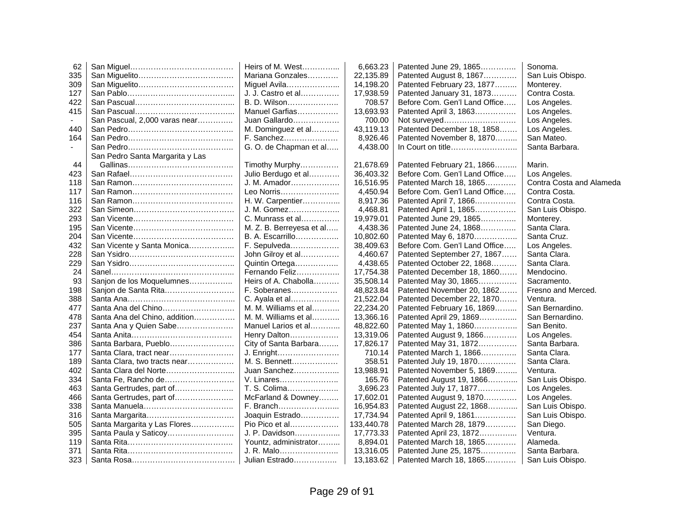| 62             |                                 | Heirs of M. West         | 6,663.23   | Patented June 29, 1865        | Sonoma.                  |
|----------------|---------------------------------|--------------------------|------------|-------------------------------|--------------------------|
| 335            |                                 | Mariana Gonzales         | 22,135.89  | Patented August 8, 1867       | San Luis Obispo.         |
| 309            |                                 | Miguel Avila             | 14,198.20  | Patented February 23, 1877    | Monterey.                |
| 127            |                                 | J. J. Castro et al       | 17,938.59  | Patented January 31, 1873     | Contra Costa.            |
| 422            |                                 | B. D. Wilson             | 708.57     | Before Com. Gen'l Land Office | Los Angeles.             |
| 415            |                                 | Manuel Garfias           | 13,693.93  | Patented April 3, 1863        | Los Angeles.             |
|                | San Pascual, 2,000 varas near   | Juan Gallardo            | 700.00     | Not surveyed                  | Los Angeles.             |
| 440            |                                 | M. Dominguez et al       | 43,119.13  | Patented December 18, 1858    | Los Angeles.             |
| 164            |                                 | F. Sanchez               | 8,926.46   | Patented November 8, 1870     | San Mateo.               |
| $\overline{a}$ |                                 | G. O. de Chapman et al   | 4,438.00   | In Court on title             | Santa Barbara.           |
|                | San Pedro Santa Margarita y Las |                          |            |                               |                          |
| 44             |                                 | Timothy Murphy           | 21,678.69  | Patented February 21, 1866    | Marin.                   |
| 423            |                                 | Julio Berdugo et al      | 36,403.32  | Before Com. Gen'l Land Office | Los Angeles.             |
| 118            |                                 | J. M. Amador             | 16,516.95  | Patented March 18, 1865       | Contra Costa and Alameda |
| 117            |                                 | Leo Norris               | 4,450.94   | Before Com. Gen'l Land Office | Contra Costa.            |
| 116            |                                 | H. W. Carpentier         | 8,917.36   | Patented April 7, 1866        | Contra Costa.            |
| 322            |                                 | J. M. Gomez              | 4,468.81   | Patented April 1, 1865        | San Luis Obispo.         |
| 293            |                                 | C. Munrass et al         | 19,979.01  | Patented June 29, 1865        | Monterey.                |
| 195            |                                 | M. Z. B. Berreyesa et al | 4,438.36   | Patented June 24, 1868        | Santa Clara.             |
| 204            |                                 | B. A. Escarrillo         | 10,802.60  | Patented May 6, 1870          | Santa Cruz.              |
| 432            | San Vicente y Santa Monica      | F. Sepulveda             | 38,409.63  | Before Com. Gen'l Land Office | Los Angeles.             |
| 228            |                                 | John Gilroy et al        | 4,460.67   | Patented September 27, 1867   | Santa Clara.             |
| 229            |                                 | Quintin Ortega           | 4,438.65   | Patented October 22, 1868     | Santa Clara.             |
| 24             |                                 | Fernando Feliz           | 17,754.38  | Patented December 18, 1860    | Mendocino.               |
| 93             | Sanjon de los Moquelumnes       | Heirs of A. Chabolla     | 35,508.14  | Patented May 30, 1865         | Sacramento.              |
| 198            | Sanjon de Santa Rita            | F. Soberanes             | 48,823.84  | Patented November 20, 1862    | Fresno and Merced.       |
| 388            |                                 | C. Ayala et al           | 21,522.04  | Patented December 22, 1870    | Ventura.                 |
| 477            | Santa Ana del Chino             | M. M. Williams et al     | 22,234.20  | Patented February 16, 1869    | San Bernardino.          |
| 478            | Santa Ana del Chino, addition   | M. M. Williams et al     | 13,366.16  | Patented April 29, 1869       | San Bernardino.          |
| 237            | Santa Ana y Quien Sabe          | Manuel Larios et al      | 48,822.60  | Patented May 1, 1860          | San Benito.              |
| 454            |                                 | Henry Dalton             | 13,319.06  | Patented August 9, 1866       | Los Angeles.             |
| 386            | Santa Barbara, Pueblo           | City of Santa Barbara    | 17,826.17  | Patented May 31, 1872         | Santa Barbara.           |
| 177            | Santa Clara, tract near         | J. Enright               | 710.14     | Patented March 1, 1866        | Santa Clara.             |
| 189            | Santa Clara, two tracts near    | M. S. Bennett            | 358.51     | Patented July 19, 1870        | Santa Clara.             |
| 402            | Santa Clara del Norte           | Juan Sanchez             | 13,988.91  | Patented November 5, 1869     | Ventura.                 |
| 334            | Santa Fe, Rancho de             | V. Linares               | 165.76     | Patented August 19, 1866      | San Luis Obispo.         |
| 463            | Santa Gertrudes, part of        | T. S. Colima             | 3,696.23   | Patented July 17, 1877        | Los Angeles.             |
| 466            | Santa Gertrudes, part of        | McFarland & Downey       | 17,602.01  | Patented August 9, 1870       | Los Angeles.             |
| 338            |                                 | F. Branch                | 16,954.83  | Patented August 22, 1868      | San Luis Obispo.         |
| 316            |                                 | Joaquin Estrado          | 17,734.94  | Patented April 9, 1861        | San Luis Obispo.         |
| 505            | Santa Margarita y Las Flores    | Pio Pico et al           | 133,440.78 | Patented March 28, 1879       | San Diego.               |
| 395            | Santa Paula y Saticoy           | J. P. Davidson           | 17,773.33  | Patented April 23, 1872       | Ventura.                 |
| 119            |                                 | Yountz, administrator    | 8,894.01   | Patented March 18, 1865       | Alameda.                 |
| 371            |                                 | J. R. Malo               | 13,316.05  | Patented June 25, 1875        | Santa Barbara.           |
| 323            |                                 | Julian Estrado           | 13,183.62  | Patented March 18, 1865       | San Luis Obispo.         |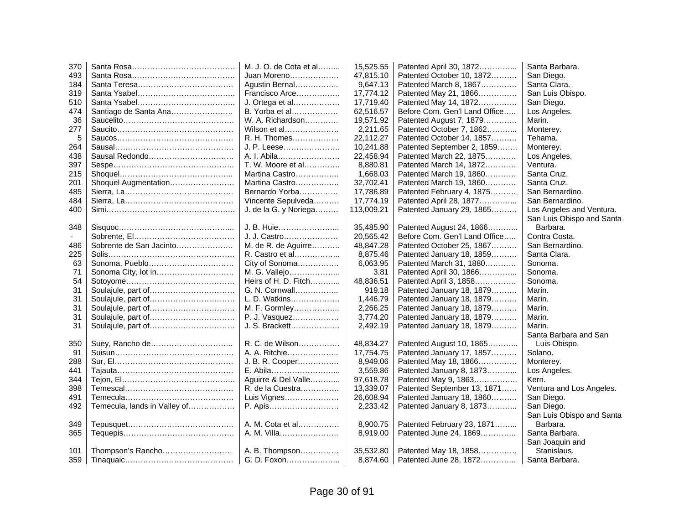| 370 |                              | M. J. O. de Cota et al | 15,525.55  | Patented April 30, 1872       | Santa Barbara.            |
|-----|------------------------------|------------------------|------------|-------------------------------|---------------------------|
| 493 |                              | Juan Moreno            | 47,815.10  | Patented October 10, 1872     | San Diego.                |
| 184 |                              | Agustin Bernal         | 9,647.13   | Patented March 8, 1867        | Santa Clara.              |
| 319 |                              | Francisco Arce         | 17,774.12  | Patented May 21, 1866         | San Luis Obispo.          |
| 510 |                              | J. Ortega et al        | 17,719.40  | Patented May 14, 1872         | San Diego.                |
| 474 | Santiago de Santa Ana        | B. Yorba et al         | 62,516.57  | Before Com. Gen'l Land Office | Los Angeles.              |
| 36  |                              | W. A. Richardson       | 19,571.92  | Patented August 7, 1879       | Marin.                    |
| 277 |                              | Wilson et al           | 2,211.65   | Patented October 7, 1862      | Monterey.                 |
| 5   |                              | R. H. Thomes           | 22,112.27  | Patented October 14, 1857     | Tehama.                   |
| 264 |                              | J. P. Leese            | 10,241.88  | Patented September 2, 1859    | Monterey.                 |
| 438 |                              | A. I. Abila            | 22,458.94  | Patented March 22, 1875       | Los Angeles.              |
| 397 |                              | T. W. Moore et al      | 8,880.81   | Patented March 14, 1872       | Ventura.                  |
| 215 |                              | Martina Castro         | 1,668.03   | Patented March 19, 1860       | Santa Cruz.               |
| 201 | Shoquel Augmentation         | Martina Castro         | 32,702.41  | Patented March 19, 1860       | Santa Cruz.               |
| 485 |                              | Bernardo Yorba         | 17,786.89  | Patented February 4, 1875     | San Bernardino.           |
| 484 |                              | Vincente Sepulveda     | 17,774.19  | Patented April 28, 1877       | San Bernardino.           |
| 400 |                              | J. de la G. y Noriega  | 113,009.21 | Patented January 29, 1865     | Los Angeles and Ventura.  |
|     |                              |                        |            |                               | San Luis Obispo and Santa |
| 348 |                              | J. B. Huie             | 35,485.90  | Patented August 24, 1866      | Barbara.                  |
|     |                              | J. J. Castro           | 20,565.42  | Before Com. Gen'l Land Office | Contra Costa.             |
| 486 | Sobrente de San Jacinto      | M. de R. de Aguirre    | 48,847.28  | Patented October 25, 1867     | San Bernardino.           |
| 225 |                              | R. Castro et al        | 8,875.46   | Patented January 18, 1859     | Santa Clara.              |
| 63  | Sonoma, Pueblo               | City of Sonoma         | 6,063.95   | Patented March 31, 1880       | Sonoma.                   |
| 71  | Sonoma City, lot in          | M. G. Vallejo          | 3.81       | Patented April 30, 1866       | Sonoma.                   |
| 54  |                              | Heirs of H. D. Fitch   | 48,836.51  | Patented April 3, 1858        | Sonoma.                   |
| 31  | Soulajule, part of           | G. N. Cornwall         | 919.18     | Patented January 18, 1879     | Marin.                    |
| 31  |                              | L. D. Watkins          | 1,446.79   | Patented January 18, 1879     | Marin.                    |
| 31  |                              | M. F. Gormley          | 2,266.25   | Patented January 18, 1879     | Marin.                    |
| 31  |                              | P. J. Vasquez          | 3,774.20   | Patented January 18, 1879     | Marin.                    |
| 31  |                              | J. S. Brackett         | 2,492.19   | Patented January 18, 1879     | Marin.                    |
|     |                              |                        |            |                               | Santa Barbara and San     |
| 350 |                              | R. C. de Wilson        | 48,834.27  | Patented August 10, 1865      | Luis Obispo.              |
| 91  |                              | A. A. Ritchie          | 17,754.75  | Patented January 17, 1857     | Solano.                   |
| 288 |                              | J. B. R. Cooper        | 8,949.06   | Patented May 18, 1866         | Monterey.                 |
| 441 |                              | E. Abila               | 3,559.86   | Patented January 8, 1873      | Los Angeles.              |
| 344 |                              | Aguirre & Del Valle    | 97,618.78  | Patented May 9, 1863          | Kern.                     |
| 398 |                              | R. de la Cuestra       | 13,339.07  | Patented September 13, 1871   | Ventura and Los Angeles.  |
| 491 |                              | Luis Vignes            | 26,608.94  | Patented January 18, 1860     | San Diego.                |
| 492 | Temecula, lands in Valley of | P. Apis                | 2,233.42   | Patented January 8, 1873      | San Diego.                |
|     |                              |                        |            |                               | San Luis Obispo and Santa |
| 349 |                              | A. M. Cota et al       | 8,900.75   | Patented February 23, 1871    | Barbara.                  |
| 365 |                              | A. M. Villa            | 8,919.00   | Patented June 24, 1869        | Santa Barbara.            |
|     |                              |                        |            |                               | San Joaquin and           |
| 101 | Thompson's Rancho            | A. B. Thompson         | 35,532.80  | Patented May 18, 1858         | Stanislaus.               |
| 359 |                              | G. D. Foxon            | 8,874.60   | Patented June 28, 1872        | Santa Barbara.            |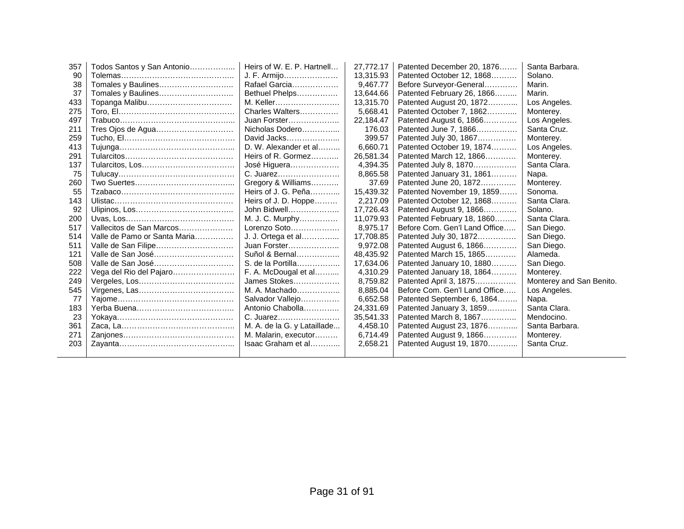| 357 | Todos Santos y San Antonio   | Heirs of W. E. P. Hartnell  | 27,772.17 | Patented December 20, 1876    | Santa Barbara.           |
|-----|------------------------------|-----------------------------|-----------|-------------------------------|--------------------------|
| 90  |                              | J. F. Armijo                | 13,315.93 | Patented October 12, 1868     | Solano.                  |
| 38  | Tomales y Baulines           | Rafael Garcia               | 9,467.77  | Before Surveyor-General       | Marin.                   |
| 37  |                              | Bethuel Phelps              | 13,644.66 | Patented February 26, 1866    | Marin.                   |
| 433 | Topanga Malibu               | M. Keller                   | 13,315.70 | Patented August 20, 1872      | Los Angeles.             |
| 275 |                              | Charles Walters             | 5,668.41  | Patented October 7, 1862      | Monterey.                |
| 497 |                              | Juan Forster                | 22,184.47 | Patented August 6, 1866       | Los Angeles.             |
| 211 |                              | Nicholas Dodero             | 176.03    | Patented June 7, 1866         | Santa Cruz.              |
| 259 |                              | David Jacks                 | 399.57    | Patented July 30, 1867        | Monterey.                |
| 413 |                              | D. W. Alexander et al       | 6.660.71  | Patented October 19, 1874     | Los Angeles.             |
| 291 |                              | Heirs of R. Gormez          | 26,581.34 | Patented March 12, 1866       | Monterey.                |
| 137 |                              | José Higuera                | 4,394.35  | Patented July 8, 1870         | Santa Clara.             |
| 75  |                              | C. Juarez                   | 8,865.58  | Patented January 31, 1861     | Napa.                    |
| 260 |                              | Gregory & Williams          | 37.69     | Patented June 20, 1872        | Monterey.                |
| 55  |                              | Heirs of J. G. Peña         | 15,439.32 | Patented November 19, 1859    | Sonoma.                  |
| 143 |                              | Heirs of J. D. Hoppe        | 2,217.09  | Patented October 12, 1868     | Santa Clara.             |
| 92  |                              | John Bidwell                | 17,726.43 | Patented August 9, 1866       | Solano.                  |
| 200 |                              | M. J. C. Murphy             | 11,079.93 | Patented February 18, 1860    | Santa Clara.             |
| 517 | Vallecitos de San Marcos     | Lorenzo Soto                | 8.975.17  | Before Com. Gen'l Land Office | San Diego.               |
| 514 | Valle de Pamo or Santa Maria | J. J. Ortega et al          | 17,708.85 | Patented July 30, 1872        | San Diego.               |
| 511 | Valle de San Filipe          | Juan Forster                | 9,972.08  | Patented August 6, 1866       | San Diego.               |
| 121 | Valle de San José            | Suñol & Bernal              | 48,435.92 | Patented March 15, 1865       | Alameda.                 |
| 508 | Valle de San José            | S. de la Portilla           | 17,634.06 | Patented January 10, 1880     | San Diego.               |
| 222 | Vega del Rio del Pajaro      | F. A. McDougal et al        | 4,310.29  | Patented January 18, 1864     | Monterey.                |
| 249 |                              | James Stokes                | 8,759.82  | Patented April 3, 1875        | Monterey and San Benito. |
| 545 |                              | M. A. Machado               | 8,885.04  | Before Com. Gen'l Land Office | Los Angeles.             |
| 77  |                              | Salvador Vallejo            | 6,652.58  | Patented September 6, 1864    | Napa.                    |
| 183 |                              | Antonio Chabolla            | 24,331.69 | Patented January 3, 1859      | Santa Clara.             |
| 23  |                              | C. Juarez                   | 35,541.33 | Patented March 8, 1867        | Mendocino.               |
| 361 |                              | M. A. de la G. y Lataillade | 4,458.10  | Patented August 23, 1876      | Santa Barbara.           |
| 271 |                              | M. Malarin, executor        | 6,714.49  | Patented August 9, 1866       | Monterey.                |
| 203 |                              | Isaac Graham et al          | 2,658.21  | Patented August 19, 1870      | Santa Cruz.              |
|     |                              |                             |           |                               |                          |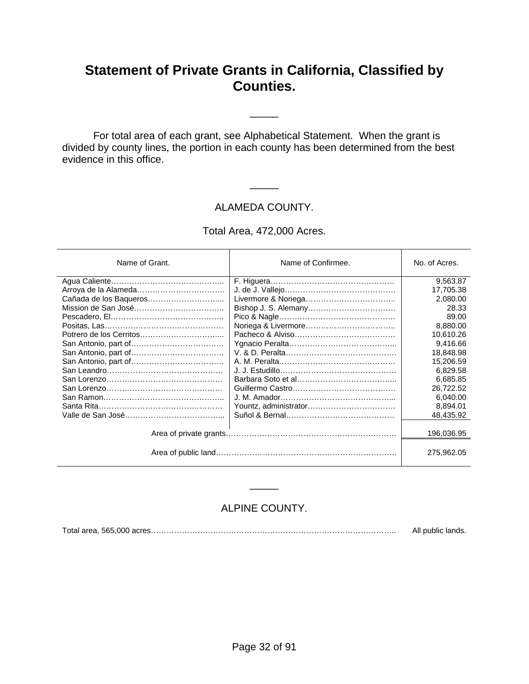## **Statement of Private Grants in California, Classified by Counties.**

\_\_\_\_\_

 For total area of each grant, see Alphabetical Statement. When the grant is divided by county lines, the portion in each county has been determined from the best evidence in this office.

#### ALAMEDA COUNTY.

\_\_\_\_\_

Total Area, 472,000 Acres.

| Name of Grant.         | Name of Confirmee. | No. of Acres. |
|------------------------|--------------------|---------------|
|                        |                    | 9,563.87      |
|                        |                    | 17,705.38     |
| Cañada de los Baqueros |                    | 2,080.00      |
|                        |                    | 28.33         |
|                        |                    | 89.00         |
|                        |                    | 8,880.00      |
|                        |                    | 10,610.26     |
|                        |                    | 9,416.66      |
|                        |                    | 18,848.98     |
|                        |                    | 15,206.59     |
|                        |                    | 6,829.58      |
|                        |                    | 6,685.85      |
|                        |                    | 26,722.52     |
|                        |                    | 6,040.00      |
|                        |                    | 8,894.01      |
|                        |                    | 48,435.92     |
|                        |                    |               |
|                        |                    | 196.036.95    |
|                        |                    | 275,962.05    |

#### ALPINE COUNTY.

\_\_\_\_\_

Total area, 565,000 acres………………………………………………………………………………….. All public lands.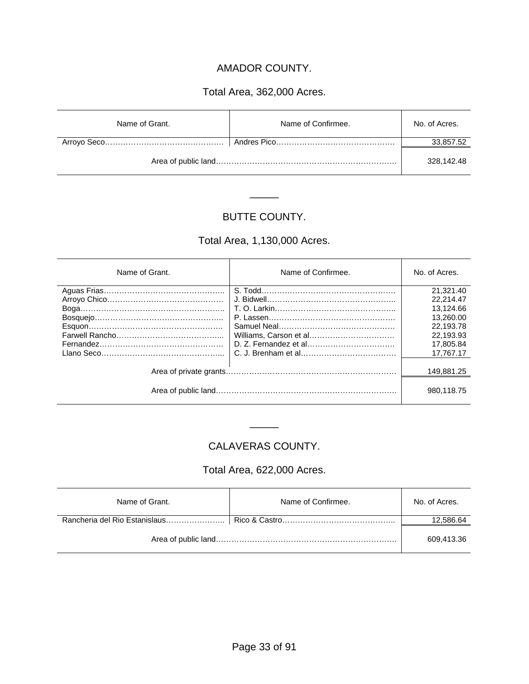#### AMADOR COUNTY.

#### Total Area, 362,000 Acres.

| Name of Grant. | Name of Confirmee. | No. of Acres. |
|----------------|--------------------|---------------|
|                |                    | 33,857.52     |
|                |                    | 328.142.48    |

#### BUTTE COUNTY.

\_\_\_\_\_

#### Total Area, 1,130,000 Acres.

| Name of Grant. | Name of Confirmee. | No. of Acres. |
|----------------|--------------------|---------------|
|                |                    | 21,321.40     |
|                |                    | 22.214.47     |
|                |                    | 13.124.66     |
|                |                    | 13.260.00     |
|                |                    | 22.193.78     |
|                |                    | 22.193.93     |
|                |                    | 17.805.84     |
|                |                    | 17.767.17     |
|                |                    | 149,881.25    |
|                |                    | 980.118.75    |

#### CALAVERAS COUNTY.

\_\_\_\_\_

#### Total Area, 622,000 Acres.

| Name of Grant. | Name of Confirmee. | No. of Acres. |
|----------------|--------------------|---------------|
|                |                    | 12,586.64     |
|                |                    | 609.413.36    |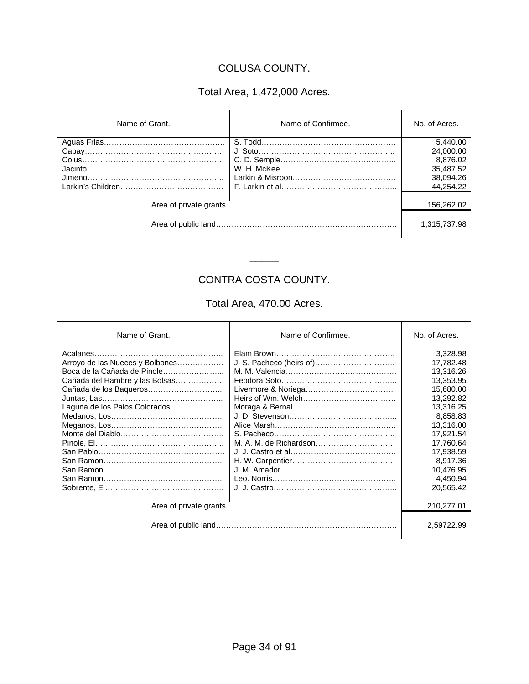#### COLUSA COUNTY.

### Total Area, 1,472,000 Acres.

| Name of Grant. | Name of Confirmee. | No. of Acres.                                                            |
|----------------|--------------------|--------------------------------------------------------------------------|
|                |                    | 5.440.00<br>24,000.00<br>8,876.02<br>35,487.52<br>38,094.26<br>44,254.22 |
|                |                    | 156,262.02<br>1,315,737.98                                               |

### CONTRA COSTA COUNTY.

\_\_\_\_\_

#### Total Area, 470.00 Acres.

| Name of Grant.                  | Name of Confirmee.       | No. of Acres. |
|---------------------------------|--------------------------|---------------|
|                                 |                          | 3.328.98      |
| Arroyo de las Nueces y Bolbones | J. S. Pacheco (heirs of) | 17.782.48     |
| Boca de la Cañada de Pinole     |                          | 13,316.26     |
| Cañada del Hambre y las Bolsas  |                          | 13,353.95     |
|                                 |                          | 15.680.00     |
|                                 |                          | 13,292.82     |
| Laguna de los Palos Colorados   |                          | 13,316.25     |
|                                 |                          | 8.858.83      |
|                                 |                          | 13,316.00     |
|                                 |                          | 17,921.54     |
|                                 |                          | 17,760.64     |
|                                 |                          | 17,938.59     |
|                                 |                          | 8,917.36      |
|                                 |                          | 10,476.95     |
|                                 |                          | 4,450.94      |
|                                 |                          | 20,565.42     |
|                                 |                          |               |
|                                 |                          | 210,277.01    |
|                                 |                          | 2.59722.99    |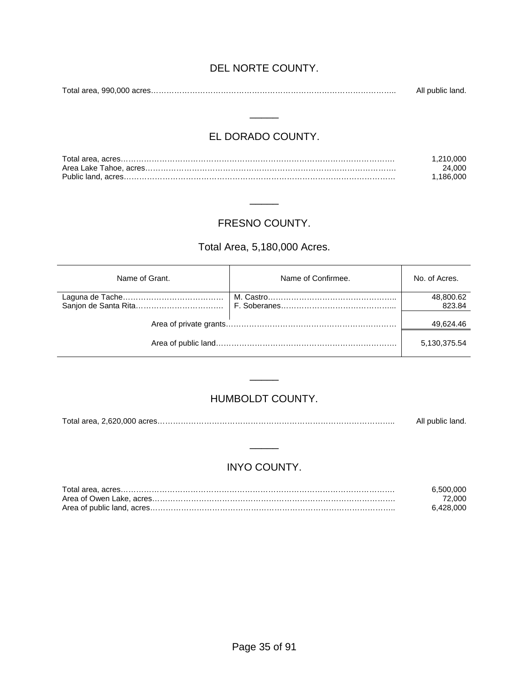#### DEL NORTE COUNTY.

Total area, 990,000 acres………………………………………………………………………………….. All public land.

#### EL DORADO COUNTY.

 $\overline{\phantom{a}}$ 

| 1.210.000 |
|-----------|
| 24.000    |
| 1.186.000 |

#### FRESNO COUNTY.

\_\_\_\_\_

#### Total Area, 5,180,000 Acres.

| Name of Grant. | Name of Confirmee. | No. of Acres. |
|----------------|--------------------|---------------|
|                |                    | 48,800.62     |
|                |                    | 823.84        |
|                |                    | 49,624.46     |
|                |                    | 5,130,375.54  |

#### HUMBOLDT COUNTY.

\_\_\_\_\_

Total area, 2,620,000 acres……………………………………………………………………………….. All public land.

#### INYO COUNTY.

\_\_\_\_\_

| 6.500.000 |
|-----------|
| 72.000    |
| 6.428.000 |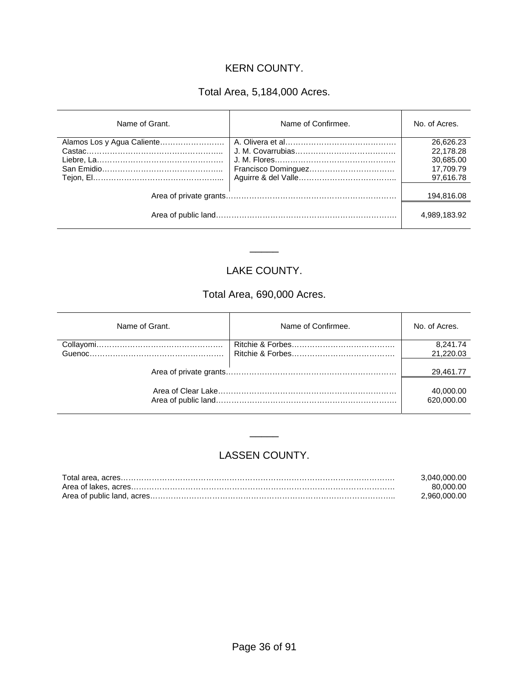#### KERN COUNTY.

#### Total Area, 5,184,000 Acres.

| Name of Grant. | Name of Confirmee. | No. of Acres. |
|----------------|--------------------|---------------|
|                |                    | 26,626.23     |
|                |                    | 22,178.28     |
|                |                    | 30,685.00     |
|                |                    | 17.709.79     |
|                |                    | 97,616.78     |
|                |                    | 194,816.08    |
|                |                    | 4,989,183.92  |

#### LAKE COUNTY.

\_\_\_\_\_

#### Total Area, 690,000 Acres.

| Name of Grant. | Name of Confirmee. | No. of Acres.           |
|----------------|--------------------|-------------------------|
|                |                    | 8,241.74                |
|                |                    | 21,220.03               |
|                |                    | 29,461.77               |
|                |                    | 40,000.00<br>620,000.00 |

#### LASSEN COUNTY.

\_\_\_\_\_

| 3.040.000.00 |
|--------------|
| 80.000.00    |
| 2.960.000.00 |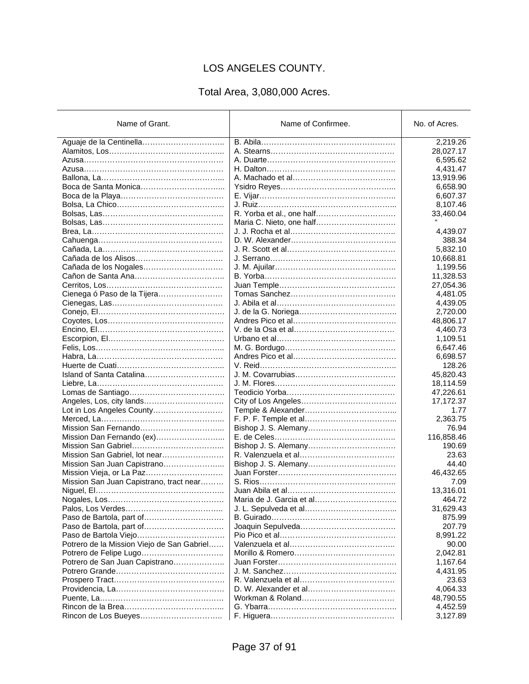# LOS ANGELES COUNTY.

# Total Area, 3,080,000 Acres.

| Name of Grant.                             | Name of Confirmee.       | No. of Acres. |
|--------------------------------------------|--------------------------|---------------|
|                                            |                          | 2,219.26      |
|                                            |                          | 28,027.17     |
|                                            |                          | 6,595.62      |
|                                            |                          | 4,431.47      |
|                                            |                          | 13,919.96     |
|                                            |                          | 6,658.90      |
|                                            |                          | 6,607.37      |
|                                            |                          | 8,107.46      |
|                                            |                          | 33,460.04     |
|                                            |                          |               |
|                                            |                          | 4,439.07      |
|                                            |                          | 388.34        |
|                                            |                          | 5,832.10      |
|                                            |                          | 10,668.81     |
|                                            |                          | 1,199.56      |
|                                            |                          | 11,328.53     |
|                                            |                          | 27,054.36     |
| Cienega ó Paso de la Tijera                |                          | 4,481.05      |
|                                            |                          | 4,439.05      |
|                                            |                          | 2,720.00      |
|                                            |                          | 48,806.17     |
|                                            |                          | 4,460.73      |
|                                            |                          | 1,109.51      |
|                                            |                          | 6,647.46      |
|                                            |                          | 6,698.57      |
|                                            |                          | 128.26        |
|                                            |                          | 45,820.43     |
|                                            |                          | 18,114.59     |
|                                            |                          | 47,226.61     |
| Angeles, Los, city lands                   |                          | 17,172.37     |
| Lot in Los Angeles County                  |                          | 1.77          |
|                                            |                          | 2,363.75      |
|                                            |                          | 76.94         |
|                                            |                          | 116,858.46    |
|                                            |                          | 190.69        |
| Mission San Gabriel, lot near              |                          | 23.63         |
| Mission San Juan Capistrano                |                          | 44.40         |
|                                            |                          | 46,432.65     |
| Mission San Juan Capistrano, tract near    |                          | 7.09          |
|                                            |                          | 13,316.01     |
|                                            | Maria de J. Garcia et al | 464.72        |
|                                            |                          | 31,629.43     |
| Paso de Bartola, part of                   |                          | 875.99        |
|                                            |                          | 207.79        |
|                                            |                          | 8,991.22      |
| Potrero de la Mission Viejo de San Gabriel |                          | 90.00         |
|                                            |                          | 2,042.81      |
| Potrero de San Juan Capistrano             |                          | 1,167.64      |
|                                            |                          | 4,431.95      |
|                                            |                          | 23.63         |
|                                            |                          | 4,064.33      |
|                                            |                          | 48,790.55     |
|                                            |                          | 4,452.59      |
|                                            |                          | 3,127.89      |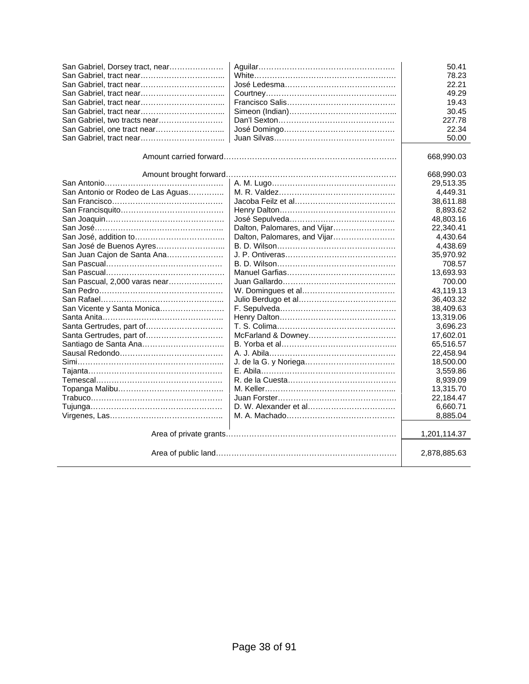| San Gabriel, Dorsey tract, near   |                              | 50.41        |
|-----------------------------------|------------------------------|--------------|
|                                   |                              | 78.23        |
|                                   |                              | 22.21        |
|                                   |                              | 49.29        |
|                                   |                              | 19.43        |
|                                   |                              | 30.45        |
| San Gabriel, two tracts near      |                              | 227.78       |
| San Gabriel, one tract near       |                              | 22.34        |
|                                   |                              | 50.00        |
|                                   |                              |              |
|                                   |                              | 668,990.03   |
|                                   |                              | 668,990.03   |
|                                   |                              | 29,513.35    |
| San Antonio or Rodeo de Las Aguas |                              | 4,449.31     |
|                                   |                              | 38,611.88    |
|                                   |                              | 8,893.62     |
|                                   |                              | 48,803.16    |
|                                   | Dalton, Palomares, and Vijar | 22,340.41    |
|                                   | Dalton, Palomares, and Vijar | 4,430.64     |
| San José de Buenos Ayres          |                              | 4,438.69     |
| San Juan Cajon de Santa Ana       |                              | 35,970.92    |
|                                   |                              | 708.57       |
|                                   |                              | 13,693.93    |
| San Pascual, 2.000 varas near     |                              | 700.00       |
|                                   |                              | 43,119.13    |
|                                   |                              | 36,403.32    |
| San Vicente y Santa Monica        |                              | 38,409.63    |
|                                   |                              | 13,319.06    |
| Santa Gertrudes, part of          |                              | 3,696.23     |
| Santa Gertrudes, part of          |                              | 17,602.01    |
| Santiago de Santa Ana             |                              | 65,516.57    |
|                                   |                              | 22,458.94    |
|                                   |                              | 18,500.00    |
| Tajanta………………………………………………         |                              | 3,559.86     |
|                                   |                              | 8,939.09     |
|                                   |                              | 13,315.70    |
|                                   |                              | 22,184.47    |
|                                   |                              | 6,660.71     |
|                                   |                              | 8,885.04     |
|                                   |                              | 1,201,114.37 |
|                                   |                              |              |
|                                   |                              | 2,878,885.63 |
|                                   |                              |              |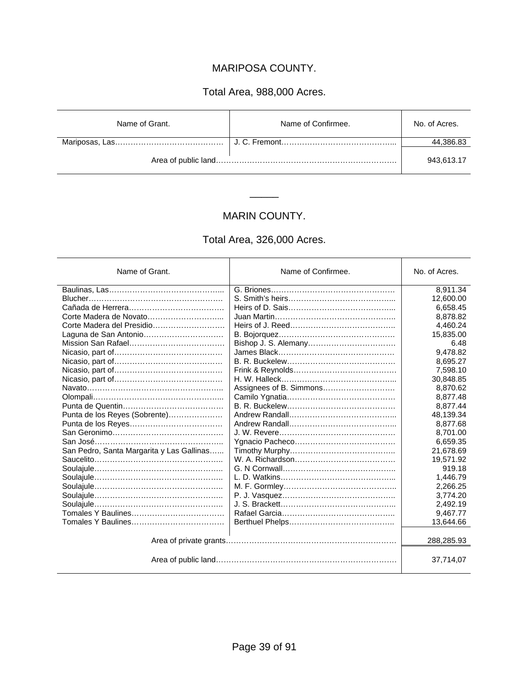#### MARIPOSA COUNTY.

#### Total Area, 988,000 Acres.

| Name of Grant. | Name of Confirmee. | No. of Acres. |
|----------------|--------------------|---------------|
|                |                    | 44,386.83     |
|                |                    | 943.613.17    |

# MARIN COUNTY.

\_\_\_\_\_

# Total Area, 326,000 Acres.

| Name of Grant.                            | Name of Confirmee.      | No. of Acres. |
|-------------------------------------------|-------------------------|---------------|
|                                           |                         | 8,911.34      |
|                                           |                         | 12,600.00     |
|                                           |                         | 6,658.45      |
| Corte Madera de Novato                    |                         | 8,878.82      |
|                                           |                         | 4,460.24      |
| Laguna de San Antonio                     |                         | 15,835.00     |
|                                           |                         | 6.48          |
|                                           |                         | 9.478.82      |
|                                           |                         | 8,695.27      |
|                                           |                         | 7,598.10      |
|                                           |                         | 30.848.85     |
|                                           | Assignees of B. Simmons | 8,870.62      |
|                                           |                         | 8,877.48      |
|                                           |                         | 8,877.44      |
| Punta de los Reyes (Sobrente)             |                         | 48,139.34     |
|                                           |                         | 8.877.68      |
|                                           |                         | 8,701.00      |
|                                           |                         | 6,659.35      |
| San Pedro, Santa Margarita y Las Gallinas |                         | 21,678.69     |
|                                           |                         | 19,571.92     |
|                                           |                         | 919.18        |
|                                           |                         | 1,446.79      |
|                                           |                         | 2,266.25      |
|                                           |                         | 3.774.20      |
|                                           |                         | 2,492.19      |
|                                           |                         | 9.467.77      |
|                                           |                         | 13,644.66     |
|                                           |                         | 288,285.93    |
|                                           |                         | 37,714,07     |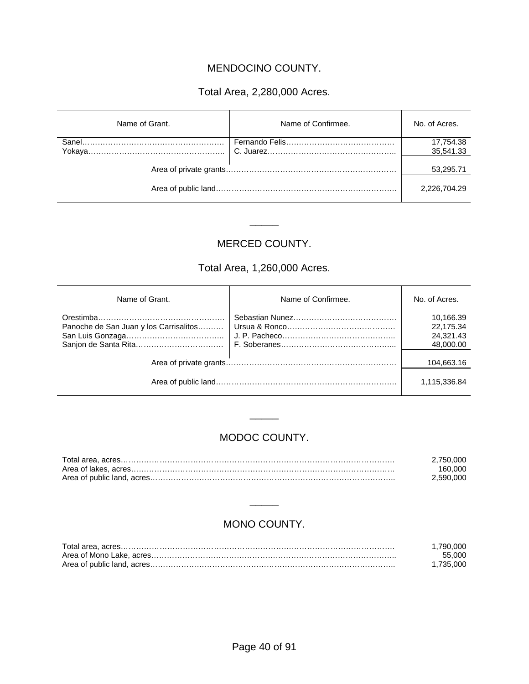### MENDOCINO COUNTY.

#### Total Area, 2,280,000 Acres.

| Name of Grant. | Name of Confirmee. | No. of Acres. |
|----------------|--------------------|---------------|
|                |                    | 17,754.38     |
|                |                    | 35,541.33     |
|                |                    | 53,295.71     |
|                |                    | 2.226.704.29  |

#### MERCED COUNTY.

 $\frac{1}{2}$ 

# Total Area, 1,260,000 Acres.

| Name of Grant.                         | Name of Confirmee. | No. of Acres. |
|----------------------------------------|--------------------|---------------|
|                                        |                    | 10,166.39     |
| Panoche de San Juan y los Carrisalitos |                    | 22,175.34     |
|                                        |                    | 24,321.43     |
|                                        |                    | 48,000.00     |
|                                        |                    | 104,663.16    |
|                                        |                    | 1,115,336.84  |

#### MODOC COUNTY.

\_\_\_\_\_

| 2.750.000 |
|-----------|
| 160.000   |
| 2.590.000 |

#### MONO COUNTY.

\_\_\_\_\_

| .790.000  |
|-----------|
| 55.000    |
| 1.735.000 |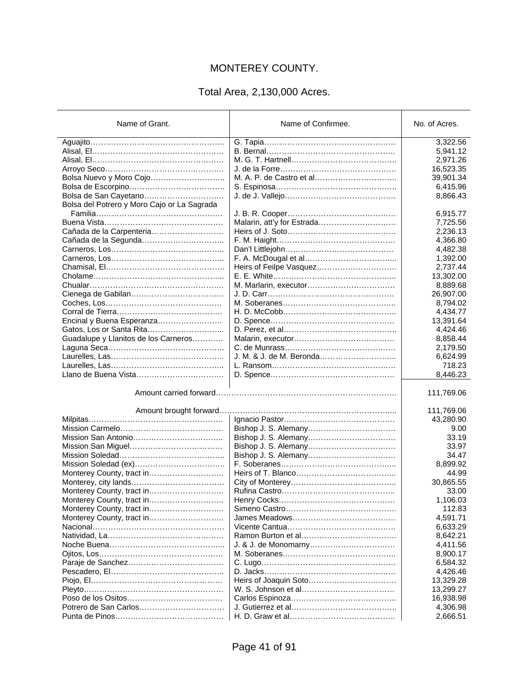# MONTEREY COUNTY.

# Total Area, 2,130,000 Acres.

| Name of Grant.                              | Name of Confirmee.         | No. of Acres.            |
|---------------------------------------------|----------------------------|--------------------------|
|                                             |                            | 3,322.56                 |
|                                             |                            | 5,941.12                 |
|                                             |                            | 2,971.26                 |
|                                             |                            | 16,523.35                |
| Bolsa Nuevo y Moro Cojo                     |                            | 39,901.34                |
|                                             |                            | 6,415.96                 |
| Bolsa de San Cayetano                       |                            | 8,866.43                 |
| Bolsa del Potrero y Moro Cajo or La Sagrada |                            |                          |
|                                             |                            | 6,915.77                 |
|                                             | Malarin, att'y for Estrada | 7,725.56                 |
| Cañada de la Carpenteria                    |                            | 2,236.13                 |
|                                             |                            | 4,366.80                 |
|                                             |                            | 4,482.38                 |
|                                             |                            | 1,392.00                 |
|                                             | Heirs of Feilpe Vasquez    | 2,737.44                 |
|                                             |                            | 13,302.00                |
|                                             |                            | 8,889.68                 |
|                                             |                            | 26,907.00                |
|                                             |                            | 8,794.02                 |
|                                             |                            | 4,434.77                 |
| Encinal y Buena Esperanza                   |                            | 13,391.64                |
| Gatos, Los or Santa Rita                    |                            | 4,424.46                 |
| Guadalupe y Llanitos de los Carneros        |                            | 8,858.44                 |
|                                             |                            | 2,179.50                 |
|                                             | J. M. & J. de M. Beronda   | 6,624.99                 |
|                                             |                            | 718.23                   |
|                                             |                            | 8,446.23                 |
| Amount brought forward                      |                            | 111,769.06<br>111,769.06 |
|                                             |                            | 43,280.90                |
|                                             |                            | 9.00                     |
|                                             |                            | 33.19                    |
|                                             |                            | 33.97                    |
|                                             |                            | 34.47                    |
|                                             |                            | 8,899.92                 |
| Monterey County, tract in                   |                            | 44.99                    |
|                                             |                            | 30,865.55                |
| Monterey County, tract in                   |                            | 33.00                    |
| Monterey County, tract in                   |                            | 1,106.03                 |
| Monterey County, tract in                   |                            | 112.83                   |
|                                             |                            | 4,591.71                 |
|                                             |                            | 6,633.29                 |
|                                             |                            | 8,642.21                 |
|                                             |                            | 4,411.56                 |
|                                             |                            | 8,900.17                 |
|                                             |                            | 6,584.32                 |
|                                             |                            | 4,426.46                 |
|                                             |                            | 13,329.28                |
|                                             |                            | 13,299.27                |
|                                             |                            | 16,938.98                |
| Potrero de San Carlos                       |                            | 4,306.98                 |
|                                             |                            | 2,666.51                 |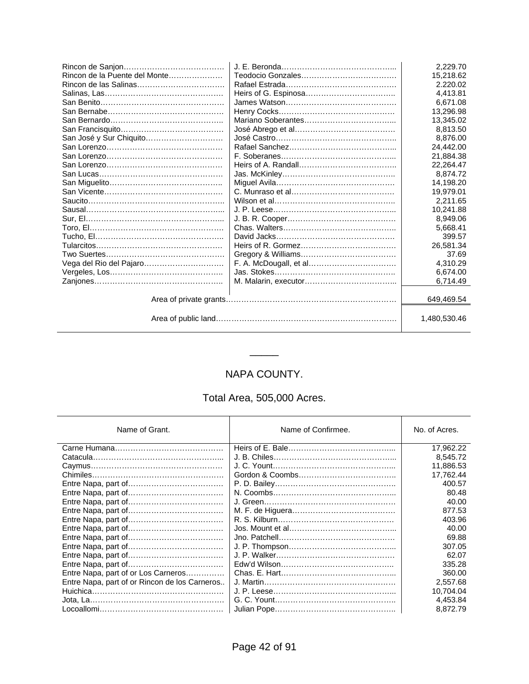|                               |  | 2.229.70     |
|-------------------------------|--|--------------|
| Rincon de la Puente del Monte |  | 15,218.62    |
| Rincon de las Salinas         |  | 2.220.02     |
|                               |  | 4.413.81     |
|                               |  | 6.671.08     |
|                               |  | 13.296.98    |
|                               |  | 13,345.02    |
|                               |  | 8,813.50     |
| San José y Sur Chiquito       |  | 8,876.00     |
|                               |  | 24.442.00    |
|                               |  | 21,884.38    |
|                               |  | 22.264.47    |
|                               |  | 8.874.72     |
|                               |  | 14,198.20    |
|                               |  | 19,979.01    |
|                               |  | 2,211.65     |
|                               |  | 10,241.88    |
|                               |  | 8.949.06     |
|                               |  | 5.668.41     |
|                               |  | 399.57       |
| Tularcitos…………………………………………    |  | 26,581.34    |
|                               |  | 37.69        |
| Vega del Rio del Pajaro       |  | 4,310.29     |
|                               |  | 6,674.00     |
|                               |  | 6.714.49     |
|                               |  |              |
|                               |  | 649.469.54   |
|                               |  | 1.480.530.46 |

# NAPA COUNTY.

\_\_\_\_\_

# Total Area, 505,000 Acres.

| Name of Grant.                                | Name of Confirmee. | No. of Acres. |
|-----------------------------------------------|--------------------|---------------|
|                                               |                    | 17,962.22     |
|                                               |                    | 8,545.72      |
|                                               |                    | 11,886.53     |
|                                               |                    | 17,762.44     |
|                                               |                    | 400.57        |
|                                               |                    | 80.48         |
|                                               |                    | 40.00         |
|                                               |                    | 877.53        |
|                                               |                    | 403.96        |
|                                               |                    | 40.00         |
|                                               |                    | 69.88         |
|                                               |                    | 307.05        |
|                                               |                    | 62.07         |
|                                               |                    | 335.28        |
| Entre Napa, part of or Los Carneros           |                    | 360.00        |
| Entre Napa, part of or Rincon de los Carneros |                    | 2.557.68      |
|                                               |                    | 10,704.04     |
|                                               |                    | 4,453.84      |
|                                               |                    | 8,872.79      |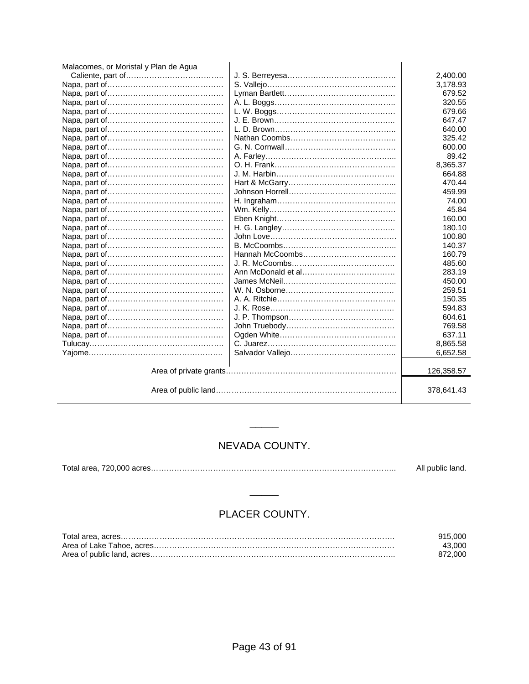| Malacomes, or Moristal y Plan de Agua |            |
|---------------------------------------|------------|
|                                       | 2,400.00   |
|                                       | 3,178.93   |
|                                       | 679.52     |
|                                       | 320.55     |
|                                       | 679.66     |
|                                       | 647.47     |
|                                       | 640.00     |
|                                       | 325.42     |
|                                       | 600.00     |
|                                       | 89.42      |
|                                       | 8,365.37   |
|                                       | 664.88     |
|                                       | 470.44     |
|                                       | 459.99     |
|                                       | 74.00      |
|                                       | 45.84      |
|                                       | 160.00     |
|                                       | 180.10     |
|                                       | 100.80     |
|                                       | 140.37     |
|                                       | 160.79     |
|                                       | 485.60     |
|                                       | 283.19     |
|                                       | 450.00     |
|                                       | 259.51     |
|                                       | 150.35     |
|                                       | 594.83     |
|                                       | 604.61     |
|                                       | 769.58     |
|                                       | 637.11     |
|                                       | 8,865.58   |
|                                       | 6,652.58   |
|                                       | 126,358.57 |
|                                       | 378,641.43 |

# NEVADA COUNTY.

\_\_\_\_\_

|  | All public land. |
|--|------------------|
|  |                  |

# PLACER COUNTY.

\_\_\_\_\_

| 915.000 |
|---------|
| 43.000  |
| 872.000 |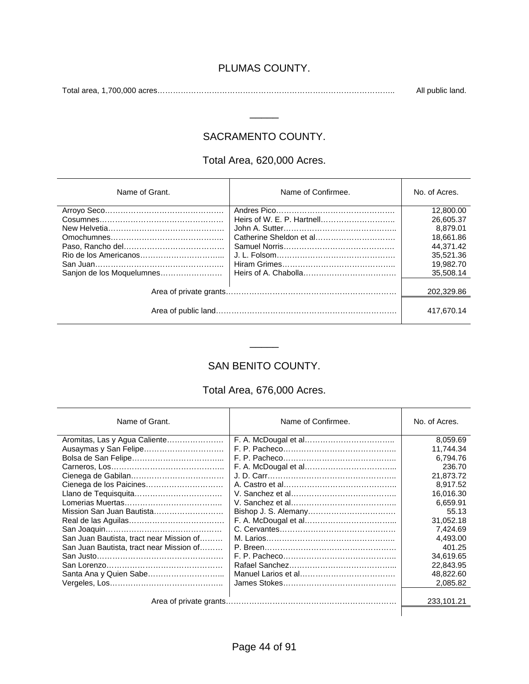#### PLUMAS COUNTY.

Total area, 1,700,000 acres……………………………………………………………………………….. All public land.

#### SACRAMENTO COUNTY.

 $\overline{\phantom{a}}$ 

#### Total Area, 620,000 Acres.

| Name of Grant.            | Name of Confirmee. | No. of Acres. |
|---------------------------|--------------------|---------------|
|                           |                    | 12,800.00     |
|                           |                    | 26,605.37     |
|                           |                    | 8.879.01      |
|                           |                    | 18,661.86     |
|                           |                    | 44.371.42     |
|                           |                    | 35,521.36     |
|                           |                    | 19.982.70     |
| Sanjon de los Moquelumnes |                    | 35.508.14     |
|                           |                    | 202.329.86    |
|                           |                    | 417.670.14    |

#### SAN BENITO COUNTY.

\_\_\_\_\_

#### Total Area, 676,000 Acres.

| Name of Grant.                           | Name of Confirmee. | No. of Acres. |
|------------------------------------------|--------------------|---------------|
| Aromitas, Las y Agua Caliente            |                    | 8.059.69      |
| Ausaymas y San Felipe                    |                    | 11.744.34     |
|                                          |                    | 6.794.76      |
|                                          |                    | 236.70        |
|                                          |                    | 21,873.72     |
| Cienega de los Paicines                  |                    | 8.917.52      |
|                                          |                    | 16,016.30     |
|                                          |                    | 6.659.91      |
| Mission San Juan Bautista                |                    | 55.13         |
|                                          |                    | 31,052.18     |
|                                          |                    | 7.424.69      |
| San Juan Bautista, tract near Mission of |                    | 4.493.00      |
| San Juan Bautista, tract near Mission of |                    | 401.25        |
|                                          |                    | 34.619.65     |
|                                          |                    | 22,843.95     |
| Santa Ana y Quien Sabe                   |                    | 48,822.60     |
|                                          |                    | 2,085.82      |
|                                          |                    |               |
|                                          |                    | 233.101.21    |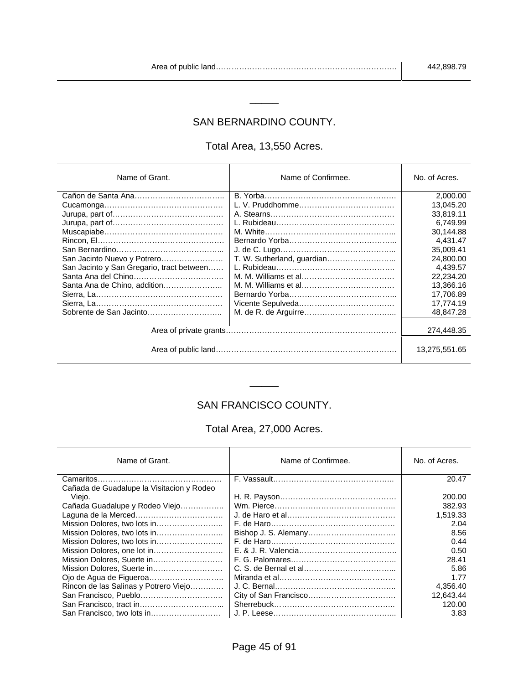#### SAN BERNARDINO COUNTY.

\_\_\_\_\_

#### Total Area, 13,550 Acres.

| Name of Grant.                            | Name of Confirmee.         | No. of Acres.               |
|-------------------------------------------|----------------------------|-----------------------------|
|                                           |                            | 2.000.00                    |
|                                           |                            | 13.045.20                   |
|                                           |                            | 33,819.11                   |
|                                           |                            | 6.749.99                    |
|                                           |                            | 30,144.88                   |
|                                           |                            | 4.431.47                    |
|                                           |                            | 35.009.41                   |
| San Jacinto Nuevo y Potrero               | T. W. Sutherland, guardian | 24,800.00                   |
| San Jacinto y San Gregario, tract between |                            | 4.439.57                    |
|                                           |                            | 22,234.20                   |
| Santa Ana de Chino, addition              |                            | 13.366.16                   |
|                                           |                            | 17,706.89                   |
|                                           |                            | 17.774.19                   |
|                                           |                            | 48.847.28                   |
|                                           |                            | 274,448.35<br>13,275,551.65 |

# SAN FRANCISCO COUNTY.

\_\_\_\_\_

#### Total Area, 27,000 Acres.

| Name of Grant.                            | Name of Confirmee. | No. of Acres. |
|-------------------------------------------|--------------------|---------------|
|                                           |                    | 20.47         |
| Cañada de Guadalupe la Visitacion y Rodeo |                    |               |
| Viejo.                                    |                    | 200.00        |
| Cañada Guadalupe y Rodeo Viejo            |                    | 382.93        |
|                                           |                    | 1,519.33      |
|                                           |                    | 2.04          |
|                                           |                    | 8.56          |
|                                           |                    | 0.44          |
| Mission Dolores, one lot in               |                    | 0.50          |
|                                           |                    | 28.41         |
| Mission Dolores, Suerte in                |                    | 5.86          |
|                                           |                    | 1.77          |
| Rincon de las Salinas y Potrero Viejo     |                    | 4,356.40      |
| San Francisco, Pueblo                     |                    | 12.643.44     |
|                                           |                    | 120.00        |
| San Francisco, two lots in                |                    | 3.83          |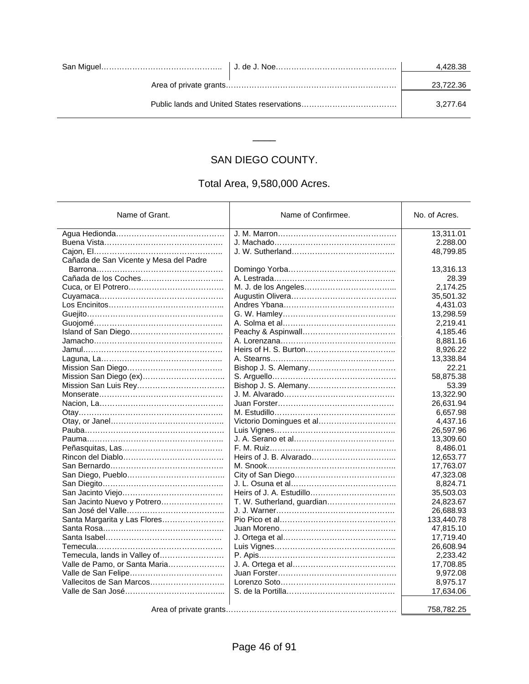|  |  | 4.428.38  |
|--|--|-----------|
|  |  | 23,722.36 |
|  |  | 3.277.64  |

# SAN DIEGO COUNTY.

\_\_\_\_

#### Total Area, 9,580,000 Acres.

| Name of Grant.                         | Name of Confirmee.         | No. of Acres. |
|----------------------------------------|----------------------------|---------------|
|                                        |                            |               |
|                                        |                            | 13,311.01     |
|                                        |                            | 2.288.00      |
|                                        |                            | 48,799.85     |
| Cañada de San Vicente y Mesa del Padre |                            |               |
|                                        |                            | 13,316.13     |
|                                        |                            | 28.39         |
|                                        |                            | 2,174.25      |
|                                        |                            | 35,501.32     |
|                                        |                            | 4,431.03      |
|                                        |                            | 13,298.59     |
|                                        |                            | 2,219.41      |
|                                        |                            | 4,185.46      |
|                                        |                            | 8,881.16      |
|                                        |                            | 8,926.22      |
|                                        |                            | 13,338.84     |
|                                        |                            | 22.21         |
|                                        |                            | 58,875.38     |
|                                        |                            | 53.39         |
|                                        |                            | 13,322.90     |
|                                        |                            | 26,631.94     |
|                                        |                            | 6,657.98      |
|                                        | Victorio Domingues et al   | 4,437.16      |
|                                        |                            | 26,597.96     |
|                                        |                            | 13,309.60     |
|                                        |                            | 8,486.01      |
|                                        |                            | 12,653.77     |
|                                        |                            | 17,763.07     |
|                                        |                            | 47,323.08     |
|                                        |                            | 8,824.71      |
|                                        |                            | 35,503.03     |
| San Jacinto Nuevo y Potrero            | T. W. Sutherland, guardian | 24,823.67     |
|                                        |                            | 26,688.93     |
| Santa Margarita y Las Flores           |                            | 133,440.78    |
|                                        |                            | 47,815.10     |
|                                        |                            | 17,719.40     |
|                                        |                            | 26,608.94     |
| Temecula, lands in Valley of           |                            | 2,233.42      |
| Valle de Pamo, or Santa Maria          |                            | 17,708.85     |
|                                        |                            | 9,972.08      |
| Vallecitos de San Marcos               |                            | 8,975.17      |
|                                        |                            | 17,634.06     |
|                                        |                            |               |
|                                        |                            | 758,782.25    |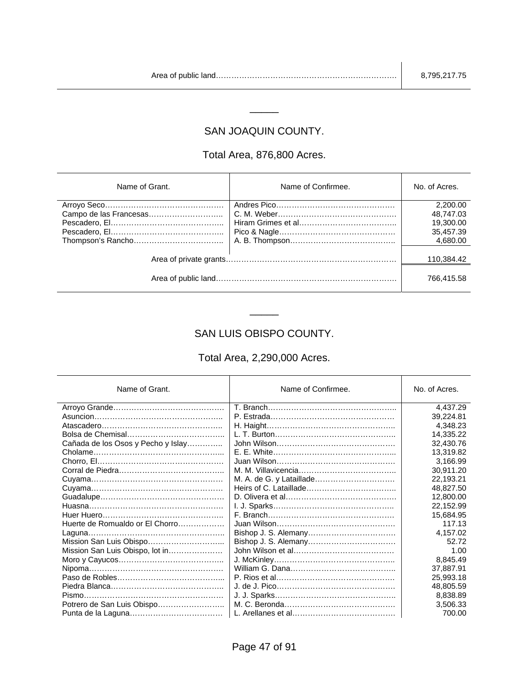#### SAN JOAQUIN COUNTY.

\_\_\_\_\_

#### Total Area, 876,800 Acres.

| Name of Grant.         | Name of Confirmee. | No. of Acres. |
|------------------------|--------------------|---------------|
|                        |                    | 2,200.00      |
| Campo de las Francesas |                    | 48,747.03     |
|                        |                    | 19,300.00     |
|                        |                    | 35,457.39     |
|                        |                    | 4,680.00      |
|                        |                    |               |
|                        |                    | 110,384.42    |
|                        |                    | 766,415.58    |

#### SAN LUIS OBISPO COUNTY.

\_\_\_\_\_

#### Total Area, 2,290,000 Acres.

| Name of Grant.                     | Name of Confirmee. | No. of Acres. |
|------------------------------------|--------------------|---------------|
|                                    |                    | 4,437.29      |
|                                    |                    | 39,224.81     |
|                                    |                    | 4.348.23      |
|                                    |                    | 14,335.22     |
| Cañada de los Osos y Pecho y Islay |                    | 32,430.76     |
|                                    |                    | 13,319.82     |
|                                    |                    | 3.166.99      |
|                                    |                    | 30.911.20     |
|                                    |                    | 22,193.21     |
|                                    |                    | 48,827.50     |
|                                    |                    | 12,800.00     |
|                                    |                    | 22,152.99     |
|                                    |                    | 15,684.95     |
| Huerte de Romualdo or El Chorro    |                    | 117.13        |
|                                    |                    | 4,157.02      |
|                                    |                    | 52.72         |
| Mission San Luis Obispo, lot in    |                    | 1.00          |
|                                    |                    | 8,845.49      |
|                                    |                    | 37,887.91     |
|                                    |                    | 25,993.18     |
|                                    |                    | 48,805.59     |
|                                    |                    | 8,838.89      |
| Potrero de San Luis Obispo         |                    | 3,506.33      |
|                                    |                    | 700.00        |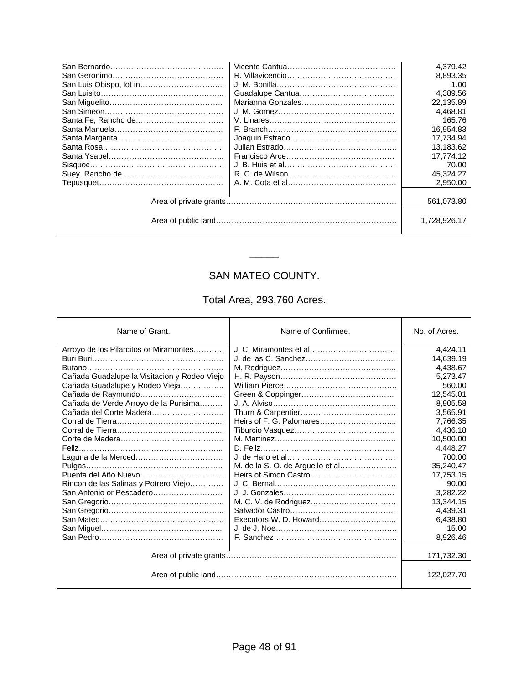|         | 4.379.42     |
|---------|--------------|
|         | 8.893.35     |
|         | 1.00         |
|         | 4.389.56     |
|         | 22.135.89    |
|         | 4.468.81     |
|         | 165.76       |
|         | 16,954.83    |
|         | 17.734.94    |
|         | 13.183.62    |
|         | 17.774.12    |
| Sisquec | 70.00        |
|         | 45,324.27    |
|         | 2.950.00     |
|         |              |
|         | 561,073.80   |
|         |              |
|         | 1.728.926.17 |
|         |              |

# SAN MATEO COUNTY.

\_\_\_\_\_

### Total Area, 293,760 Acres.

| Name of Grant.                               | Name of Confirmee.               | No. of Acres. |
|----------------------------------------------|----------------------------------|---------------|
| Arroyo de los Pilarcitos or Miramontes       |                                  | 4,424.11      |
|                                              |                                  | 14,639.19     |
|                                              |                                  | 4.438.67      |
| Cañada Guadalupe la Visitacion y Rodeo Viejo |                                  | 5,273.47      |
| Cañada Guadalupe y Rodeo Vieja               |                                  | 560.00        |
|                                              |                                  | 12.545.01     |
| Cañada de Verde Arroyo de la Purisima        |                                  | 8.905.58      |
|                                              |                                  | 3,565.91      |
|                                              |                                  | 7,766.35      |
|                                              |                                  | 4.436.18      |
|                                              |                                  | 10,500.00     |
|                                              |                                  | 4,448.27      |
|                                              |                                  | 700.00        |
|                                              | M. de la S. O. de Arguello et al | 35,240.47     |
|                                              |                                  | 17,753.15     |
| Rincon de las Salinas y Potrero Viejo        |                                  | 90.00         |
| San Antonio or Pescadero                     |                                  | 3.282.22      |
|                                              |                                  | 13,344.15     |
|                                              |                                  | 4,439.31      |
|                                              |                                  | 6,438.80      |
|                                              |                                  | 15.00         |
|                                              |                                  | 8,926.46      |
|                                              |                                  | 171,732.30    |
|                                              |                                  | 122,027.70    |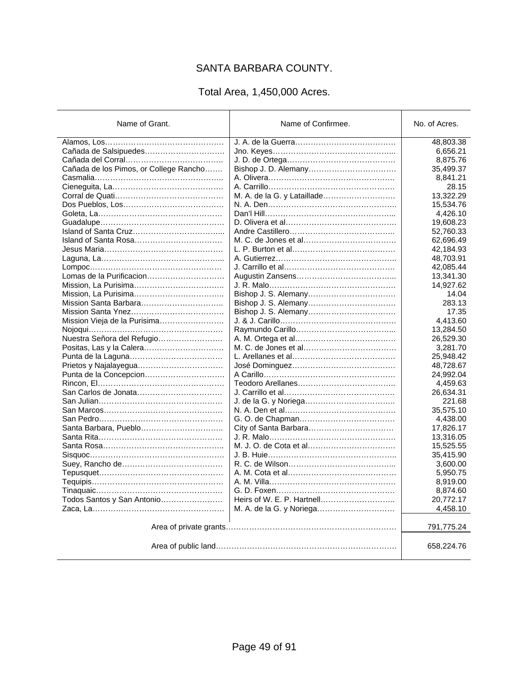# SANTA BARBARA COUNTY.

#### Total Area, 1,450,000 Acres.

| Name of Grant.                         | Name of Confirmee.                        | No. of Acres.         |
|----------------------------------------|-------------------------------------------|-----------------------|
|                                        |                                           | 48,803.38             |
| Cañada de Salsipuedes                  |                                           | 6,656.21              |
|                                        |                                           | 8,875.76              |
| Cañada de los Pimos, or College Rancho |                                           | 35,499.37             |
|                                        |                                           | 8,841.21              |
|                                        |                                           | 28.15                 |
|                                        | M. A. de la G. y Lataillade               | 13,322.29             |
|                                        |                                           | 15,534.76             |
|                                        |                                           | 4,426.10              |
|                                        |                                           | 19,608.23             |
|                                        |                                           | 52,760.33             |
|                                        |                                           | 62,696.49             |
|                                        |                                           | 42,184.93             |
|                                        |                                           | 48,703.91             |
|                                        |                                           | 42,085.44             |
| Lomas de la Purificacion               |                                           | 13,341.30             |
|                                        |                                           | 14,927.62             |
|                                        |                                           | 14.04                 |
|                                        |                                           | 283.13                |
|                                        |                                           | 17.35                 |
| Mission Vieja de la Purisima           | <u>J. &amp; J. Carillo………………………………………</u> | 4.413.60              |
|                                        |                                           | 13,284.50             |
| Nuestra Señora del Refugio             |                                           | 26,529.30             |
|                                        |                                           | 3,281.70              |
|                                        |                                           | 25,948.42             |
| Prietos y Najalayegua                  |                                           | 48,728.67             |
| Punta de la Concepcion                 |                                           | 24,992.04             |
|                                        |                                           | 4,459.63              |
|                                        |                                           | 26,634.31             |
|                                        |                                           | 221.68                |
|                                        |                                           | 35,575.10             |
|                                        |                                           |                       |
| Santa Barbara, Pueblo                  |                                           | 4,438.00<br>17,826.17 |
|                                        |                                           |                       |
|                                        |                                           | 13,316.05             |
|                                        |                                           | 15,525.55             |
|                                        |                                           | 35,415.90             |
|                                        |                                           | 3,600.00              |
|                                        |                                           | 5,950.75              |
|                                        |                                           | 8,919.00              |
|                                        |                                           | 8,874.60              |
| Todos Santos y San Antonio             |                                           | 20,772.17             |
|                                        |                                           | 4,458.10              |
|                                        |                                           | 791,775.24            |
|                                        |                                           | 658,224.76            |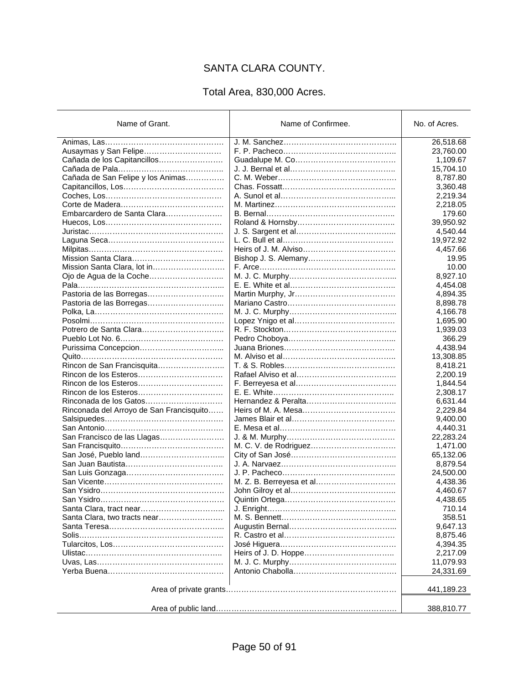# SANTA CLARA COUNTY.

# Total Area, 830,000 Acres.

| Name of Grant.                           | Name of Confirmee.       | No. of Acres. |
|------------------------------------------|--------------------------|---------------|
|                                          |                          | 26,518.68     |
| Ausaymas y San Felipe                    |                          | 23,760.00     |
| Cañada de los Capitancillos              |                          | 1,109.67      |
|                                          |                          | 15,704.10     |
| Cañada de San Felipe y los Animas        |                          | 8,787.80      |
|                                          |                          | 3,360.48      |
|                                          |                          | 2,219.34      |
|                                          |                          | 2,218.05      |
| Embarcardero de Santa Clara              |                          | 179.60        |
|                                          |                          | 39,950.92     |
|                                          |                          | 4,540.44      |
|                                          |                          | 19,972.92     |
|                                          |                          | 4,457.66      |
|                                          |                          | 19.95         |
| Mission Santa Clara, lot in              |                          | 10.00         |
|                                          |                          | 8,927.10      |
|                                          |                          | 4,454.08      |
| Pastoria de las Borregas                 |                          | 4,894.35      |
|                                          |                          | 8,898.78      |
|                                          |                          | 4,166.78      |
|                                          |                          | 1,695.90      |
|                                          |                          | 1,939.03      |
|                                          |                          | 366.29        |
|                                          |                          |               |
|                                          |                          | 4,438.94      |
|                                          |                          | 13,308.85     |
| Rincon de San Francisquita               |                          | 8,418.21      |
|                                          |                          | 2,200.19      |
|                                          |                          | 1,844.54      |
|                                          |                          | 2,308.17      |
|                                          |                          | 6,631.44      |
| Rinconada del Arroyo de San Francisquito |                          | 2,229.84      |
|                                          |                          | 9,400.00      |
|                                          |                          | 4,440.31      |
| San Francisco de las Llagas              |                          | 22,283.24     |
|                                          |                          | 1,471.00      |
|                                          |                          | 65,132.06     |
|                                          |                          | 8,879.54      |
|                                          |                          | 24,500.00     |
|                                          | M. Z. B. Berreyesa et al | 4,438.36      |
|                                          |                          | 4,460.67      |
| San Ysidro…………………………………                  |                          | 4,438.65      |
|                                          |                          | 710.14        |
|                                          |                          | 358.51        |
|                                          |                          | 9,647.13      |
|                                          |                          | 8,875.46      |
|                                          |                          | 4,394.35      |
|                                          |                          | 2,217.09      |
|                                          |                          | 11,079.93     |
|                                          |                          | 24,331.69     |
|                                          |                          | 441,189.23    |
|                                          |                          | 388,810.77    |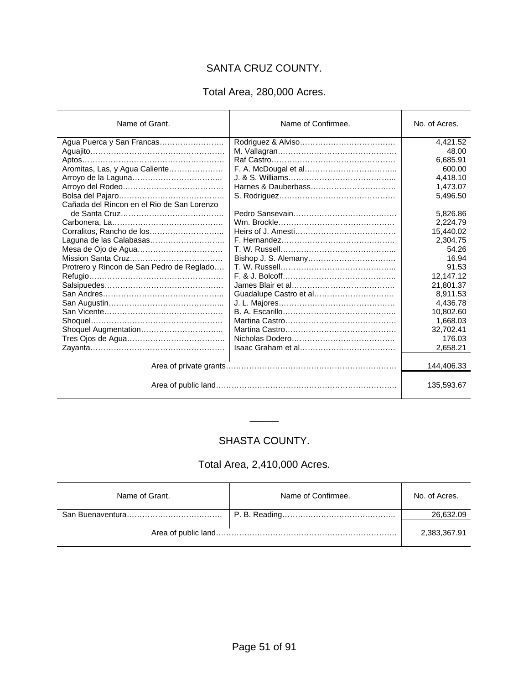# SANTA CRUZ COUNTY.

#### Total Area, 280,000 Acres.

| Name of Grant.                             | Name of Confirmee. | No. of Acres. |
|--------------------------------------------|--------------------|---------------|
| Agua Puerca y San Francas                  |                    | 4,421.52      |
|                                            |                    | 48.00         |
|                                            |                    | 6,685.91      |
| Aromitas, Las, y Agua Caliente             |                    | 600.00        |
|                                            |                    | 4,418.10      |
|                                            |                    | 1,473.07      |
|                                            |                    | 5,496.50      |
| Cañada del Rincon en el Rio de San Lorenzo |                    |               |
|                                            |                    | 5,826.86      |
|                                            |                    | 2,224.79      |
|                                            |                    | 15,440.02     |
|                                            |                    | 2,304.75      |
|                                            |                    | 54.26         |
|                                            |                    | 16.94         |
| Protrero y Rincon de San Pedro de Reglado  |                    | 91.53         |
|                                            |                    | 12,147.12     |
|                                            |                    | 21,801.37     |
|                                            |                    | 8.911.53      |
|                                            |                    | 4,436.78      |
|                                            |                    | 10,802.60     |
|                                            |                    | 1,668.03      |
|                                            |                    | 32,702.41     |
|                                            |                    | 176.03        |
|                                            |                    | 2,658.21      |
|                                            |                    |               |
|                                            |                    | 144,406.33    |
|                                            |                    | 135,593.67    |

#### SHASTA COUNTY.

 $\overline{\phantom{a}}$ 

#### Total Area, 2,410,000 Acres.

| Name of Grant. | Name of Confirmee. | No. of Acres. |
|----------------|--------------------|---------------|
|                |                    | 26,632.09     |
|                |                    | 2,383,367.91  |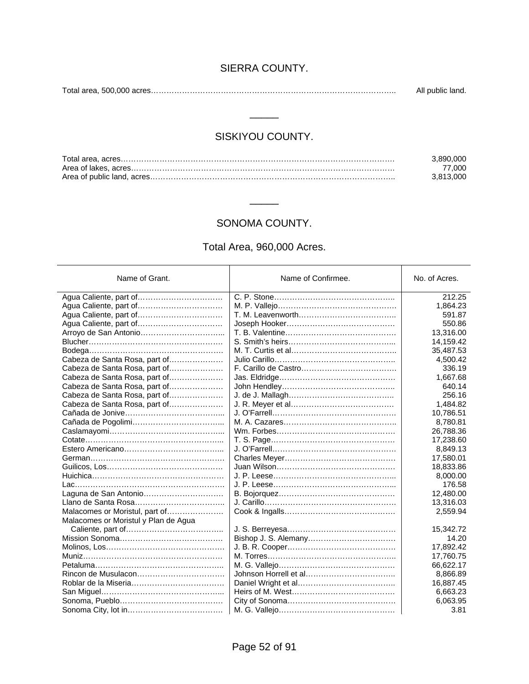#### SIERRA COUNTY.

Total area, 500,000 acres………………………………………………………………………………….. All public land.

#### SISKIYOU COUNTY.

 $\overline{\phantom{a}}$ 

| 3.890.000 |
|-----------|
| 77.000    |
| 3.813.000 |

#### SONOMA COUNTY.

\_\_\_\_\_

#### Total Area, 960,000 Acres.

| Name of Grant.                       | Name of Confirmee. | No. of Acres. |
|--------------------------------------|--------------------|---------------|
|                                      |                    | 212.25        |
| Agua Caliente, part of               |                    | 1,864.23      |
|                                      |                    | 591.87        |
|                                      |                    | 550.86        |
|                                      |                    | 13,316.00     |
|                                      |                    | 14,159.42     |
|                                      |                    | 35,487.53     |
| Cabeza de Santa Rosa, part of        |                    | 4,500.42      |
| Cabeza de Santa Rosa, part of        |                    | 336.19        |
| Cabeza de Santa Rosa, part of        |                    | 1,667.68      |
| Cabeza de Santa Rosa, part of        |                    | 640.14        |
| Cabeza de Santa Rosa, part of        |                    | 256.16        |
| Cabeza de Santa Rosa, part of        |                    | 1,484.82      |
|                                      |                    | 10,786.51     |
|                                      |                    | 8,780.81      |
|                                      |                    | 26,788.36     |
|                                      |                    | 17,238.60     |
|                                      |                    | 8,849.13      |
|                                      |                    | 17,580.01     |
|                                      |                    | 18,833.86     |
|                                      |                    | 8,000.00      |
|                                      |                    | 176.58        |
|                                      |                    | 12,480.00     |
|                                      |                    | 13,316.03     |
| Malacomes or Moristul, part of       |                    | 2,559.94      |
| Malacomes or Moristul y Plan de Agua |                    |               |
|                                      |                    | 15,342.72     |
|                                      |                    | 14.20         |
|                                      |                    | 17,892.42     |
|                                      |                    | 17,760.75     |
|                                      |                    | 66,622.17     |
|                                      |                    | 8,866.89      |
|                                      |                    | 16,887.45     |
|                                      |                    | 6,663.23      |
|                                      |                    | 6,063.95      |
|                                      |                    | 3.81          |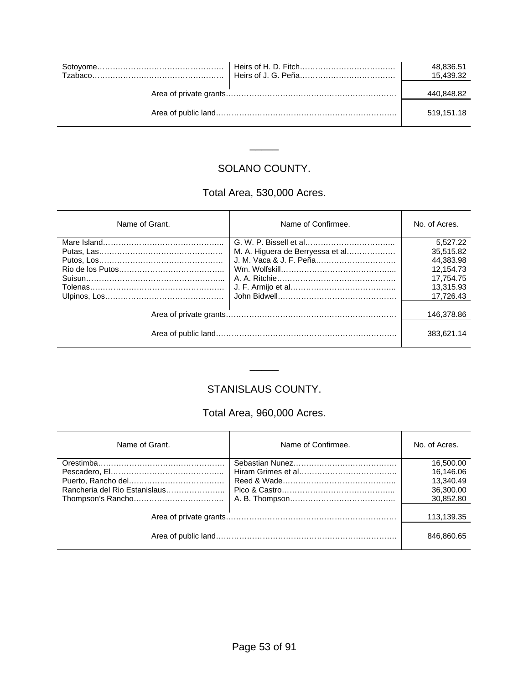|  | 48,836.51<br>15.439.32 |
|--|------------------------|
|  | 440,848.82             |
|  | 519.151.18             |

# SOLANO COUNTY.

\_\_\_\_\_

# Total Area, 530,000 Acres.

| Name of Grant. | Name of Confirmee.               | No. of Acres. |
|----------------|----------------------------------|---------------|
|                |                                  | 5.527.22      |
|                | M. A. Higuera de Berryessa et al | 35.515.82     |
|                |                                  | 44.383.98     |
|                |                                  | 12.154.73     |
|                |                                  | 17.754.75     |
|                |                                  | 13.315.93     |
|                |                                  | 17.726.43     |
|                |                                  |               |
|                |                                  | 146,378.86    |
|                |                                  | 383.621.14    |

#### STANISLAUS COUNTY.

\_\_\_\_\_

#### Total Area, 960,000 Acres.

| Name of Grant. | Name of Confirmee. | No. of Acres. |
|----------------|--------------------|---------------|
|                |                    | 16,500.00     |
|                |                    | 16.146.06     |
|                |                    | 13,340.49     |
|                |                    | 36,300.00     |
|                |                    | 30,852.80     |
|                |                    |               |
|                |                    | 113,139.35    |
|                |                    | 846,860.65    |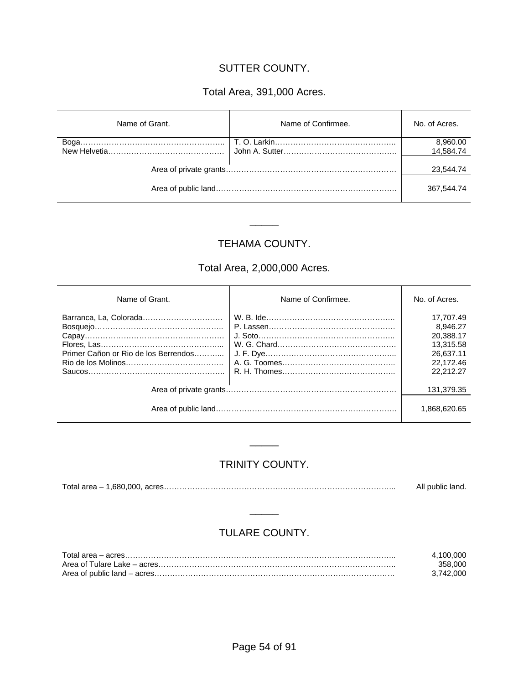#### SUTTER COUNTY.

# Total Area, 391,000 Acres.

| Name of Grant. | Name of Confirmee. | No. of Acres. |
|----------------|--------------------|---------------|
|                |                    | 8,960.00      |
|                |                    | 14,584.74     |
|                |                    | 23.544.74     |
|                |                    | 367,544.74    |

#### TEHAMA COUNTY.

\_\_\_\_\_

# Total Area, 2,000,000 Acres.

| Name of Grant.                       | Name of Confirmee. | No. of Acres. |
|--------------------------------------|--------------------|---------------|
| Barranca, La, Colorada               |                    | 17.707.49     |
|                                      |                    | 8.946.27      |
|                                      | J. Soto            | 20.388.17     |
|                                      |                    | 13.315.58     |
| Primer Cañon or Rio de los Berrendos |                    | 26.637.11     |
|                                      |                    | 22.172.46     |
|                                      |                    | 22.212.27     |
|                                      |                    | 131.379.35    |
|                                      |                    | 1.868.620.65  |

#### TRINITY COUNTY.

\_\_\_\_\_

Total area – 1,680,000, acres……………………………………………………………………………... All public land.

#### TULARE COUNTY.

\_\_\_\_\_

| 4.100.000 |
|-----------|
| 358.000   |
| 3.742.000 |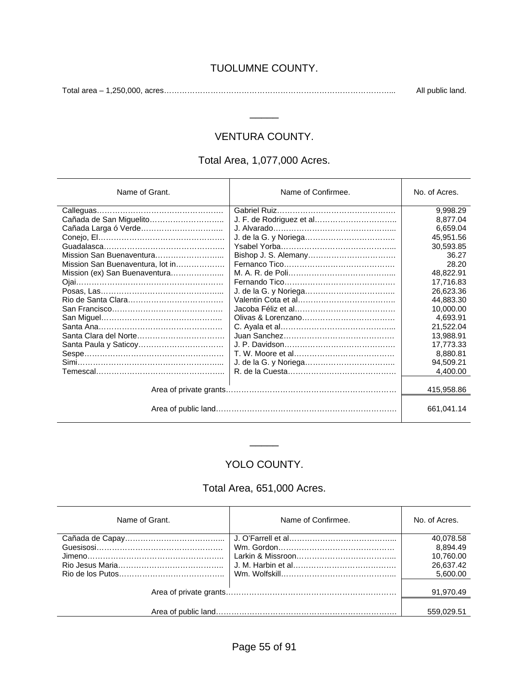#### TUOLUMNE COUNTY.

Total area – 1,250,000, acres……………………………………………………………………………... All public land.

### VENTURA COUNTY.

\_\_\_\_\_

#### Total Area, 1,077,000 Acres.

| Name of Grant.                   | Name of Confirmee. | No. of Acres. |
|----------------------------------|--------------------|---------------|
|                                  |                    | 9.998.29      |
|                                  |                    | 8,877.04      |
|                                  |                    | 6,659.04      |
|                                  |                    | 45,951.56     |
|                                  |                    | 30,593.85     |
|                                  |                    | 36.27         |
| Mission San Buenaventura, lot in |                    | 28.20         |
| Mission (ex) San Buenaventura    |                    | 48.822.91     |
|                                  |                    | 17,716.83     |
|                                  |                    | 26,623.36     |
|                                  |                    | 44,883.30     |
|                                  |                    | 10,000.00     |
|                                  |                    | 4,693.91      |
|                                  |                    | 21,522.04     |
|                                  |                    | 13,988.91     |
|                                  |                    | 17,773.33     |
|                                  |                    | 8.880.81      |
|                                  |                    | 94,509.21     |
|                                  |                    | 4,400.00      |
|                                  |                    |               |
|                                  |                    | 415,958.86    |
|                                  |                    | 661.041.14    |

# YOLO COUNTY.

 $\overline{\phantom{a}}$ 

#### Total Area, 651,000 Acres.

| Name of Grant. | Name of Confirmee. | No. of Acres. |
|----------------|--------------------|---------------|
|                |                    | 40,078.58     |
|                |                    | 8.894.49      |
|                |                    | 10,760.00     |
|                |                    | 26,637.42     |
|                |                    | 5,600.00      |
|                |                    |               |
|                |                    | 91,970.49     |
|                |                    |               |
|                |                    | 559.029.51    |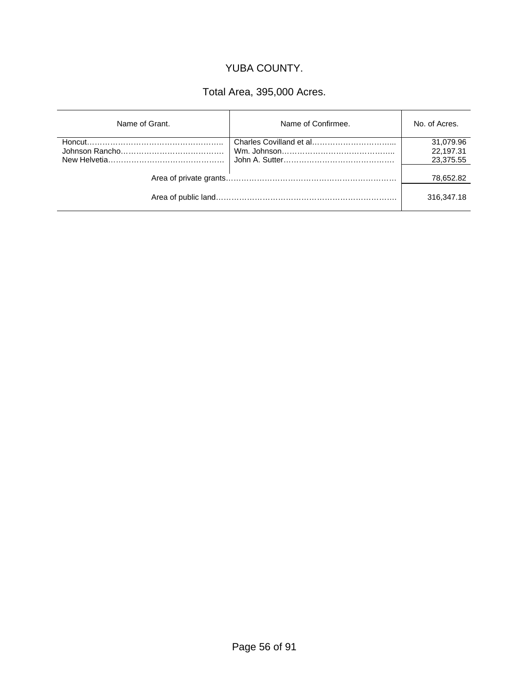#### YUBA COUNTY.

# Total Area, 395,000 Acres.

| Name of Grant. | Name of Confirmee. | No. of Acres. |
|----------------|--------------------|---------------|
|                |                    | 31,079.96     |
|                |                    | 22,197.31     |
|                |                    | 23,375.55     |
|                |                    | 78,652.82     |
|                |                    | 316,347.18    |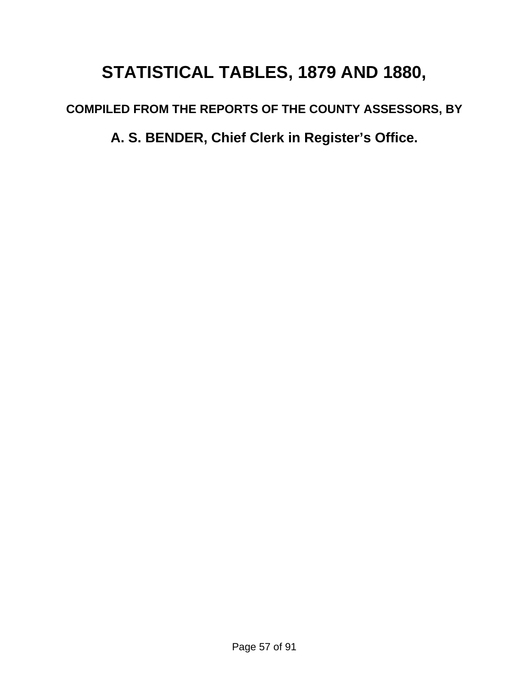# **STATISTICAL TABLES, 1879 AND 1880,**

**COMPILED FROM THE REPORTS OF THE COUNTY ASSESSORS, BY** 

**A. S. BENDER, Chief Clerk in Register's Office.**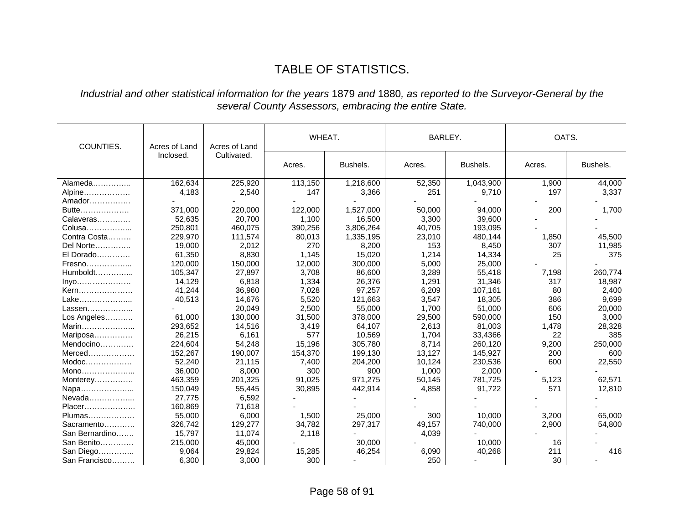# TABLE OF STATISTICS.

#### *Industrial and other statistical information for the years* 1879 *and* 1880*, as reported to the Surveyor-General by the several County Assessors, embracing the entire State.*

| COUNTIES.      | Acres of Land<br>Acres of Land |             | WHEAT.  |           | BARLEY. |           | OATS.  |          |
|----------------|--------------------------------|-------------|---------|-----------|---------|-----------|--------|----------|
|                | Inclosed.                      | Cultivated. | Acres.  | Bushels.  | Acres.  | Bushels.  | Acres. | Bushels. |
| Alameda        | 162,634                        | 225,920     | 113,150 | 1,218,600 | 52,350  | 1,043,900 | 1,900  | 44,000   |
| Alpine         | 4,183                          | 2,540       | 147     | 3,366     | 251     | 9,710     | 197    | 3,337    |
| Amador         |                                |             |         |           |         |           |        |          |
| Butte          | 371,000                        | 220,000     | 122,000 | 1,527,000 | 50,000  | 94,000    | 200    | 1,700    |
| Calaveras      | 52,635                         | 20,700      | 1,100   | 16,500    | 3,300   | 39,600    |        |          |
| Colusa         | 250,801                        | 460,075     | 390,256 | 3,806,264 | 40,705  | 193,095   |        |          |
| Contra Costa   | 229,970                        | 111,574     | 80,013  | 1,335,195 | 23,010  | 480,144   | 1,850  | 45,500   |
| Del Norte      | 19,000                         | 2,012       | 270     | 8,200     | 153     | 8,450     | 307    | 11,985   |
| $E1$ Dorado    | 61,350                         | 8,830       | 1,145   | 15.020    | 1.214   | 14,334    | 25     | 375      |
| Fresno         | 120,000                        | 150,000     | 12,000  | 300,000   | 5,000   | 25,000    |        |          |
| $Humboldt$     | 105,347                        | 27,897      | 3,708   | 86,600    | 3,289   | 55,418    | 7,198  | 260,774  |
| Inyo           | 14,129                         | 6,818       | 1,334   | 26,376    | 1,291   | 31,346    | 317    | 18,987   |
| Kern           | 41,244                         | 36,960      | 7,028   | 97,257    | 6,209   | 107,161   | 80     | 2,400    |
| Lake           | 40,513                         | 14,676      | 5,520   | 121,663   | 3,547   | 18,305    | 386    | 9,699    |
| Lassen         |                                | 20,049      | 2,500   | 55,000    | 1,700   | 51,000    | 606    | 20,000   |
| Los Angeles    | 61,000                         | 130,000     | 31,500  | 378,000   | 29,500  | 590,000   | 150    | 3,000    |
| Marin          | 293,652                        | 14,516      | 3,419   | 64,107    | 2,613   | 81,003    | 1,478  | 28,328   |
| Mariposa       | 26,215                         | 6,161       | 577     | 10,569    | 1,704   | 33,4366   | 22     | 385      |
| Mendocino      | 224,604                        | 54,248      | 15,196  | 305,780   | 8,714   | 260,120   | 9,200  | 250,000  |
|                | 152,267                        | 190,007     | 154,370 | 199,130   | 13,127  | 145,927   | 200    | 600      |
| $Modoc$        | 52,240                         | 21,115      | 7,400   | 204,200   | 10,124  | 230,536   | 600    | 22,550   |
| Mono           | 36,000                         | 8,000       | 300     | 900       | 1,000   | 2,000     |        |          |
| Monterey       | 463,359                        | 201,325     | 91,025  | 971,275   | 50,145  | 781,725   | 5,123  | 62,571   |
| Napa           | 150,049                        | 55,445      | 30,895  | 442,914   | 4,858   | 91,722    | 571    | 12,810   |
| Nevada         | 27,775                         | 6,592       |         |           |         |           |        |          |
| Placer         | 160,869                        | 71,618      |         |           |         |           |        |          |
| Plumas         | 55,000                         | 6,000       | 1,500   | 25,000    | 300     | 10,000    | 3,200  | 65,000   |
| Sacramento     | 326,742                        | 129,277     | 34,782  | 297,317   | 49,157  | 740,000   | 2,900  | 54,800   |
| San Bernardino | 15,797                         | 11,074      | 2,118   |           | 4,039   |           |        |          |
| San Benito     | 215,000                        | 45,000      |         | 30,000    |         | 10,000    | 16     |          |
| San Diego      | 9,064                          | 29,824      | 15,285  | 46,254    | 6,090   | 40,268    | 211    | 416      |
| San Francisco  | 6,300                          | 3,000       | 300     |           | 250     |           | 30     |          |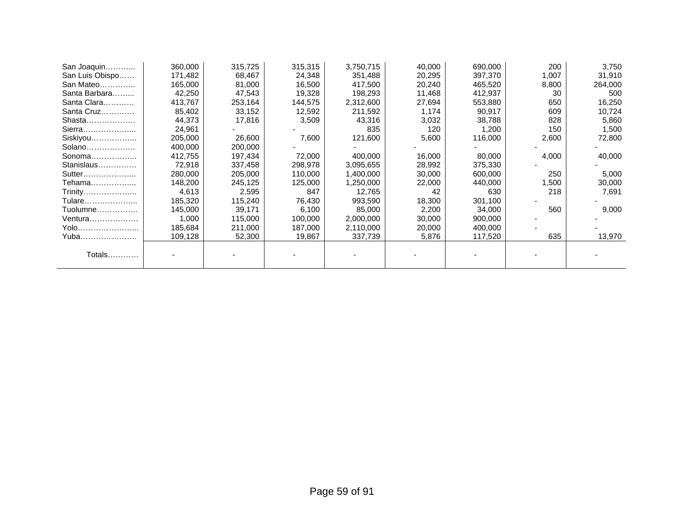| San Joaquin     | 360,000 | 315,725 | 315,315 | 3,750,715 | 40,000 | 690,000 | 200   | 3,750   |
|-----------------|---------|---------|---------|-----------|--------|---------|-------|---------|
| San Luis Obispo | 171,482 | 68,467  | 24,348  | 351,488   | 20,295 | 397,370 | 1,007 | 31,910  |
| San Mateo       | 165,000 | 81,000  | 16,500  | 417,500   | 20,240 | 465,520 | 8,800 | 264,000 |
| Santa Barbara   | 42,250  | 47,543  | 19,328  | 198,293   | 11,468 | 412,937 | 30    | 500     |
| Santa Clara     | 413,767 | 253,164 | 144,575 | 2,312,600 | 27,694 | 553,880 | 650   | 16,250  |
| Santa Cruz      | 85,402  | 33,152  | 12,592  | 211,592   | 1,174  | 90,917  | 609   | 10,724  |
| Shasta          | 44.373  | 17,816  | 3,509   | 43,316    | 3,032  | 38,788  | 828   | 5,860   |
| Sierra          | 24,961  |         |         | 835       | 120    | 1,200   | 150   | 1,500   |
| Siskiyou        | 205,000 | 26,600  | 7,600   | 121,600   | 5,600  | 116,000 | 2,600 | 72,800  |
| Solano          | 400.000 | 200,000 |         |           |        |         |       |         |
| Sonoma          | 412,755 | 197,434 | 72,000  | 400,000   | 16,000 | 80,000  | 4,000 | 40,000  |
| Stanislaus      | 72,918  | 337,458 | 298,978 | 3,095,655 | 28,992 | 375,330 |       |         |
| Sutter          | 280,000 | 205,000 | 110,000 | 1,400,000 | 30,000 | 600,000 | 250   | 5,000   |
| Tehama          | 148,200 | 245,125 | 125,000 | 1,250,000 | 22,000 | 440,000 | 1,500 | 30,000  |
| Trinity         | 4,613   | 2,595   | 847     | 12,765    | 42     | 630     | 218   | 7,691   |
| Tulare          | 185,320 | 115,240 | 76,430  | 993,590   | 18,300 | 301,100 |       |         |
| Tuolumne        | 145,000 | 39,171  | 6,100   | 85,000    | 2,200  | 34,000  | 560   | 9,000   |
| <u> Ventura</u> | 1,000   | 115,000 | 100,000 | 2,000,000 | 30,000 | 900,000 |       |         |
| Yolo            | 185,684 | 211,000 | 187,000 | 2,110,000 | 20,000 | 400,000 |       |         |
| Yuba            | 109,128 | 52,300  | 19,867  | 337,739   | 5,876  | 117,520 | 635   | 13,970  |
|                 |         |         |         |           |        |         |       |         |
| Totals          |         |         |         |           |        |         |       |         |
|                 |         |         |         |           |        |         |       |         |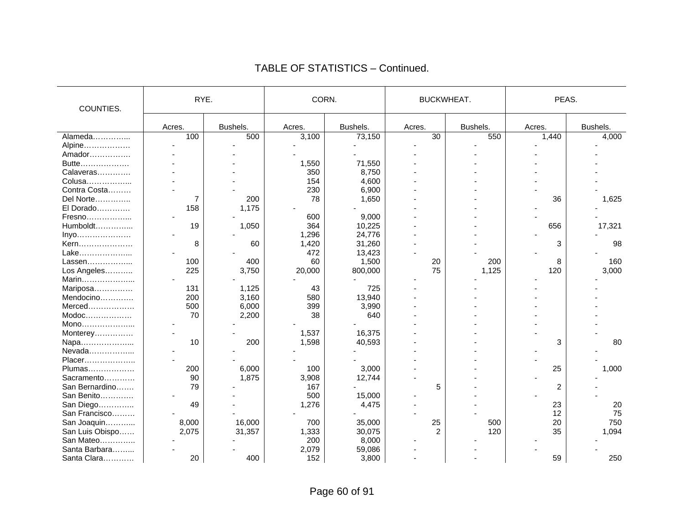| COUNTIES.       | RYE.   |          | CORN.  |          | <b>BUCKWHEAT.</b> |          | PEAS.  |          |
|-----------------|--------|----------|--------|----------|-------------------|----------|--------|----------|
|                 | Acres. | Bushels. | Acres. | Bushels. | Acres.            | Bushels. | Acres. | Bushels. |
| Alameda         | 100    | 500      | 3,100  | 73,150   | $\overline{30}$   | 550      | 1,440  | 4,000    |
| Alpine          |        |          |        |          |                   |          |        |          |
| Amador          |        |          |        |          |                   |          |        |          |
| Butte           |        |          | 1,550  | 71,550   |                   |          |        |          |
| Calaveras       |        |          | 350    | 8,750    |                   |          |        |          |
| Colusa          |        |          | 154    | 4.600    |                   |          |        |          |
| Contra Costa    |        |          | 230    | 6,900    |                   |          |        |          |
| Del Norte       | 7      | 200      | 78     | 1,650    |                   |          | 36     | 1,625    |
| El Dorado       | 158    | 1,175    |        |          |                   |          |        |          |
| Fresno          |        |          | 600    | 9,000    |                   |          |        |          |
| $Humboldt$      | 19     | 1,050    | 364    | 10,225   |                   |          | 656    | 17,321   |
| Inyo            |        |          | 1,296  | 24,776   |                   |          |        |          |
| Kern            | 8      | 60       | 1,420  | 31,260   |                   |          | 3      | 98       |
| Lake            |        |          | 472    | 13,423   |                   |          |        |          |
| Lassen          | 100    | 400      | 60     | 1,500    | 20                | 200      | 8      | 160      |
| Los Angeles     | 225    | 3,750    | 20,000 | 800,000  | 75                | 1,125    | 120    | 3,000    |
| Marin           |        |          |        |          |                   |          |        |          |
| Mariposa        | 131    | 1,125    | 43     | 725      |                   |          |        |          |
| Mendocino       | 200    | 3,160    | 580    | 13,940   |                   |          |        |          |
| $Merced$        | 500    | 6,000    | 399    | 3,990    |                   |          |        |          |
| $Modoc$         | 70     | 2,200    | 38     | 640      |                   |          |        |          |
| Mono            |        |          |        |          |                   |          |        |          |
| Monterey        |        |          | 1,537  | 16,375   |                   |          |        |          |
| Napa            | 10     | 200      | 1,598  | 40,593   |                   |          | 3      | 80       |
| Nevada          |        |          |        |          |                   |          |        |          |
| Placer          |        |          |        |          |                   |          |        |          |
| Plumas          | 200    | 6,000    | 100    | 3,000    |                   |          | 25     | 1,000    |
| Sacramento      | 90     | 1,875    | 3,908  | 12,744   |                   |          |        |          |
| San Bernardino  | 79     |          | 167    |          | 5                 |          | 2      |          |
| San Benito      |        |          | 500    | 15,000   |                   |          |        |          |
| San Diego       | 49     |          | 1,276  | 4,475    |                   |          | 23     | 20       |
| San Francisco   |        |          |        |          |                   |          | 12     | 75       |
| San Joaquin     | 8,000  | 16,000   | 700    | 35,000   | 25                | 500      | 20     | 750      |
| San Luis Obispo | 2,075  | 31,357   | 1,333  | 30,075   | $\overline{2}$    | 120      | 35     | 1,094    |
| San Mateo       |        |          | 200    | 8,000    |                   |          |        |          |
| Santa Barbara   |        |          | 2,079  | 59,086   |                   |          |        |          |
| Santa Clara     | 20     | 400      | 152    | 3,800    |                   |          | 59     | 250      |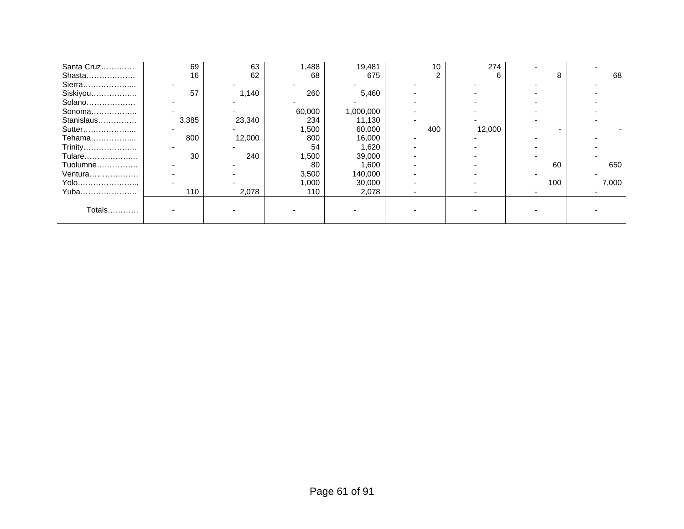| Santa Cruz | 69    | 63     | ,488   | 19,481    | 10  | 274    |     |       |
|------------|-------|--------|--------|-----------|-----|--------|-----|-------|
| Shasta     | 16    | 62     | 68     | 675       |     | 6      | 8   | 68    |
| Sierra     |       |        |        |           |     |        |     |       |
| Siskiyou   | 57    | 1,140  | 260    | 5,460     |     |        |     |       |
| Solano     |       |        |        |           |     |        |     |       |
| Sonoma     |       |        | 60,000 | 1,000,000 |     |        |     |       |
| Stanislaus | 3,385 | 23,340 | 234    | 11,130    |     |        |     |       |
| Sutter     |       |        | .500   | 60,000    | 400 | 12,000 |     |       |
| Tehama     | 800   | 12,000 | 800    | 16,000    |     |        |     |       |
| Trinity    |       |        | 54     | 1,620     |     |        |     |       |
| Tulare     | 30    | 240    | ,500   | 39,000    |     |        |     |       |
| Tuolumne   |       |        | 80     | 1,600     |     |        | 60  | 650   |
| Ventura    |       |        | 3,500  | 140,000   |     |        |     |       |
| Yolo       |       |        | 1,000  | 30,000    |     |        | 100 | 7,000 |
| Yuba       | 110   | 2,078  | 110    | 2,078     |     |        |     |       |
|            |       |        |        |           |     |        |     |       |
| Totals     |       |        |        |           |     |        |     |       |
|            |       |        |        |           |     |        |     |       |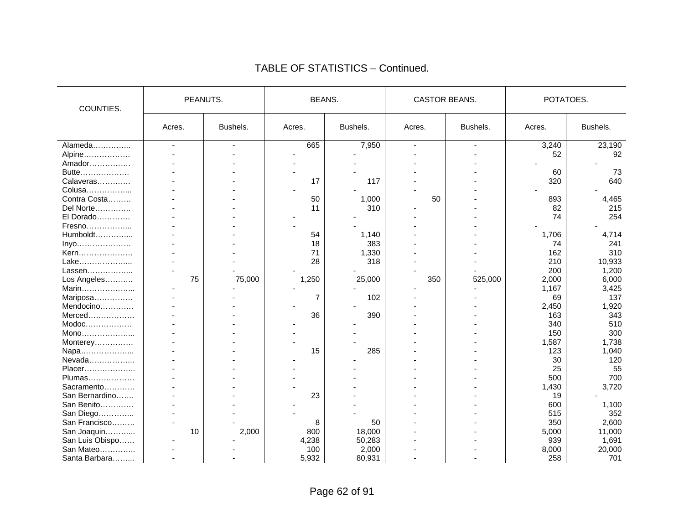| COUNTIES.                                                                                                                      | PEANUTS. |          | <b>BEANS.</b> |          | <b>CASTOR BEANS.</b> |          | POTATOES. |          |
|--------------------------------------------------------------------------------------------------------------------------------|----------|----------|---------------|----------|----------------------|----------|-----------|----------|
|                                                                                                                                | Acres.   | Bushels. | Acres.        | Bushels. | Acres.               | Bushels. | Acres.    | Bushels. |
| Alameda                                                                                                                        |          |          | 665           | 7,950    |                      |          | 3,240     | 23,190   |
| Alpine                                                                                                                         |          |          |               |          |                      |          | 52        | 92       |
| Amador                                                                                                                         |          |          |               |          |                      |          |           |          |
| Butte                                                                                                                          |          |          |               |          |                      |          | 60        | 73       |
| Calaveras                                                                                                                      |          |          | 17            | 117      |                      |          | 320       | 640      |
| Colusa                                                                                                                         |          |          |               |          |                      |          |           |          |
| Contra Costa                                                                                                                   |          |          | 50            | 1,000    | 50                   |          | 893       | 4,465    |
| Del Norte                                                                                                                      |          |          | 11            | 310      |                      |          | 82        | 215      |
| El Dorado                                                                                                                      |          |          |               |          |                      |          | 74        | 254      |
| Fresno                                                                                                                         |          |          |               |          |                      |          |           |          |
| Humboldt                                                                                                                       |          |          | 54            | 1,140    |                      |          | 1,706     | 4,714    |
| $inyo$                                                                                                                         |          |          | 18            | 383      |                      |          | 74        | 241      |
| Kern                                                                                                                           |          |          | 71            | 1,330    |                      |          | 162       | 310      |
| Lake                                                                                                                           |          |          | 28            | 318      |                      |          | 210       | 10,933   |
| Lassen                                                                                                                         |          |          |               |          |                      |          | 200       | 1,200    |
| Los Angeles                                                                                                                    | 75       | 75,000   | 1,250         | 25,000   | 350                  | 525,000  | 2,000     | 6,000    |
| Marin                                                                                                                          |          |          |               |          |                      |          | 1,167     | 3,425    |
| Mariposa                                                                                                                       |          |          | 7             | 102      |                      |          | 69        | 137      |
| Mendocino                                                                                                                      |          |          |               |          |                      |          | 2,450     | 1,920    |
| Merced                                                                                                                         |          |          | 36            | 390      |                      |          | 163       | 343      |
| $\mathsf{Modoc}\hspace{-0.04cm}\ldots\hspace{-0.04cm}\ldots\hspace{-0.04cm}\ldots\hspace{-0.04cm}\ldots\hspace{-0.04cm}\ldots$ |          |          |               |          |                      |          | 340       | 510      |
| Mono                                                                                                                           |          |          |               |          |                      |          | 150       | 300      |
| Monterey                                                                                                                       |          |          |               |          |                      |          | 1,587     | 1,738    |
| Napa                                                                                                                           |          |          | 15            | 285      |                      |          | 123       | 1,040    |
| Nevada                                                                                                                         |          |          |               |          |                      |          | 30        | 120      |
| Placer                                                                                                                         |          |          |               |          |                      |          | 25        | 55       |
| Plumas                                                                                                                         |          |          |               |          |                      |          | 500       | 700      |
| Sacramento                                                                                                                     |          |          |               |          |                      |          | 1,430     | 3,720    |
| San Bernardino                                                                                                                 |          |          | 23            |          |                      |          | 19        |          |
| San Benito                                                                                                                     |          |          |               |          |                      |          | 600       | 1,100    |
| San Diego                                                                                                                      |          |          |               |          |                      |          | 515       | 352      |
| San Francisco                                                                                                                  |          |          | 8             | 50       |                      |          | 350       | 2,600    |
| San Joaquin                                                                                                                    | 10       | 2,000    | 800           | 18,000   |                      |          | 5,000     | 11,000   |
| San Luis Obispo                                                                                                                |          |          | 4,238         | 50,283   |                      |          | 939       | 1,691    |
| San Mateo                                                                                                                      |          |          | 100           | 2,000    |                      |          | 8,000     | 20,000   |
| Santa Barbara                                                                                                                  |          |          | 5,932         | 80,931   |                      |          | 258       | 701      |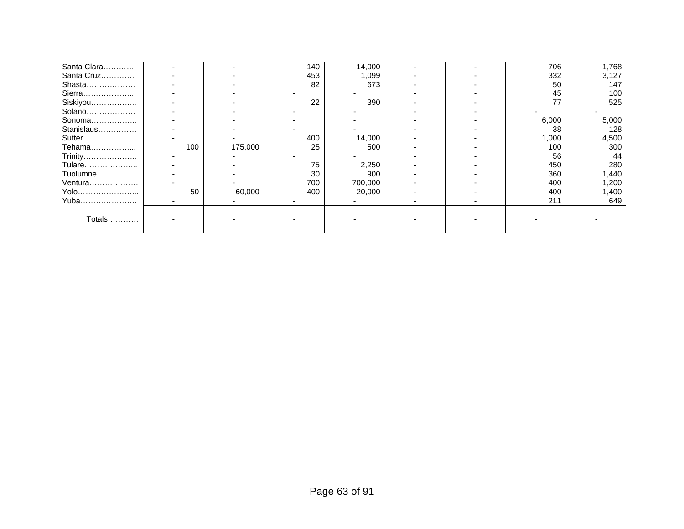| Santa Clara |     |         | 140 | 14,000  |  | 706   | 1,768 |
|-------------|-----|---------|-----|---------|--|-------|-------|
| Santa Cruz  |     |         | 453 | 1,099   |  | 332   | 3,127 |
| Shasta      |     |         | 82  | 673     |  | 50    | 147   |
| Sierra      |     |         |     |         |  | 45    | 100   |
| Siskiyou    |     |         | 22  | 390     |  | 77    | 525   |
| Solano      |     |         |     |         |  |       |       |
| Sonoma      |     |         |     |         |  | 6,000 | 5,000 |
| Stanislaus  |     |         |     |         |  | 38    | 128   |
| Sutter      |     |         | 400 | 14,000  |  | 1,000 | 4,500 |
| Tehama      | 100 | 175,000 | 25  | 500     |  | 100   | 300   |
| Trinity     |     |         |     |         |  | 56    | 44    |
| Tulare      |     |         | 75  | 2,250   |  | 450   | 280   |
| Tuolumne    |     |         | 30  | 900     |  | 360   | 1,440 |
| Ventura     |     |         | 700 | 700,000 |  | 400   | 1,200 |
| Yolo        | 50  | 60,000  | 400 | 20,000  |  | 400   | 1,400 |
| Yuba        |     |         |     |         |  | 211   | 649   |
|             |     |         |     |         |  |       |       |
| Totals      |     |         |     |         |  |       |       |
|             |     |         |     |         |  |       |       |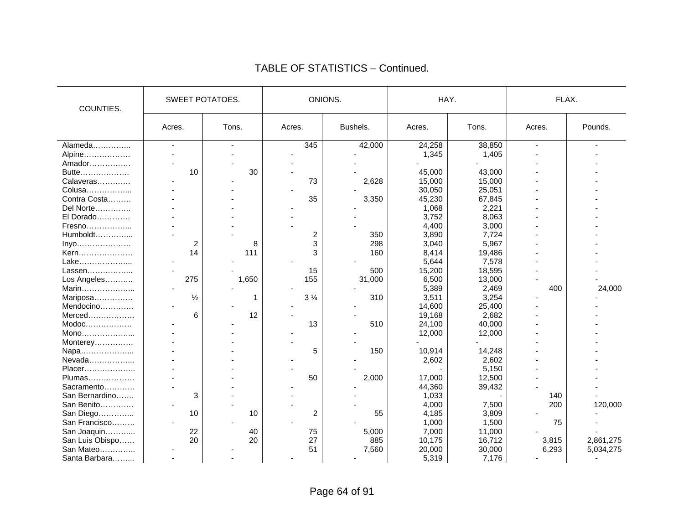| COUNTIES.       | <b>SWEET POTATOES.</b> |       |                | ONIONS.  |        | HAY.   | FLAX.          |           |
|-----------------|------------------------|-------|----------------|----------|--------|--------|----------------|-----------|
|                 | Acres.                 | Tons. | Acres.         | Bushels. | Acres. | Tons.  | Acres.         | Pounds.   |
| Alameda         | $\blacksquare$         |       | 345            | 42,000   | 24,258 | 38,850 | $\overline{a}$ |           |
| Alpine          |                        |       |                |          | 1,345  | 1,405  |                |           |
| Amador          |                        |       |                |          |        |        |                |           |
| Butte           | 10                     | 30    |                |          | 45,000 | 43,000 |                |           |
| Calaveras       |                        |       | 73             | 2,628    | 15,000 | 15,000 |                |           |
| Colusa          |                        |       |                |          | 30,050 | 25,051 |                |           |
| Contra Costa    |                        |       | 35             | 3,350    | 45,230 | 67,845 |                |           |
| Del Norte       |                        |       |                |          | 1,068  | 2,221  |                |           |
| El Dorado       |                        |       |                |          | 3,752  | 8,063  |                |           |
| Fresno          |                        |       |                |          | 4,400  | 3,000  |                |           |
| Humboldt        |                        |       | 2              | 350      | 3,890  | 7,724  |                |           |
| Inyo            | 2                      | 8     | 3              | 298      | 3,040  | 5,967  |                |           |
| Kern            | 14                     | 111   | 3              | 160      | 8,414  | 19,486 |                |           |
| Lake            |                        |       |                |          | 5,644  | 7,578  |                |           |
| Lassen          |                        |       | 15             | 500      | 15,200 | 18,595 |                |           |
| Los Angeles     | 275                    | 1,650 | 155            | 31,000   | 6,500  | 13,000 |                |           |
| Marin           |                        |       |                |          | 5,389  | 2,469  | 400            | 24,000    |
| Mariposa        | $\frac{1}{2}$          | 1     | $3\frac{1}{4}$ | 310      | 3,511  | 3,254  |                |           |
| Mendocino       |                        |       |                |          | 14,600 | 25,400 |                |           |
| Merced          | 6                      | 12    |                |          | 19,168 | 2,682  |                |           |
| $Modoc$         |                        |       | 13             | 510      | 24,100 | 40,000 |                |           |
| Mono            |                        |       |                |          | 12,000 | 12,000 |                |           |
| Monterey        |                        |       |                |          |        |        |                |           |
| Napa            |                        |       | 5              | 150      | 10,914 | 14,248 |                |           |
| Nevada          |                        |       |                |          | 2,602  | 2,602  |                |           |
| Placer          |                        |       |                |          |        | 5,150  |                |           |
| Plumas          |                        |       | 50             | 2,000    | 17,000 | 12,500 |                |           |
| Sacramento      |                        |       |                |          | 44,360 | 39,432 |                |           |
| San Bernardino  | 3                      |       |                |          | 1,033  |        | 140            |           |
| San Benito      |                        |       |                |          | 4,000  | 7,500  | 200            | 120,000   |
| San Diego       | 10                     | 10    | $\overline{c}$ | 55       | 4,185  | 3,809  |                |           |
| San Francisco   |                        |       |                |          | 1,000  | 1,500  | 75             |           |
| San Joaquin     | 22                     | 40    | 75             | 5,000    | 7,000  | 11,000 |                |           |
| San Luis Obispo | 20                     | 20    | 27             | 885      | 10,175 | 16,712 | 3,815          | 2,861,275 |
| San Mateo       |                        |       | 51             | 7,560    | 20,000 | 30,000 | 6,293          | 5,034,275 |
| Santa Barbara   |                        |       |                |          | 5,319  | 7,176  |                |           |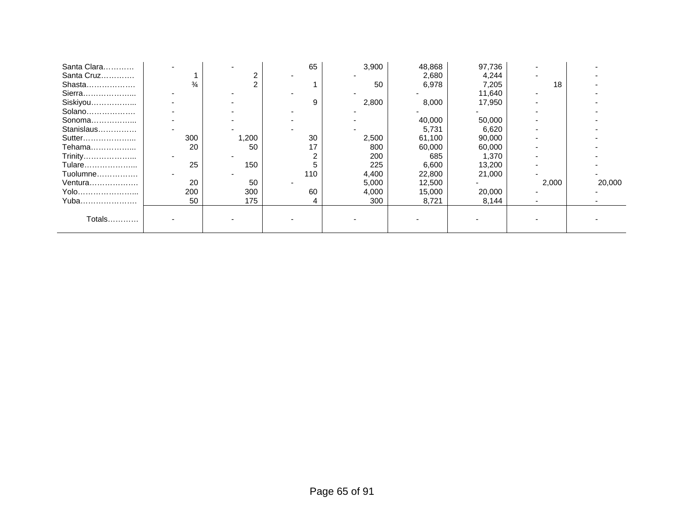| Santa Clara |               |       | 65  | 3,900 | 48,868 | 97,736 |       |        |
|-------------|---------------|-------|-----|-------|--------|--------|-------|--------|
| Santa Cruz  |               | 2     |     |       | 2,680  | 4,244  |       |        |
| Shasta      | $\frac{3}{4}$ |       |     | 50    | 6,978  | 7,205  | 18    |        |
| Sierra      |               |       |     |       |        | 11,640 |       |        |
| Siskiyou    |               |       | 9   | 2,800 | 8,000  | 17,950 |       |        |
| Solano      |               |       |     |       |        |        |       |        |
| Sonoma      |               |       |     |       | 40,000 | 50,000 |       |        |
| Stanislaus  |               |       |     |       | 5,731  | 6,620  |       |        |
| Sutter      | 300           | 1,200 | 30  | 2,500 | 61,100 | 90,000 |       |        |
| Tehama      | 20            | 50    | 17  | 800   | 60,000 | 60,000 |       |        |
| Trinity     |               |       | 2   | 200   | 685    | 1,370  |       |        |
| Tulare      | 25            | 150   | 5   | 225   | 6,600  | 13,200 |       |        |
| Tuolumne    |               |       | 110 | 4,400 | 22,800 | 21,000 |       |        |
| Ventura     | 20            | 50    |     | 5,000 | 12,500 |        | 2,000 | 20,000 |
| Yolo        | 200           | 300   | 60  | 4,000 | 15,000 | 20,000 |       |        |
| Yuba        | 50            | 175   | 4   | 300   | 8,721  | 8,144  |       |        |
|             |               |       |     |       |        |        |       |        |
| Totals      |               |       |     |       |        |        |       |        |
|             |               |       |     |       |        |        |       |        |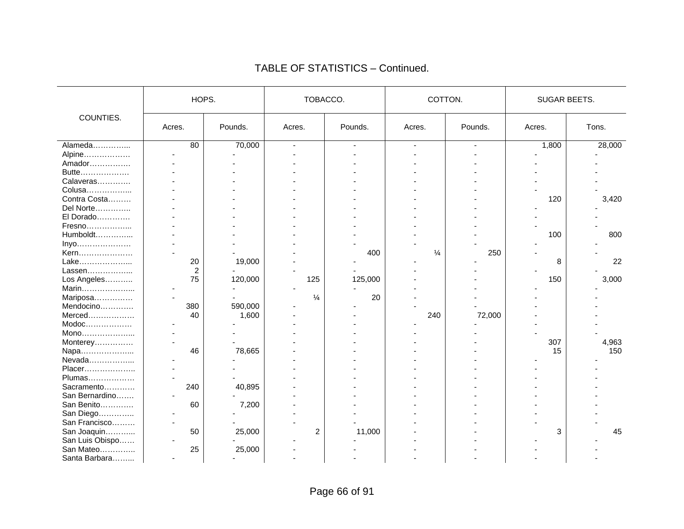|                 | HOPS.  |         | TOBACCO.       |         | COTTON.       |                          | SUGAR BEETS. |        |
|-----------------|--------|---------|----------------|---------|---------------|--------------------------|--------------|--------|
| COUNTIES.       | Acres. | Pounds. | Acres.         | Pounds. | Acres.        | Pounds.                  | Acres.       | Tons.  |
| Alameda         | 80     | 70,000  | $\overline{a}$ | $\sim$  | ÷,            | $\overline{\phantom{a}}$ | 1,800        | 28,000 |
| Alpine          |        |         |                |         |               |                          |              |        |
| Amador          |        |         |                |         |               |                          |              |        |
| Butte           |        |         |                |         |               |                          |              |        |
| Calaveras       |        |         |                |         |               |                          |              |        |
| Colusa          |        |         |                |         |               |                          |              |        |
| Contra Costa    |        |         |                |         |               |                          | 120          | 3,420  |
| Del Norte       |        |         |                |         |               |                          |              |        |
| El Dorado       |        |         |                |         |               |                          |              |        |
| Fresno          |        |         |                |         |               |                          |              |        |
| Humboldt        |        |         |                |         |               |                          | 100          | 800    |
| Inyo            |        |         |                |         |               |                          |              |        |
| Kern            |        |         |                | 400     | $\frac{1}{4}$ | 250                      |              |        |
| Lake            | 20     | 19,000  |                |         |               |                          | 8            | 22     |
| Lassen          | 2      |         |                |         |               |                          |              |        |
| Los Angeles     | 75     | 120,000 | 125            | 125,000 |               |                          | 150          | 3,000  |
| Marin           |        |         |                |         |               |                          |              |        |
| Mariposa        |        |         | $\frac{1}{4}$  | 20      |               |                          |              |        |
| Mendocino       | 380    | 590,000 |                |         |               |                          |              |        |
| Merced          | 40     | 1,600   |                |         | 240           | 72,000                   |              |        |
| $Modoc$         |        |         |                |         |               |                          |              |        |
| Mono            |        |         |                |         |               |                          |              |        |
| Monterey        |        |         |                |         |               |                          | 307          | 4,963  |
| Napa            | 46     | 78,665  |                |         |               |                          | 15           | 150    |
| Nevada          |        |         |                |         |               |                          |              |        |
| Placer          |        |         |                |         |               |                          |              |        |
| Plumas          |        |         |                |         |               |                          |              |        |
| Sacramento      | 240    | 40,895  |                |         |               |                          |              |        |
| San Bernardino  |        |         |                |         |               |                          |              |        |
| San Benito      | 60     | 7,200   |                |         |               |                          |              |        |
| San Diego       |        |         |                |         |               |                          |              |        |
| San Francisco   |        |         |                |         |               |                          |              |        |
| San Joaquin     | 50     | 25,000  | 2              | 11,000  |               |                          | 3            | 45     |
| San Luis Obispo |        |         |                |         |               |                          |              |        |
| San Mateo       | 25     | 25,000  |                |         |               |                          |              |        |
| Santa Barbara   |        |         |                |         |               |                          |              |        |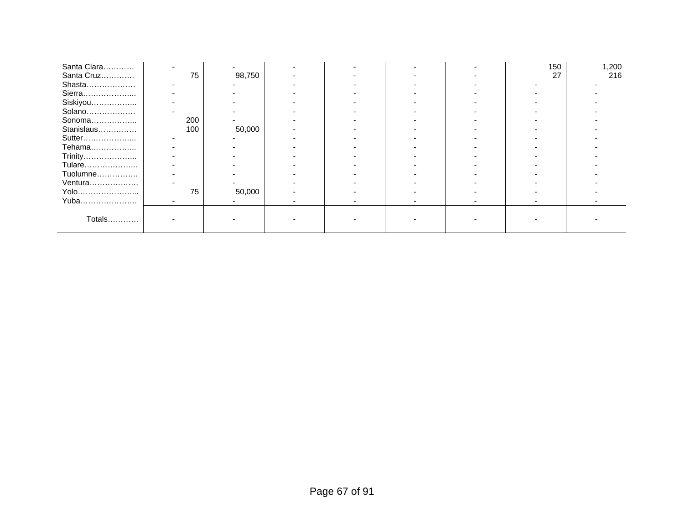| Santa Clara |     |        |  |  | 150 | 1,200 |
|-------------|-----|--------|--|--|-----|-------|
| Santa Cruz  | 75  | 98,750 |  |  | 27  | 216   |
| Shasta      |     |        |  |  |     |       |
| Sierra      |     |        |  |  |     |       |
| Siskiyou    |     |        |  |  |     |       |
| Solano      |     |        |  |  |     |       |
| Sonoma      | 200 |        |  |  |     |       |
| Stanislaus  | 100 | 50,000 |  |  |     |       |
| Sutter      |     |        |  |  |     |       |
| Tehama      |     |        |  |  |     |       |
| Trinity     |     |        |  |  |     |       |
| Tulare      |     |        |  |  |     |       |
| Tuolumne    |     |        |  |  |     |       |
| Ventura     |     |        |  |  |     |       |
| Yolo        | 75  | 50,000 |  |  |     |       |
| Yuba        |     |        |  |  |     |       |
|             |     |        |  |  |     |       |
| Totals      |     |        |  |  |     |       |
|             |     |        |  |  |     |       |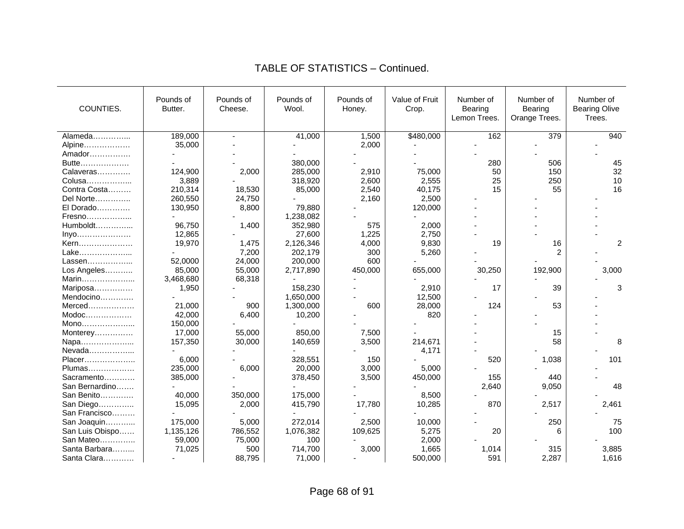| COUNTIES.       | Pounds of<br>Butter. | Pounds of<br>Cheese. | Pounds of<br>Wool. | Pounds of<br>Honey. | Value of Fruit<br>Crop. | Number of<br>Bearing<br>Lemon Trees. | Number of<br>Bearing<br>Orange Trees. | Number of<br><b>Bearing Olive</b><br>Trees. |
|-----------------|----------------------|----------------------|--------------------|---------------------|-------------------------|--------------------------------------|---------------------------------------|---------------------------------------------|
| Alameda         | 189,000              | $\sim$               | 41,000             | 1,500               | \$480,000               | 162                                  | 379                                   | 940                                         |
| Alpine          | 35,000               |                      |                    | 2,000               |                         |                                      |                                       |                                             |
| Amador          |                      |                      |                    |                     |                         |                                      |                                       |                                             |
| Butte           |                      |                      | 380,000            |                     |                         | 280                                  | 506                                   | 45                                          |
| Calaveras       | 124,900              | 2,000                | 285,000            | 2,910               | 75,000                  | 50                                   | 150                                   | 32                                          |
| Colusa          | 3,889                |                      | 318,920            | 2,600               | 2,555                   | 25                                   | 250                                   | 10                                          |
| Contra Costa    | 210,314              | 18,530               | 85,000             | 2,540               | 40,175                  | 15                                   | 55                                    | 16                                          |
| Del Norte       | 260,550              | 24,750               |                    | 2,160               | 2,500                   |                                      |                                       |                                             |
| El Dorado       | 130,950              | 8,800                | 79,880             |                     | 120,000                 |                                      |                                       |                                             |
| Fresno          |                      |                      | 1,238,082          |                     |                         |                                      |                                       |                                             |
| Humboldt        | 96,750               | 1,400                | 352,980            | 575                 | 2,000                   |                                      |                                       |                                             |
| Inyo            | 12,865               |                      | 27,600             | 1,225               | 2,750                   |                                      |                                       |                                             |
| Kern            | 19,970               | 1,475                | 2,126,346          | 4,000               | 9,830                   | 19                                   | 16                                    | $\overline{c}$                              |
| Lake            |                      | 7,200                | 202,179            | 300                 | 5,260                   |                                      | 2                                     |                                             |
| Lassen          | 52,0000              | 24,000               | 200,000            | 600                 |                         |                                      |                                       |                                             |
| Los Angeles     | 85,000               | 55,000               | 2,717,890          | 450,000             | 655,000                 | 30,250                               | 192,900                               | 3,000                                       |
| Marin           | 3,468,680            | 68,318               |                    |                     |                         |                                      |                                       |                                             |
| Mariposa        | 1,950                |                      | 158,230            |                     | 2,910                   | 17                                   | 39                                    | 3                                           |
| Mendocino       |                      |                      | 1,650,000          |                     | 12,500                  |                                      |                                       |                                             |
| $Merced$        | 21,000               | 900                  | 1,300,000          | 600                 | 28,000                  | 124                                  | 53                                    |                                             |
| $Modoc$         | 42,000               | 6,400                | 10,200             |                     | 820                     |                                      |                                       |                                             |
| Mono            | 150,000              |                      |                    |                     |                         |                                      |                                       |                                             |
| Monterey        | 17,000               | 55,000               | 850,00             | 7,500               |                         |                                      | 15                                    |                                             |
| Napa            | 157,350              | 30,000               | 140,659            | 3,500               | 214,671                 |                                      | 58                                    | 8                                           |
| Nevada          |                      |                      |                    |                     | 4,171                   |                                      |                                       |                                             |
| Placer          | 6,000                |                      | 328,551            | 150                 |                         | 520                                  | 1,038                                 | 101                                         |
| Plumas          | 235,000              | 6,000                | 20,000             | 3,000               | 5,000                   |                                      |                                       |                                             |
| Sacramento      | 385,000              |                      | 378,450            | 3,500               | 450,000                 | 155                                  | 440                                   |                                             |
| San Bernardino  |                      |                      |                    |                     |                         | 2,640                                | 9,050                                 | 48                                          |
| San Benito      | 40,000               | 350,000              | 175,000            |                     | 8,500                   |                                      |                                       |                                             |
| San Diego       | 15,095               | 2,000                | 415,790            | 17,780              | 10,285                  | 870                                  | 2,517                                 | 2,461                                       |
| San Francisco   |                      |                      |                    |                     |                         |                                      |                                       |                                             |
| San Joaquin     | 175,000              | 5,000                | 272,014            | 2,500               | 10,000                  |                                      | 250                                   | 75                                          |
| San Luis Obispo | 1,135,126            | 786,552              | 1,076,382          | 109,625             | 5,275                   | 20                                   | 6                                     | 100                                         |
| San Mateo       | 59,000               | 75,000               | 100                |                     | 2,000                   |                                      |                                       |                                             |
| Santa Barbara   | 71,025               | 500                  | 714,700            | 3,000               | 1,665                   | 1,014                                | 315                                   | 3,885                                       |
| Santa Clara     |                      | 88,795               | 71,000             |                     | 500,000                 | 591                                  | 2,287                                 | 1,616                                       |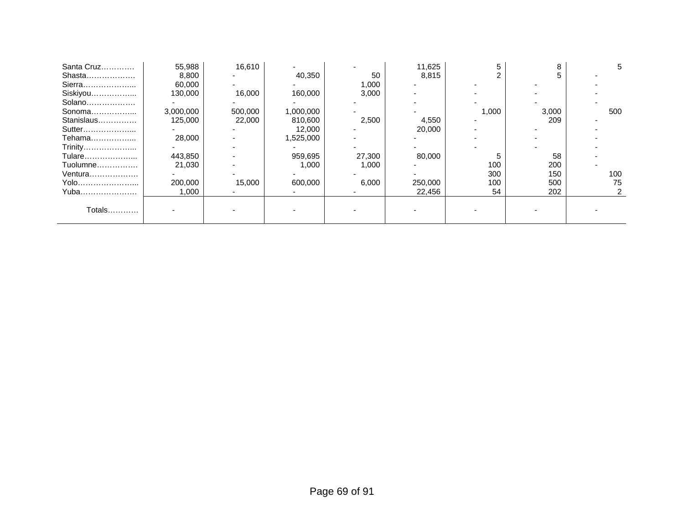| Santa Cruz | 55,988    | 16,610  |           |        | 11,625  |       |       |     |
|------------|-----------|---------|-----------|--------|---------|-------|-------|-----|
| Shasta     | 8,800     |         | 40,350    | 50     | 8,815   |       |       |     |
| Sierra     | 60,000    |         |           | 1,000  |         |       |       |     |
| Siskiyou   | 130,000   | 16,000  | 160,000   | 3,000  |         |       |       |     |
| Solano     |           |         |           |        |         |       |       |     |
| Sonoma     | 3,000,000 | 500,000 | 1,000,000 |        |         | 1,000 | 3,000 | 500 |
| Stanislaus | 125,000   | 22,000  | 810,600   | 2,500  | 4,550   |       | 209   |     |
| Sutter     |           |         | 12,000    |        | 20,000  |       |       |     |
| Tehama     | 28,000    |         | 1,525,000 |        |         |       |       |     |
| Trinity    |           |         |           |        |         |       |       |     |
| Tulare     | 443,850   |         | 959,695   | 27,300 | 80,000  |       | 58    |     |
| Tuolumne   | 21.030    |         | 1,000     | 1,000  |         | 100   | 200   |     |
| Ventura    |           |         |           |        |         | 300   | 150   | 100 |
| Yolo       | 200,000   | 15,000  | 600,000   | 6,000  | 250,000 | 100   | 500   | 75  |
| Yuba       | 1,000     |         |           |        | 22,456  | 54    | 202   |     |
|            |           |         |           |        |         |       |       |     |
| Totals     |           |         |           |        |         |       |       |     |
|            |           |         |           |        |         |       |       |     |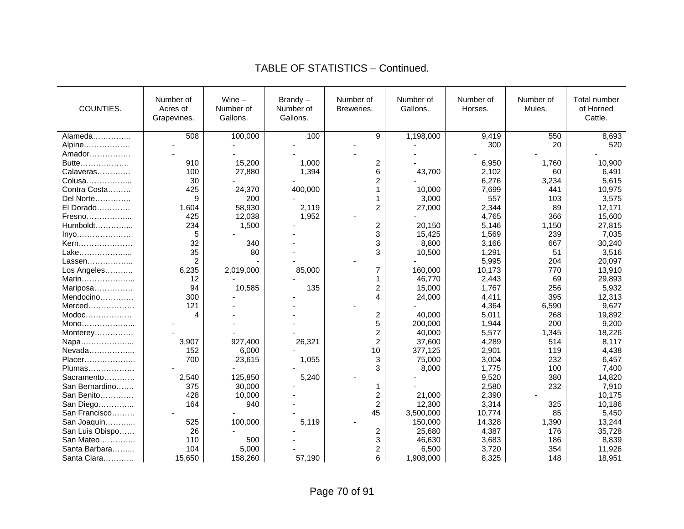#### COUNTIES. Number of Acres of Grapevines. Wine – Number of Gallons. Brandy – Number of Gallons. Number of Breweries. Number of Gallons. Number of Horses. Number of Mules. Total number of Horned Cattle. Alameda……………... | 508 | 100,000 | 100 | 9 | 1,198,000 | 9,419 | 550 | 8,693 Alpine……………… | - | - | - | - | - | 300 | 20 | 520 Amador…………… Butte……………… | 910 | 15,200 | 1,000 | 2 | - 6,950 | 1,760 | 10,900 Calaveras………… | 100 | 27,880 | 1,394 | 6 | 43,700 | 2,102 | 60 | 6,491 Colusa……………… | 30 | - | - 2 | - 6,276 | 3,234 | 5,615 Contra Costa……… │ 425 | 24,370 | 400,000 | 1 | 10,000 | 7,699 | 441 | 10,975 Del Norte………….. 9 200 - 1 3,000 557 103 3,575 El Dorado…………. 1,604 58,930 2,119 2 27,000 2,344 89 12,171 Fresno……………… | 425 | 12,038 | 1,952 | - | - 4,765 | 366 | 15,600 Humboldt…………... 234 1,500 - 2 20,150 5,146 1,150 27,815 Inyo………………… 5 - 3 15,425 1,569 239 7,035<br>Kern………………… 32 340 - 8.800 3.166 667 30.240 Kern………………… │ 32 │ 340 │ - │ 3 │ 8.800 │ 3.166 │ 667 │ 30.240 Lake………………... 35 80 - 3 10,500 1,291 51 3,516 Lassen………………… │ 2 │ - │ - │ - │ - 5.995 │ 204 │ 20.097 Los Angeles……….. 6,235 | 2,019,000 | 85,000 | 7 | 160,000 | 10,173 | 770 | 13,910 Marin………………… 12 | - 1 | 46,770 | 2,443 | 69 | 29,893 Mariposa…………… | 94 | 10,585 | 135 | 2 | 15,000 | 1,767 | 256 | 5,932 Mendocino…………. | 300 | - | - 4 | 24,000 | 4,411 | 395 | 12,313 Merced……………… | 121 | - | - | - | - | 4.364 | 6.590 | 9.627 Modoc……………… │ 4 │ - │ - 2 │ 40.000 │ 5.011 │ 268 │ 19.892 Mono………………... - - - 5 200,000 1,944 200 9,200 Monterey…………… | - | - | - | - | - | 2 40,000 5,577 1,345 18,226<br>Napa………………… | 3,907 927,400 26,321 2 37,600 4,289 514 8,117 Napa………………... 3,907 927,400 26,321 2 37,600 4,289 514 8,117 Nevada……………... 152 6,000 - 10 377,125 2,901 119 4,438 Placer………………… | 700 | 23,615 | 1,055 | 3 | 75,000 | 3,004 | 232 | 6,457 Plumas……………… - - - 3 8,000 1,775 100 7,400 Sacramento………… | 2,540 | 125,850 | 5,240 | - | - 9,520 | 380 | 14,820 San Bernardino…… | 375 | 30,000 | - 1 | - 2,580 | 232 | 7,910 San Benito………… 428 | 10,000 | - 2 | 21,000 | 2,390 | - 10,175 San Diego…………... | 164 | 940 | - | 2 | 12,300 | 3,314 | 325 | 10,186 San Francisco……… | Carl Liberty Liberty Liberty Liberty Assume that the set of the set of the set of the set o San Joaquin…………. 525 | 100,000 | 5,119 | - 150,000 | 14,328 | 1,390 | 13,244 San Luis Obispo…… 26 | - 2 | 25,680 | 4,387 | 176 | 35,728<br>San Mateo…………… 110 | 500 | - 3 | 46,630 | 3,683 | 186 | 8,839 San Mateo………….. 110 500 - 3 46,630 3,683 186 8,839 Santa Barbara……… 104 N 5.000 N - 2 N 6.500 N 3.720 N 354 N 11.926 Santa Clara………… 1 15,650 | 158,260 | 57,190 | 6 | 1,908,000 | 8,325 | 148 | 18,951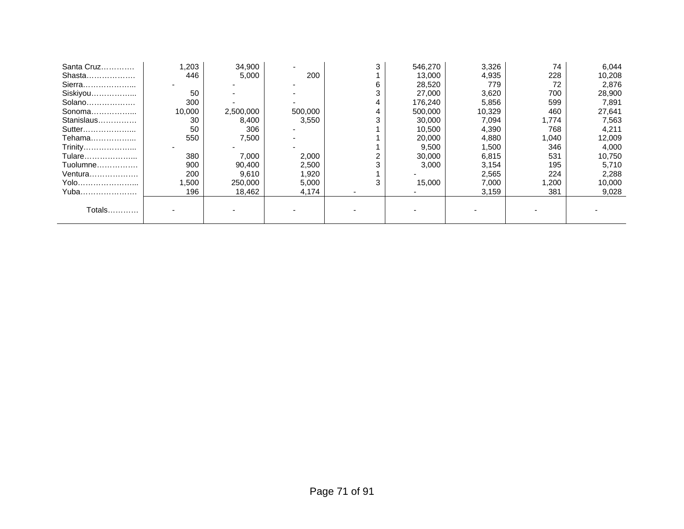| .203   | 34,900    |         | 3 | 546,270 | 3,326  | 74    | 6,044  |
|--------|-----------|---------|---|---------|--------|-------|--------|
| 446    | 5,000     | 200     |   | 13,000  | 4,935  | 228   | 10,208 |
|        |           |         | 6 | 28,520  | 779    | 72    | 2,876  |
| 50     |           |         | 3 | 27,000  | 3,620  | 700   | 28,900 |
| 300    |           |         | 4 | 176,240 | 5,856  | 599   | 7,891  |
| 10,000 | 2,500,000 | 500,000 | 4 | 500,000 | 10,329 | 460   | 27,641 |
| 30     | 8,400     | 3,550   |   | 30,000  | 7,094  | 1,774 | 7,563  |
| 50     | 306       |         |   | 10,500  | 4,390  | 768   | 4,211  |
| 550    | 7,500     |         |   | 20,000  | 4,880  | 1,040 | 12,009 |
|        |           |         |   | 9,500   | 1,500  | 346   | 4,000  |
| 380    | 7,000     | 2,000   |   | 30,000  | 6,815  | 531   | 10,750 |
| 900    | 90,400    | 2,500   |   | 3,000   | 3,154  | 195   | 5,710  |
| 200    | 9,610     | 1,920   |   |         | 2,565  | 224   | 2,288  |
| .500   | 250,000   | 5,000   | 3 | 15,000  | 7,000  | 1,200 | 10,000 |
| 196    | 18,462    | 4,174   |   |         | 3,159  | 381   | 9,028  |
|        |           |         |   |         |        |       |        |
|        |           |         |   |         |        |       |        |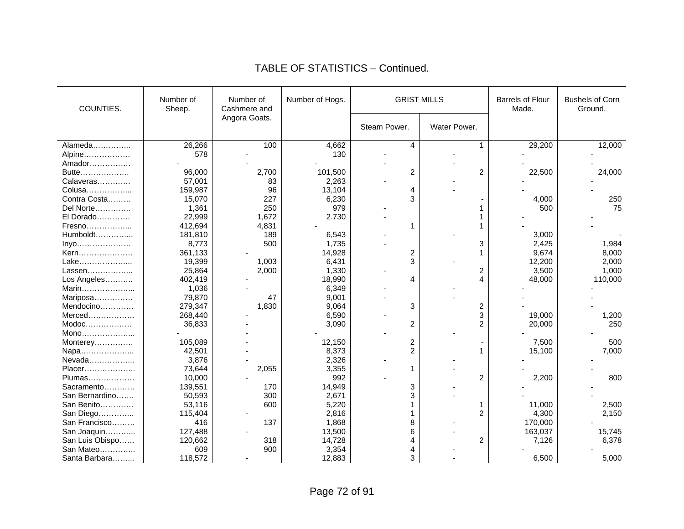| COUNTIES.                                                                                                                      | Number of<br>Number of<br>Cashmere and<br>Sheep. |               | Number of Hogs. | <b>GRIST MILLS</b> |                | <b>Barrels of Flour</b><br>Made. | <b>Bushels of Corn</b><br>Ground. |
|--------------------------------------------------------------------------------------------------------------------------------|--------------------------------------------------|---------------|-----------------|--------------------|----------------|----------------------------------|-----------------------------------|
|                                                                                                                                |                                                  | Angora Goats. |                 | Steam Power.       | Water Power.   |                                  |                                   |
| Alameda                                                                                                                        | 26,266                                           | 100           | 4,662           | 4                  | 1              | 29,200                           | 12,000                            |
| Alpine                                                                                                                         | 578                                              |               | 130             |                    |                |                                  |                                   |
| Amador                                                                                                                         |                                                  |               |                 |                    |                |                                  |                                   |
| Butte                                                                                                                          | 96,000                                           | 2,700         | 101,500         | 2                  | $\overline{2}$ | 22,500                           | 24,000                            |
| Calaveras                                                                                                                      | 57,001                                           | 83            | 2,263           |                    |                |                                  |                                   |
| Colusa                                                                                                                         | 159,987                                          | 96            | 13,104          | 4                  |                |                                  |                                   |
| Contra Costa                                                                                                                   | 15,070                                           | 227           | 6,230           | 3                  |                | 4,000                            | 250                               |
| Del Norte                                                                                                                      | 1,361                                            | 250           | 979             |                    |                | 500                              | 75                                |
| El Dorado                                                                                                                      | 22,999                                           | 1,672         | 2.730           |                    |                |                                  |                                   |
| Fresno                                                                                                                         | 412,694                                          | 4,831         |                 | 1                  |                |                                  |                                   |
| Humboldt                                                                                                                       | 181,810                                          | 189           | 6,543           |                    |                | 3,000                            |                                   |
| $inyo$                                                                                                                         | 8,773                                            | 500           | 1,735           |                    | 3              | 2,425                            | 1,984                             |
| Kern                                                                                                                           | 361,133                                          |               | 14,928          | 2                  | 1              | 9,674                            | 8,000                             |
| Lake                                                                                                                           | 19,399                                           | 1,003         | 6,431           | 3                  |                | 12,200                           | 2,000                             |
| Lassen                                                                                                                         | 25,864                                           | 2,000         | 1,330           |                    | 2              | 3,500                            | 1,000                             |
| Los Angeles                                                                                                                    | 402,419                                          |               | 18,990          | 4                  | 4              | 48,000                           | 110,000                           |
| Marin                                                                                                                          | 1,036                                            |               | 6,349           |                    |                |                                  |                                   |
| Mariposa                                                                                                                       | 79,870                                           | 47            | 9,001           |                    |                |                                  |                                   |
| Mendocino                                                                                                                      | 279,347                                          | 1,830         | 9,064           | 3                  | 2              |                                  |                                   |
| Merced                                                                                                                         | 268,440                                          |               | 6,590           |                    | 3              | 19,000                           | 1,200                             |
| $\mathsf{Modoc}\hspace{-0.04cm}\ldots\hspace{-0.04cm}\ldots\hspace{-0.04cm}\ldots\hspace{-0.04cm}\ldots\hspace{-0.04cm}\ldots$ | 36,833                                           |               | 3,090           | $\overline{2}$     | 2              | 20,000                           | 250                               |
| Mono                                                                                                                           |                                                  |               |                 |                    |                |                                  |                                   |
| Monterey                                                                                                                       | 105,089                                          |               | 12,150          | 2                  |                | 7,500                            | 500                               |
| Napa                                                                                                                           | 42,501                                           |               | 8,373           | 2                  | 1              | 15,100                           | 7,000                             |
| Nevada                                                                                                                         | 3,876                                            |               | 2,326           |                    |                |                                  |                                   |
| Placer                                                                                                                         | 73,644                                           | 2,055         | 3,355           | 1                  |                |                                  |                                   |
| Plumas                                                                                                                         | 10,000                                           |               | 992             |                    | $\overline{2}$ | 2,200                            | 800                               |
| Sacramento                                                                                                                     | 139,551                                          | 170           | 14,949          | 3                  |                |                                  |                                   |
| San Bernardino                                                                                                                 | 50,593                                           | 300           | 2,671           | 3                  |                |                                  |                                   |
| San Benito                                                                                                                     | 53,116                                           | 600           | 5,220           |                    |                | 11,000                           | 2,500                             |
| San Diego                                                                                                                      | 115,404                                          |               | 2,816           |                    | $\overline{2}$ | 4,300                            | 2,150                             |
| San Francisco                                                                                                                  | 416                                              | 137           | 1,868           | 8                  |                | 170,000                          |                                   |
| San Joaquin                                                                                                                    | 127,488                                          |               | 13,500          | 6                  |                | 163,037                          | 15,745                            |
| San Luis Obispo                                                                                                                | 120,662                                          | 318           | 14,728          |                    | 2              | 7,126                            | 6,378                             |
| San Mateo                                                                                                                      | 609                                              | 900           | 3,354           | 4                  |                |                                  |                                   |
| Santa Barbara                                                                                                                  | 118,572                                          |               | 12,883          | 3                  |                | 6,500                            | 5,000                             |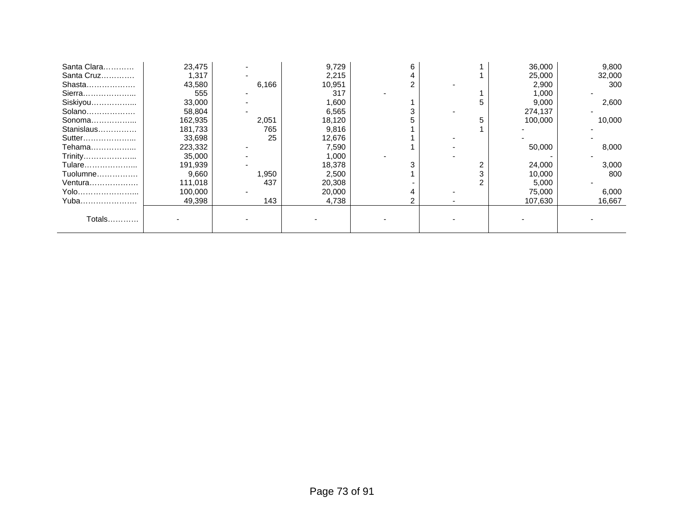| Santa Clara | 23,475  |       | 9,729  | 6 |   | 36,000  | 9,800  |
|-------------|---------|-------|--------|---|---|---------|--------|
| Santa Cruz  | 1,317   |       | 2,215  |   |   | 25,000  | 32,000 |
| Shasta      | 43,580  | 6,166 | 10,951 |   |   | 2,900   | 300    |
| Sierra      | 555     |       | 317    |   |   | 1,000   |        |
| Siskiyou    | 33,000  |       | 1,600  |   |   | 9,000   | 2,600  |
| Solano      | 58,804  |       | 6,565  |   |   | 274,137 |        |
| Sonoma      | 162,935 | 2,051 | 18,120 |   |   | 100,000 | 10,000 |
| Stanislaus  | 181,733 | 765   | 9,816  |   |   |         |        |
| Sutter      | 33,698  | 25    | 12,676 |   |   |         |        |
| Tehama      | 223,332 |       | 7,590  |   |   | 50,000  | 8,000  |
| Trinity     | 35,000  |       | 1,000  |   |   |         |        |
| Tulare      | 191,939 |       | 18,378 |   |   | 24,000  | 3,000  |
| Tuolumne    | 9,660   | 1,950 | 2,500  |   |   | 10,000  | 800    |
| Ventura     | 111,018 | 437   | 20,308 |   | ⌒ | 5,000   |        |
| Yolo        | 100,000 |       | 20,000 |   |   | 75,000  | 6,000  |
| Yuba        | 49,398  | 143   | 4,738  |   |   | 107,630 | 16,667 |
|             |         |       |        |   |   |         |        |
| Totals      |         |       |        |   |   |         |        |
|             |         |       |        |   |   |         |        |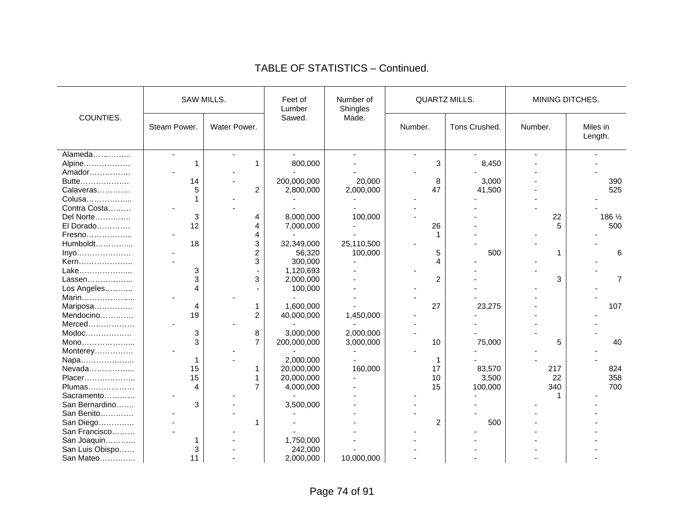|                                                                                                                                |              | SAW MILLS.     | Feet of<br>Lumber | Number of<br><b>QUARTZ MILLS.</b><br>Shingles |                |                |         | MINING DITCHES.     |
|--------------------------------------------------------------------------------------------------------------------------------|--------------|----------------|-------------------|-----------------------------------------------|----------------|----------------|---------|---------------------|
| COUNTIES.                                                                                                                      | Steam Power. | Water Power.   | Sawed.            | Made.                                         | Number.        | Tons Crushed.  | Number. | Miles in<br>Length. |
| Alameda                                                                                                                        | $\mathbf{r}$ |                |                   | ÷.                                            | $\overline{a}$ | $\blacksquare$ |         |                     |
| Alpine                                                                                                                         | 1            | 1              | 800,000           |                                               | 3              | 8,450          |         |                     |
| Amador                                                                                                                         |              |                |                   |                                               |                |                |         |                     |
| Butte                                                                                                                          | 14           |                | 200,000,000       | 20,000                                        | 8              | 3,000          |         | 390                 |
| Calaveras                                                                                                                      | 5            | $\overline{c}$ | 2,800,000         | 2,000,000                                     | 47             | 41,500         |         | 525                 |
| Colusa                                                                                                                         |              |                |                   |                                               |                |                |         |                     |
| Contra Costa                                                                                                                   |              |                |                   |                                               |                |                |         |                     |
| Del Norte                                                                                                                      | 3            | 4              | 8,000,000         | 100,000                                       |                |                | 22      | 186 1/2             |
| El Dorado                                                                                                                      | 12           | 4              | 7,000,000         |                                               | 26             |                | 5       | 500                 |
| Fresno                                                                                                                         |              | 4              |                   |                                               |                |                |         |                     |
| Humboldt                                                                                                                       | 18           | 3              | 32,349,000        | 25,110,500                                    |                |                |         |                     |
| Inyo                                                                                                                           |              | $\overline{2}$ | 56,320            | 100,000                                       | 5              | 500            | 1       | 6                   |
| Kern                                                                                                                           |              | 3              | 300,000           |                                               | 4              |                |         |                     |
| Lake                                                                                                                           | 3            |                | 1,120,693         |                                               |                |                |         |                     |
| Lassen                                                                                                                         | 3            | 3              | 2,000,000         |                                               | $\overline{c}$ |                | 3       | $\overline{7}$      |
| Los Angeles                                                                                                                    | 4            |                | 100,000           |                                               |                |                |         |                     |
| Marin                                                                                                                          |              |                |                   |                                               |                |                |         |                     |
| Mariposa                                                                                                                       | 4            | 1              | 1,600,000         |                                               | 27             | 23,275         |         | 107                 |
| Mendocino                                                                                                                      | 19           | $\overline{c}$ | 40,000,000        | 1,450,000                                     |                |                |         |                     |
| Merced                                                                                                                         |              |                |                   |                                               |                |                |         |                     |
| $\mathsf{Modoc}\hspace{-0.04cm}\ldots\hspace{-0.04cm}\ldots\hspace{-0.04cm}\ldots\hspace{-0.04cm}\ldots\hspace{-0.04cm}\ldots$ | 3            | 8              | 3,000,000         | 2,000,000                                     |                |                |         |                     |
| Mono                                                                                                                           | 3            | $\overline{7}$ | 200,000,000       | 3,000,000                                     | 10             | 75,000         | 5       | 40                  |
|                                                                                                                                |              |                |                   |                                               |                |                |         |                     |
| Monterey                                                                                                                       |              |                | 2,000,000         |                                               |                |                |         |                     |
| Napa<br>Nevada                                                                                                                 | 1<br>15      |                | 20,000,000        | 160,000                                       |                | 83,570         | 217     |                     |
|                                                                                                                                |              |                |                   |                                               | 17             |                |         | 824                 |
| Placer                                                                                                                         | 15           |                | 20,000,000        |                                               | 10             | 3,500          | 22      | 358                 |
| Plumas                                                                                                                         | 4            | $\overline{7}$ | 4,000,000         |                                               | 15             | 100,000        | 340     | 700                 |
| Sacramento                                                                                                                     |              |                |                   |                                               |                |                |         |                     |
| San Bernardino                                                                                                                 | 3            |                | 3,500,000         |                                               |                |                |         |                     |
| San Benito                                                                                                                     |              |                |                   |                                               |                |                |         |                     |
| San Diego                                                                                                                      |              | 1              |                   |                                               | $\overline{2}$ | 500            |         |                     |
| San Francisco                                                                                                                  |              |                |                   |                                               |                |                |         |                     |
| San Joaquin                                                                                                                    | 1            |                | 1,750,000         |                                               |                |                |         |                     |
| San Luis Obispo                                                                                                                | 3            |                | 242,000           |                                               |                |                |         |                     |
| San Mateo                                                                                                                      | 11           |                | 2,000,000         | 10,000,000                                    |                |                |         |                     |

## TABLE OF STATISTICS – Continued.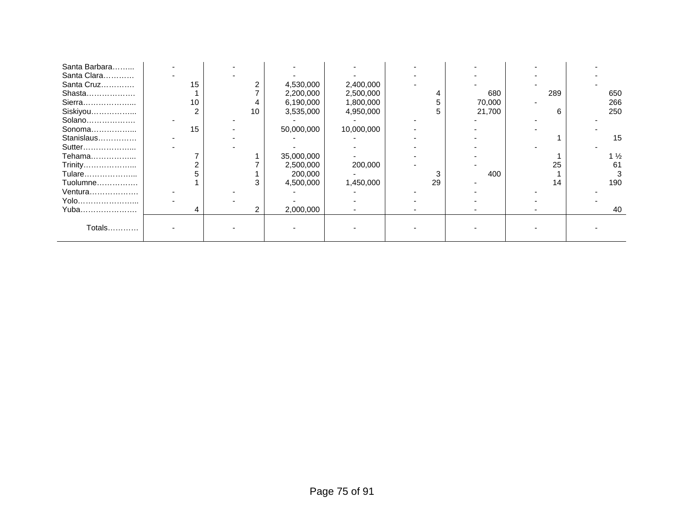| Santa Barbara |    |    |            |            |    |        |     |                |
|---------------|----|----|------------|------------|----|--------|-----|----------------|
| Santa Clara   |    |    |            |            |    |        |     |                |
| Santa Cruz    | 15 |    | 4,530,000  | 2,400,000  |    |        |     |                |
| Shasta        |    |    | 2,200,000  | 2,500,000  |    | 680    | 289 | 650            |
| Sierra        | 10 |    | 6,190,000  | 1,800,000  |    | 70,000 |     | 266            |
| Siskiyou      |    | 10 | 3,535,000  | 4,950,000  | 5. | 21,700 | 6   | 250            |
| Solano        |    |    |            |            |    |        |     |                |
| Sonoma        | 15 |    | 50,000,000 | 10,000,000 |    |        |     |                |
| Stanislaus    |    |    |            |            |    |        |     | 15             |
| Sutter        |    |    |            |            |    |        |     |                |
| Tehama        |    |    | 35,000,000 |            |    |        |     | $1\frac{1}{2}$ |
| Trinity       |    |    | 2,500,000  | 200,000    |    |        | 25  | 61             |
| Tulare        |    |    | 200,000    |            |    | 400    |     |                |
| Tuolumne      |    | 3  | 4,500,000  | 1,450,000  | 29 |        | 14  | 190            |
| Ventura       |    |    |            |            |    |        |     |                |
| Yolo          |    |    |            |            |    |        |     |                |
| Yuba          | 4  | 2  | 2,000,000  |            |    |        |     | 40             |
|               |    |    |            |            |    |        |     |                |
| Totals        |    |    |            |            |    |        |     |                |
|               |    |    |            |            |    |        |     |                |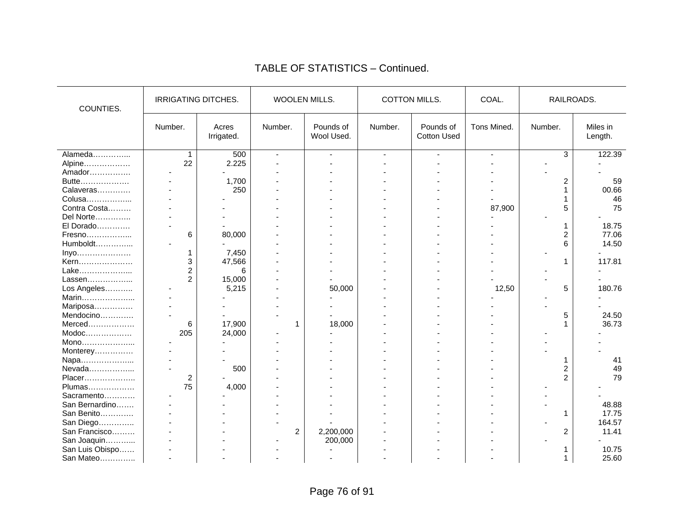| COUNTIES.       | <b>IRRIGATING DITCHES.</b> |                     | WOOLEN MILLS.  |                         |                | <b>COTTON MILLS.</b>            | COAL.          | RAILROADS.              |                     |
|-----------------|----------------------------|---------------------|----------------|-------------------------|----------------|---------------------------------|----------------|-------------------------|---------------------|
|                 | Number.                    | Acres<br>Irrigated. | Number.        | Pounds of<br>Wool Used. | Number.        | Pounds of<br><b>Cotton Used</b> | Tons Mined.    | Number.                 | Miles in<br>Length. |
| Alameda         | 1                          | 500                 | $\overline{a}$ | ÷.                      | $\overline{a}$ | $\mathbf{r}$                    | $\overline{a}$ | 3                       | 122.39              |
| Alpine          | 22                         | 2.225               |                |                         |                |                                 |                |                         |                     |
| Amador          |                            |                     |                |                         |                |                                 |                |                         |                     |
| Butte           |                            | 1,700               |                |                         |                |                                 |                | $\overline{c}$          | 59                  |
| Calaveras       |                            | 250                 |                |                         |                |                                 |                | 1                       | 00.66               |
| Colusa          |                            |                     |                |                         |                |                                 |                |                         | 46                  |
| Contra Costa    |                            |                     |                |                         |                |                                 | 87,900         | 5                       | 75                  |
| Del Norte       |                            |                     |                |                         |                |                                 |                |                         |                     |
| El Dorado       |                            |                     |                |                         |                |                                 |                | 1                       | 18.75               |
| Fresno          | 6                          | 80,000              |                |                         |                |                                 |                | $\overline{\mathbf{c}}$ | 77.06               |
| Humboldt        |                            |                     |                |                         |                |                                 |                | 6                       | 14.50               |
| Inyo            | 1                          | 7,450               |                |                         |                |                                 |                |                         |                     |
| Kern            | 3                          | 47,566              |                |                         |                |                                 |                | 1                       | 117.81              |
| Lake            | 2                          | 6                   |                |                         |                |                                 |                |                         |                     |
| Lassen          | 2                          | 15,000              |                |                         |                |                                 |                |                         |                     |
| Los Angeles     |                            | 5,215               |                | 50,000                  |                |                                 | 12,50          | 5                       | 180.76              |
| Marin           |                            |                     |                |                         |                |                                 |                |                         |                     |
| Mariposa        |                            |                     |                |                         |                |                                 |                |                         |                     |
| Mendocino       |                            |                     |                |                         |                |                                 |                | 5                       | 24.50               |
| Merced          | 6                          | 17,900              | -1             | 18,000                  |                |                                 |                | 1                       | 36.73               |
| $Modoc$         | 205                        | 24,000              |                |                         |                |                                 |                |                         |                     |
| Mono            |                            |                     |                |                         |                |                                 |                |                         |                     |
| Monterey        |                            |                     |                |                         |                |                                 |                |                         |                     |
| Napa            |                            |                     |                |                         |                |                                 |                |                         | 41                  |
| Nevada          |                            | 500                 |                |                         |                |                                 |                | 2                       | 49                  |
| Placer          | $\overline{c}$             |                     |                |                         |                |                                 |                | $\overline{2}$          | 79                  |
| Plumas          | 75                         | 4,000               |                |                         |                |                                 |                |                         |                     |
| Sacramento      |                            |                     |                |                         |                |                                 |                |                         |                     |
| San Bernardino  |                            |                     |                |                         |                |                                 |                |                         | 48.88               |
| San Benito      |                            |                     |                |                         |                |                                 |                | 1                       | 17.75               |
| San Diego       |                            |                     |                |                         |                |                                 |                |                         | 164.57              |
| San Francisco   |                            |                     | $\overline{c}$ | 2,200,000               |                |                                 |                | $\overline{c}$          | 11.41               |
|                 |                            |                     |                |                         |                |                                 |                |                         |                     |
| San Joaquin     |                            |                     |                | 200,000                 |                |                                 |                |                         |                     |
| San Luis Obispo |                            |                     |                |                         |                |                                 |                |                         | 10.75               |
| San Mateo       |                            |                     |                |                         |                |                                 |                |                         | 25.60               |

#### TABLE OF STATISTICS – Continued.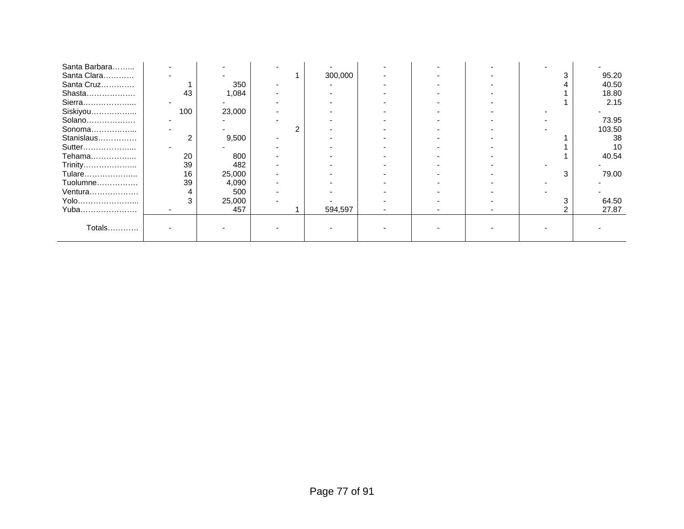| Santa Barbara |     |        |         |  |   |        |
|---------------|-----|--------|---------|--|---|--------|
| Santa Clara   |     |        | 300,000 |  |   | 95.20  |
| Santa Cruz    |     | 350    |         |  |   | 40.50  |
| Shasta        | 43  | 1,084  |         |  |   | 18.80  |
| Sierra        |     |        |         |  |   | 2.15   |
| Siskiyou      | 100 | 23,000 |         |  |   |        |
| Solano        |     |        |         |  |   | 73.95  |
| Sonoma        |     |        |         |  |   | 103.50 |
| Stanislaus    |     | 9,500  |         |  |   | 38     |
| Sutter        |     |        |         |  |   | 10     |
| Tehama        | 20  | 800    |         |  |   | 40.54  |
| Trinity       | 39  | 482    |         |  |   |        |
| Tulare        | 16  | 25,000 |         |  | 3 | 79.00  |
| Tuolumne      | 39  | 4,090  |         |  |   |        |
| Ventura       |     | 500    |         |  |   |        |
| Yolo          |     | 25,000 |         |  |   | 64.50  |
| Yuba          |     | 457    | 594,597 |  |   | 27.87  |
|               |     |        |         |  |   |        |
| Totals        |     |        |         |  |   |        |
|               |     |        |         |  |   |        |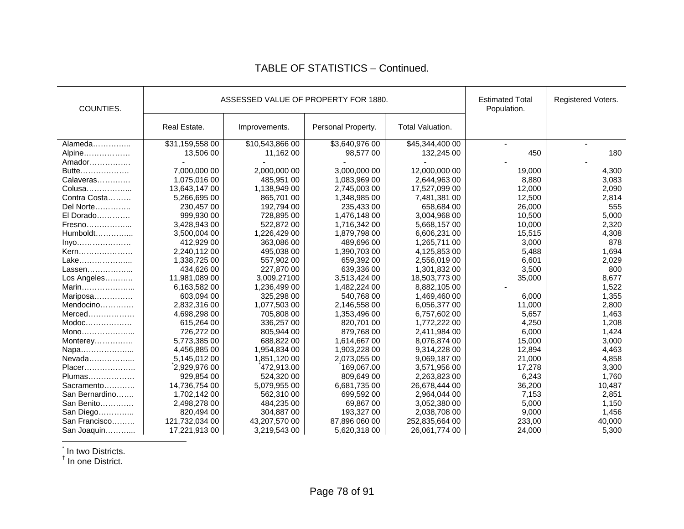| COUNTIES.      |                 | ASSESSED VALUE OF PROPERTY FOR 1880. | <b>Estimated Total</b><br>Population. | Registered Voters. |        |        |
|----------------|-----------------|--------------------------------------|---------------------------------------|--------------------|--------|--------|
|                | Real Estate.    | Improvements.                        | Personal Property.                    | Total Valuation.   |        |        |
| Alameda        | \$31,159,558 00 | \$10,543,866 00                      | \$3,640,976 00                        | \$45,344,400 00    |        |        |
| Alpine         | 13,506 00       | 11,162 00                            | 98,577 00                             | 132,245 00         | 450    | 180    |
| Amador         |                 |                                      |                                       |                    |        |        |
| Butte          | 7,000,000 00    | 2,000,000 00                         | 3,000,000 00                          | 12,000,000 00      | 19,000 | 4,300  |
| Calaveras      | 1,075,016 00    | 485,951 00                           | 1,083,969 00                          | 2,644,963 00       | 8,880  | 3,083  |
| Colusa         | 13,643,147 00   | 1,138,949 00                         | 2,745,003 00                          | 17,527,099 00      | 12,000 | 2,090  |
| Contra Costa   | 5,266,695 00    | 865,701 00                           | 1,348,985 00                          | 7,481,381 00       | 12,500 | 2,814  |
| Del Norte      | 230,457 00      | 192,794 00                           | 235,433 00                            | 658,684 00         | 26,000 | 555    |
| El Dorado      | 999,930 00      | 728,895 00                           | 1,476,148 00                          | 3,004,968 00       | 10,500 | 5,000  |
| Fresno         | 3,428,943 00    | 522,872 00                           | 1,716,342 00                          | 5,668,157 00       | 10,000 | 2,320  |
| $Humboldt$     | 3,500,004 00    | 1,226,429 00                         | 1,879,798 00                          | 6,606,231 00       | 15,515 | 4,308  |
| Inyo           | 412,929 00      | 363,086 00                           | 489,696 00                            | 1,265,711 00       | 3,000  | 878    |
| Kern           | 2,240,112 00    | 495,038 00                           | 1,390,703 00                          | 4,125,853 00       | 5,488  | 1,694  |
| Lake           | 1,338,725 00    | 557,902 00                           | 659,392 00                            | 2,556,019 00       | 6,601  | 2,029  |
| Lassen         | 434.626 00      | 227,870 00                           | 639,336 00                            | 1,301,832 00       | 3,500  | 800    |
| Los Angeles    | 11,981,089 00   | 3,009,27100                          | 3,513,424 00                          | 18,503,773 00      | 35,000 | 8,677  |
| Marin          | 6,163,582 00    | 1,236,499 00                         | 1,482,224 00                          | 8,882,105 00       |        | 1,522  |
| Mariposa       | 603,094 00      | 325,298 00                           | 540,768 00                            | 1,469,460 00       | 6,000  | 1,355  |
| Mendocino      | 2,832,316 00    | 1,077,503 00                         | 2,146,558 00                          | 6,056,377 00       | 11,000 | 2,800  |
| Merced         | 4,698,298 00    | 705,808 00                           | 1,353,496 00                          | 6,757,602 00       | 5,657  | 1,463  |
| Modoc          | 615,264 00      | 336,257 00                           | 820,701 00                            | 1,772,222 00       | 4,250  | 1,208  |
| Mono           | 726,272 00      | 805,944 00                           | 879,768 00                            | 2,411,984 00       | 6,000  | 1,424  |
| Monterey       | 5,773,385 00    | 688,822 00                           | 1,614,667 00                          | 8,076,874 00       | 15,000 | 3,000  |
| Napa           | 4,456,885 00    | 1,954,834 00                         | 1,903,228 00                          | 9,314,228 00       | 12,894 | 4,463  |
| Nevada         | 5,145,012 00    | 1,851,120 00                         | 2,073,055 00                          | 9,069,187 00       | 21,000 | 4,858  |
| Placer         | 2,929,976 00    | 472,913.00                           | 169,067.00                            | 3,571,956 00       | 17,278 | 3,300  |
| Plumas         | 929,854 00      | 524,320 00                           | 809,649 00                            | 2,263,823 00       | 6,243  | 1,760  |
| Sacramento     | 14,736,754 00   | 5,079,955 00                         | 6,681,735 00                          | 26,678,444 00      | 36,200 | 10,487 |
| San Bernardino | 1,702,142 00    | 562,310 00                           | 699,592 00                            | 2,964,044 00       | 7,153  | 2,851  |
| San Benito     | 2,498,278 00    | 484,235 00                           | 69,867 00                             | 3,052,380 00       | 5,000  | 1,150  |
| San Diego      | 820,494 00      | 304,887 00                           | 193,327 00                            | 2,038,708 00       | 9,000  | 1,456  |
| San Francisco  | 121,732,034 00  | 43,207,570 00                        | 87,896 060 00                         | 252,835,664 00     | 233,00 | 40,000 |
| San Joaquin    | 17,221,913 00   | 3,219,543 00                         | 5,620,318 00                          | 26,061,774 00      | 24,000 | 5,300  |

## TABLE OF STATISTICS – Continued.

 $^{\check{}}$  In two Districts.<br><sup>†</sup> In one District.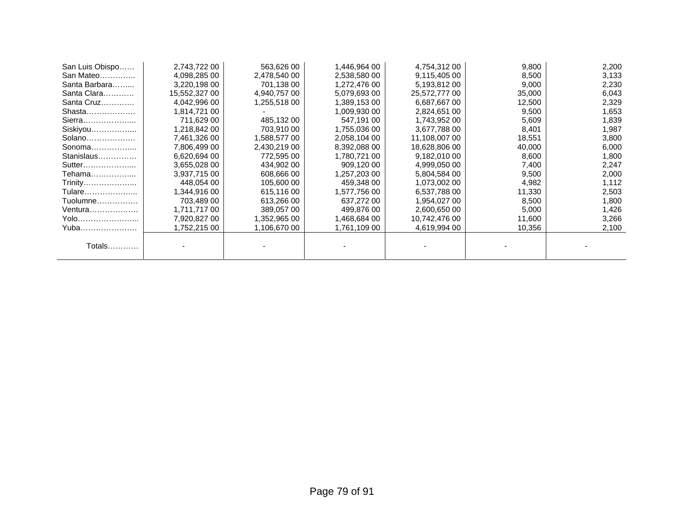| San Luis Obispo | 2,743,722 00  | 563,626 00   | 1,446,964 00 | 4,754,312 00  | 9,800  | 2,200 |
|-----------------|---------------|--------------|--------------|---------------|--------|-------|
| San Mateo       | 4,098,285 00  | 2,478,540 00 | 2,538,580 00 | 9,115,405 00  | 8,500  | 3,133 |
| Santa Barbara   | 3,220,198 00  | 701,138 00   | 1,272,476 00 | 5,193,812 00  | 9,000  | 2,230 |
| Santa Clara     | 15,552,327 00 | 4,940,757 00 | 5,079,693 00 | 25,572,777 00 | 35,000 | 6,043 |
| Santa Cruz      | 4,042,996 00  | 1,255,518 00 | 1,389,153 00 | 6,687,66700   | 12,500 | 2,329 |
| Shasta          | 1,814,721 00  |              | 1,009,930 00 | 2,824,651 00  | 9,500  | 1,653 |
| Sierra          | 711,629 00    | 485,132 00   | 547.191 00   | 1,743,952 00  | 5,609  | 1,839 |
| Siskiyou        | 1,218,842 00  | 703,910 00   | 1,755,036 00 | 3,677,788 00  | 8,401  | 1,987 |
| Solano          | 7,461,326 00  | 1,588,577 00 | 2,058,104 00 | 11,108,007 00 | 18,551 | 3,800 |
| Sonoma          | 7,806,499 00  | 2,430,219 00 | 8.392.088 00 | 18,628,806 00 | 40,000 | 6,000 |
| Stanislaus      | 6,620,694 00  | 772,595 00   | 1,780,721 00 | 9,182,010 00  | 8,600  | 1,800 |
| Sutter          | 3,655,028 00  | 434,902 00   | 909,120 00   | 4,999,050 00  | 7,400  | 2,247 |
| Tehama          | 3,937,715 00  | 608,666 00   | 1,257,203 00 | 5,804,584 00  | 9,500  | 2,000 |
| Trinity         | 448,054 00    | 105,600 00   | 459,348 00   | 1,073,002 00  | 4,982  | 1,112 |
| Tulare          | 1.344.916 00  | 615,116 00   | 1.577.756 00 | 6,537,788 00  | 11,330 | 2,503 |
| Tuolumne        | 703,489 00    | 613,266 00   | 637,272 00   | 1,954,027 00  | 8,500  | 1,800 |
| Ventura         | 1,711,717 00  | 389,057 00   | 499,876 00   | 2,600,650 00  | 5,000  | 1,426 |
| Yolo            | 7,920,827 00  | 1,352,965 00 | 1,468,684 00 | 10,742,476 00 | 11,600 | 3,266 |
| Yuba……………………    | 1,752,215 00  | 1,106,670 00 | 1,761,109 00 | 4,619,994 00  | 10,356 | 2,100 |
| Totals          |               |              |              |               |        |       |
|                 |               |              |              |               |        |       |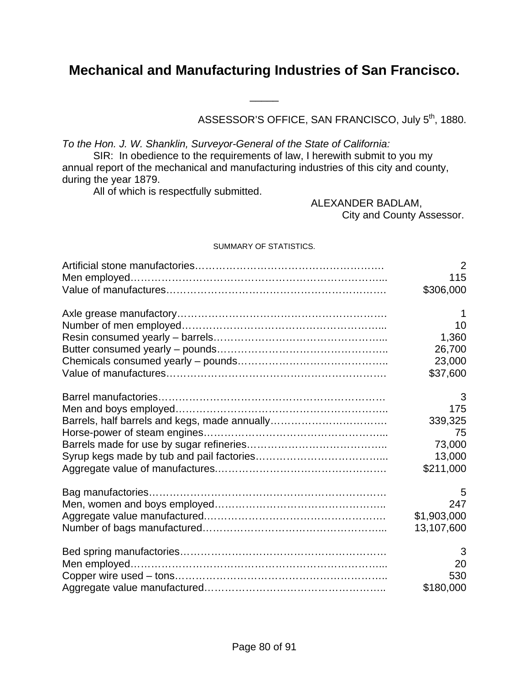# **Mechanical and Manufacturing Industries of San Francisco.**

\_\_\_\_\_

ASSESSOR'S OFFICE, SAN FRANCISCO, July 5<sup>th</sup>, 1880.

*To the Hon. J. W. Shanklin, Surveyor-General of the State of California:* 

 SIR: In obedience to the requirements of law, I herewith submit to you my annual report of the mechanical and manufacturing industries of this city and county, during the year 1879.

All of which is respectfully submitted.

 ALEXANDER BADLAM, City and County Assessor.

#### SUMMARY OF STATISTICS.

| 2           |
|-------------|
| 115         |
| \$306,000   |
| -1          |
| 10          |
| 1,360       |
| 26,700      |
| 23,000      |
| \$37,600    |
| 3           |
| 175         |
| 339,325     |
| 75          |
| 73,000      |
|             |
| 13,000      |
| \$211,000   |
| 5           |
| 247         |
| \$1,903,000 |
| 13,107,600  |
| 3           |
| 20          |
| 530         |
| \$180,000   |
|             |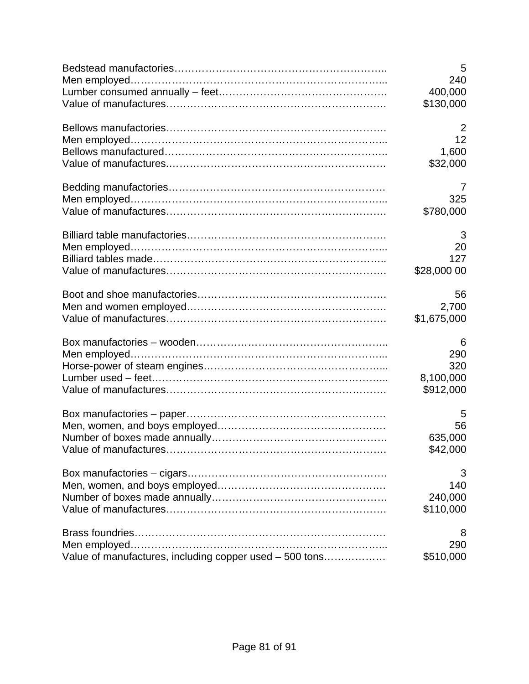|                                                         | 5<br>240       |
|---------------------------------------------------------|----------------|
|                                                         |                |
|                                                         | 400,000        |
|                                                         | \$130,000      |
|                                                         | $\overline{2}$ |
|                                                         | 12             |
|                                                         | 1,600          |
|                                                         | \$32,000       |
|                                                         | 7              |
|                                                         | 325            |
|                                                         | \$780,000      |
|                                                         | 3              |
|                                                         | 20             |
|                                                         | 127            |
|                                                         | \$28,000 00    |
|                                                         | 56             |
|                                                         | 2,700          |
|                                                         | \$1,675,000    |
|                                                         | 6              |
|                                                         | 290            |
|                                                         | 320            |
|                                                         | 8,100,000      |
|                                                         | \$912,000      |
|                                                         | 5              |
|                                                         | 56             |
|                                                         | 635,000        |
|                                                         | \$42,000       |
|                                                         | 3              |
|                                                         | 140            |
|                                                         | 240,000        |
|                                                         | \$110,000      |
|                                                         | 8              |
|                                                         | 290            |
| Value of manufactures, including copper used - 500 tons | \$510,000      |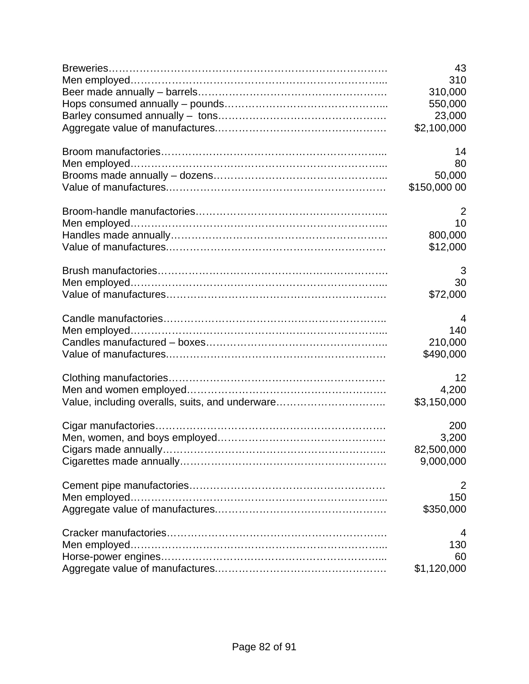|                                                 | 43           |
|-------------------------------------------------|--------------|
|                                                 | 310          |
|                                                 | 310,000      |
|                                                 | 550,000      |
|                                                 | 23,000       |
|                                                 | \$2,100,000  |
|                                                 | 14           |
|                                                 | 80           |
|                                                 | 50,000       |
|                                                 | \$150,000 00 |
|                                                 | 2            |
|                                                 | 10           |
|                                                 | 800,000      |
|                                                 | \$12,000     |
|                                                 | 3            |
|                                                 | 30           |
|                                                 | \$72,000     |
|                                                 | 4            |
|                                                 | 140          |
|                                                 | 210,000      |
|                                                 | \$490,000    |
|                                                 | 12           |
|                                                 | 4,200        |
| Value, including overalls, suits, and underware | \$3,150,000  |
|                                                 | 200          |
|                                                 | 3,200        |
|                                                 | 82,500,000   |
|                                                 | 9,000,000    |
|                                                 | 2            |
|                                                 | 150          |
|                                                 | \$350,000    |
|                                                 | 4            |
|                                                 | 130          |
|                                                 | 60           |
|                                                 | \$1,120,000  |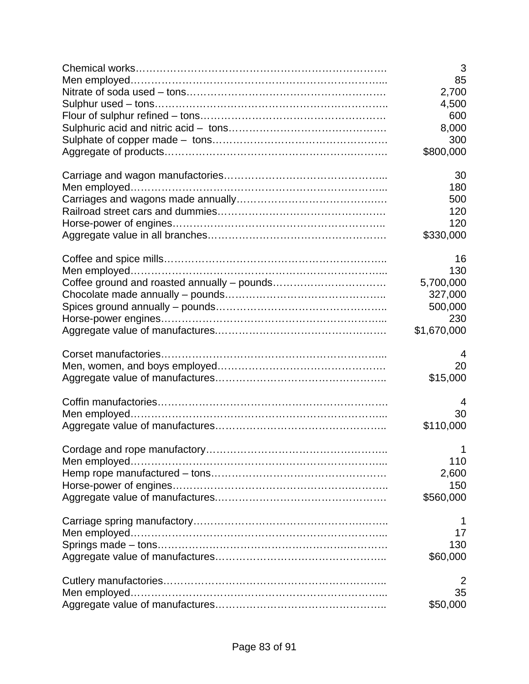| 3              |
|----------------|
| 85             |
| 2,700          |
| 4,500          |
| 600            |
| 8,000          |
| 300            |
| \$800,000      |
| 30             |
| 180            |
| 500            |
| 120            |
| 120            |
| \$330,000      |
| 16             |
| 130            |
| 5,700,000      |
| 327,000        |
| 500,000        |
| 230            |
| \$1,670,000    |
| 4              |
| 20             |
| \$15,000       |
| 4              |
| 30             |
| \$110,000      |
| $\overline{1}$ |
| 110            |
| 2,600          |
| 150            |
| \$560,000      |
| 1              |
| 17             |
| 130            |
| \$60,000       |
| 2              |
| 35             |
| \$50,000       |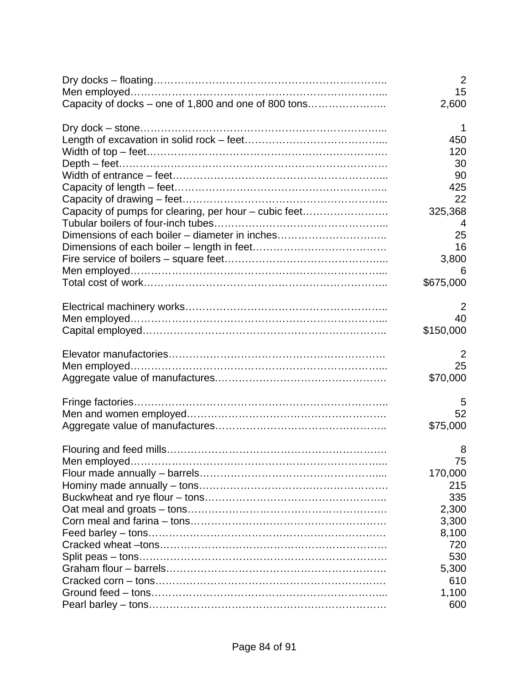|                                                       | 2<br>15   |
|-------------------------------------------------------|-----------|
| Capacity of docks – one of 1,800 and one of 800 tons  | 2,600     |
|                                                       | 1         |
|                                                       | 450       |
|                                                       | 120       |
|                                                       | 30        |
|                                                       | 90        |
|                                                       | 425       |
|                                                       | 22        |
| Capacity of pumps for clearing, per hour – cubic feet | 325,368   |
|                                                       | 4         |
| Dimensions of each boiler - diameter in inches        | 25        |
|                                                       | 16        |
|                                                       | 3,800     |
|                                                       | 6         |
|                                                       | \$675,000 |
|                                                       | 2         |
|                                                       | 40        |
|                                                       | \$150,000 |
|                                                       | 2         |
|                                                       | 25        |
|                                                       | \$70,000  |
|                                                       | 5         |
|                                                       | 52        |
|                                                       | \$75,000  |
|                                                       | 8         |
|                                                       | 75        |
|                                                       | 170,000   |
|                                                       | 215       |
|                                                       | 335       |
|                                                       | 2,300     |
|                                                       | 3,300     |
|                                                       | 8,100     |
|                                                       | 720       |
|                                                       | 530       |
|                                                       | 5,300     |
|                                                       | 610       |
|                                                       | 1,100     |
|                                                       | 600       |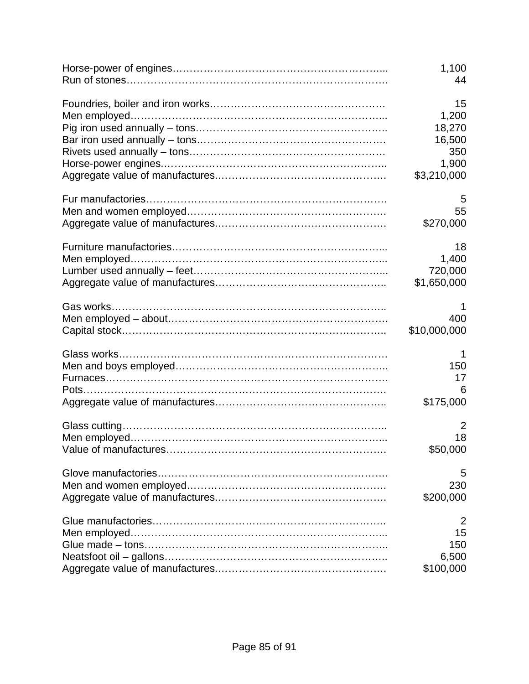| 1,100               |
|---------------------|
| 44                  |
| 15                  |
| 1,200               |
| 18,270              |
| 16,500              |
| 350                 |
| 1,900               |
| \$3,210,000         |
| 5                   |
| 55                  |
| \$270,000           |
| 18                  |
| 1,400               |
| 720,000             |
| \$1,650,000         |
| 400<br>\$10,000,000 |
| 1                   |
| 150                 |
| 17                  |
| 6                   |
| \$175,000           |
| 2                   |
| 18                  |
| \$50,000            |
| 5                   |
| 230                 |
| \$200,000           |
| 2                   |
| 15                  |
| 150                 |
| 6,500               |
| \$100,000           |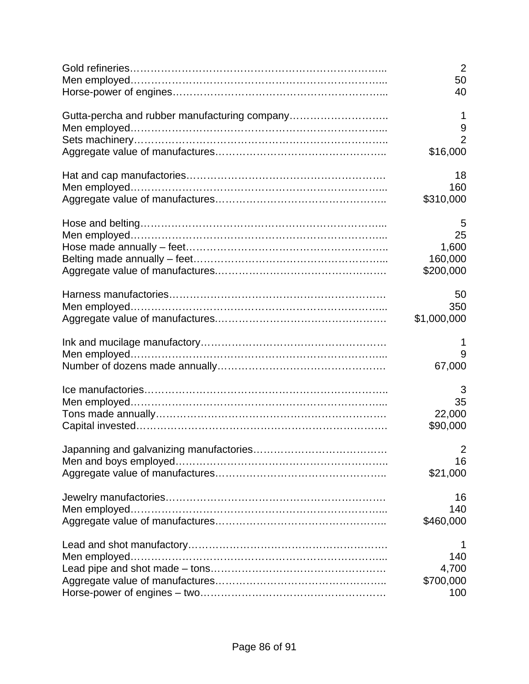|                                               | $\overline{2}$ |
|-----------------------------------------------|----------------|
|                                               | 50             |
|                                               | 40             |
| Gutta-percha and rubber manufacturing company | 1              |
|                                               | 9              |
|                                               | $\overline{2}$ |
|                                               | \$16,000       |
|                                               | 18             |
|                                               | 160            |
|                                               | \$310,000      |
|                                               | 5              |
|                                               | 25             |
|                                               | 1,600          |
|                                               | 160,000        |
|                                               | \$200,000      |
|                                               | 50             |
|                                               | 350            |
|                                               | \$1,000,000    |
|                                               | 1              |
|                                               | 9              |
|                                               | 67,000         |
|                                               | 3              |
|                                               | 35             |
|                                               | 22,000         |
|                                               | \$90,000       |
|                                               | $\overline{2}$ |
|                                               | 16             |
|                                               | \$21,000       |
|                                               | 16             |
|                                               | 140            |
|                                               | \$460,000      |
|                                               | 1              |
|                                               | 140            |
|                                               | 4,700          |
|                                               | \$700,000      |
|                                               | 100            |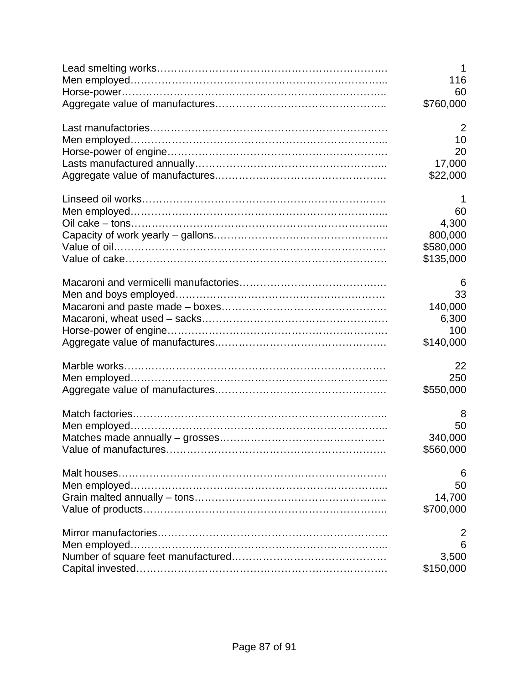| 1              |
|----------------|
| 116            |
| 60             |
| \$760,000      |
| $\overline{2}$ |
| 10             |
| 20             |
| 17,000         |
| \$22,000       |
| 1              |
| 60             |
| 4,300          |
| 800,000        |
| \$580,000      |
| \$135,000      |
| 6              |
| 33             |
| 140,000        |
| 6,300          |
| 100            |
| \$140,000      |
| 22             |
| 250            |
| \$550,000      |
| 8              |
| 50             |
| 340,000        |
| \$560,000      |
|                |
| 6<br>50        |
| 14,700         |
| \$700,000      |
|                |
| 2<br>6         |
| 3,500          |
| \$150,000      |
|                |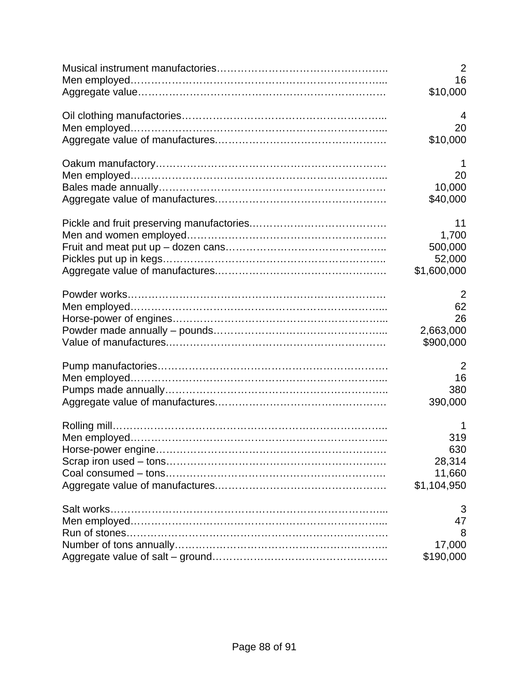|            | $\overline{2}$                      |
|------------|-------------------------------------|
|            | 16                                  |
|            | \$10,000                            |
|            | 4                                   |
|            | 20                                  |
|            | \$10,000                            |
|            | 1                                   |
|            | 20                                  |
|            | 10,000                              |
|            | \$40,000                            |
|            | 11                                  |
|            | 1,700                               |
|            | 500,000                             |
|            | 52,000                              |
|            | \$1,600,000                         |
|            | 2                                   |
|            | 62                                  |
|            | 26                                  |
|            | 2,663,000                           |
|            | \$900,000                           |
|            | 2                                   |
|            | 16                                  |
|            | 380                                 |
|            | 390,000                             |
|            | 1                                   |
|            | 319                                 |
|            | 630                                 |
|            | 28,314                              |
|            | 11,660                              |
|            | \$1,104,950                         |
| Salt works | 3<br>47<br>8<br>17,000<br>\$190,000 |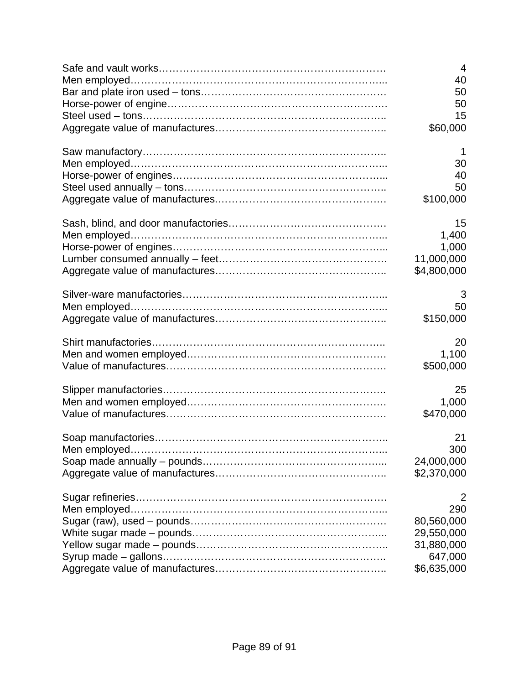| 4<br>40     |
|-------------|
| 50          |
| 50          |
| 15          |
| \$60,000    |
| 1           |
| 30          |
| 40          |
| 50          |
| \$100,000   |
| 15          |
| 1,400       |
| 1,000       |
| 11,000,000  |
| \$4,800,000 |
| 3           |
| 50          |
| \$150,000   |
| 20          |
| 1,100       |
| \$500,000   |
| 25          |
| 1,000       |
| \$470,000   |
| 21          |
| 300         |
| 24,000,000  |
| \$2,370,000 |
| 2           |
| 290         |
| 80,560,000  |
| 29,550,000  |
| 31,880,000  |
| 647,000     |
| \$6,635,000 |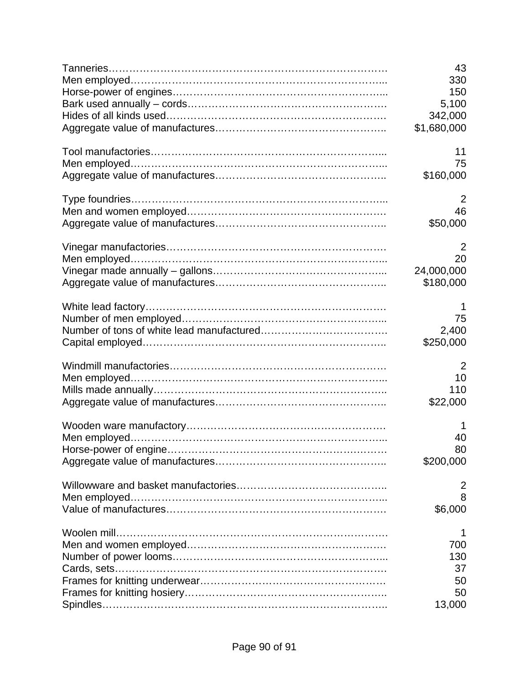| 43             |
|----------------|
| 330            |
| 150            |
| 5,100          |
| 342,000        |
| \$1,680,000    |
| 11             |
| 75             |
| \$160,000      |
| 2              |
| 46             |
| \$50,000       |
| $\overline{2}$ |
| 20             |
| 24,000,000     |
| \$180,000      |
| 1              |
| 75             |
| 2,400          |
| \$250,000      |
| 2              |
| 10             |
| 110            |
| \$22,000       |
| 1              |
| 40             |
| 80             |
| \$200,000      |
| 2              |
| 8              |
| \$6,000        |
| 1              |
| 700            |
| 130            |
| 37             |
| 50             |
| 50             |
| 13,000         |